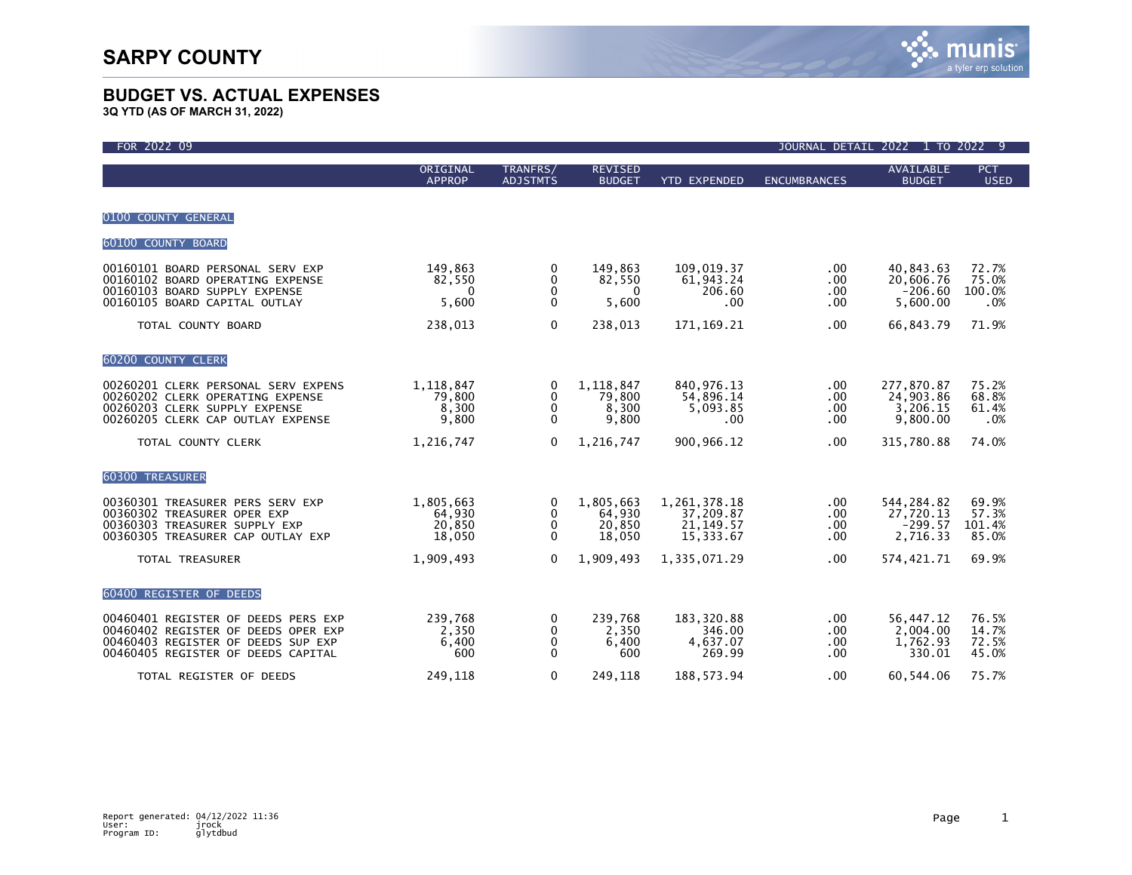| FOR 2022 09                                                                                                                                            |                                         |                                        |                                         |                                                      |                                          | JOURNAL DETAIL 2022 1 TO 2022 9                  |                                   |
|--------------------------------------------------------------------------------------------------------------------------------------------------------|-----------------------------------------|----------------------------------------|-----------------------------------------|------------------------------------------------------|------------------------------------------|--------------------------------------------------|-----------------------------------|
|                                                                                                                                                        | ORIGINAL<br><b>APPROP</b>               | TRANFRS/<br><b>ADJSTMTS</b>            | <b>REVISED</b><br><b>BUDGET</b>         | <b>YTD EXPENDED</b>                                  | <b>ENCUMBRANCES</b>                      | <b>AVAILABLE</b><br><b>BUDGET</b>                | <b>PCT</b><br><b>USED</b>         |
| 0100 COUNTY GENERAL                                                                                                                                    |                                         |                                        |                                         |                                                      |                                          |                                                  |                                   |
| 60100 COUNTY BOARD                                                                                                                                     |                                         |                                        |                                         |                                                      |                                          |                                                  |                                   |
| 00160101 BOARD PERSONAL SERV EXP<br>00160102 BOARD OPERATING EXPENSE<br>00160103 BOARD SUPPLY EXPENSE<br>00160105 BOARD CAPITAL OUTLAY                 | 149,863<br>82,550<br>$\Omega$<br>5,600  | 0<br>$\mathbf{0}$<br>0<br>$\mathbf{0}$ | 149,863<br>82,550<br>0<br>5,600         | 109,019.37<br>61,943.24<br>206.60<br>.00             | .00.<br>.00.<br>.00<br>$.00 \,$          | 40,843.63<br>20,606.76<br>$-206.60$<br>5,600.00  | 72.7%<br>75.0%<br>100.0%<br>.0%   |
| TOTAL COUNTY BOARD                                                                                                                                     | 238,013                                 | $\mathbf{0}$                           | 238,013                                 | 171, 169. 21                                         | .00.                                     | 66,843.79                                        | 71.9%                             |
| 60200 COUNTY CLERK                                                                                                                                     |                                         |                                        |                                         |                                                      |                                          |                                                  |                                   |
| 00260201 CLERK PERSONAL SERV EXPENS<br>00260202 CLERK OPERATING EXPENSE<br>00260203 CLERK SUPPLY EXPENSE<br>00260205 CLERK CAP OUTLAY EXPENSE          | 1,118,847<br>79,800<br>8,300<br>9,800   | 0<br>$\mathbf 0$<br>0<br>$\mathbf{0}$  | 1,118,847<br>79,800<br>8,300<br>9,800   | 840,976.13<br>54,896.14<br>5,093.85<br>.00           | .00.<br>$.00 \,$<br>$.00 \,$<br>$.00 \,$ | 277,870.87<br>24,903.86<br>3,206.15<br>9,800.00  | 75.2%<br>68.8%<br>61.4%<br>.0%    |
| TOTAL COUNTY CLERK                                                                                                                                     | 1,216,747                               | $\mathbf{0}$                           | 1,216,747                               | 900,966.12                                           | .00.                                     | 315,780.88                                       | 74.0%                             |
| 60300 TREASURER                                                                                                                                        |                                         |                                        |                                         |                                                      |                                          |                                                  |                                   |
| 00360301 TREASURER PERS SERV EXP<br>00360302 TREASURER OPER EXP<br>00360303 TREASURER SUPPLY EXP<br>00360305 TREASURER CAP OUTLAY EXP                  | 1,805,663<br>64,930<br>20,850<br>18,050 | 0<br>$\mathbf 0$<br>0<br>$\mathbf{0}$  | 1,805,663<br>64,930<br>20,850<br>18,050 | 1,261,378.18<br>37,209.87<br>21, 149.57<br>15,333.67 | $.00 \,$<br>.00.<br>.00<br>.00           | 544,284.82<br>27,720.13<br>$-299.57$<br>2,716.33 | 69.9%<br>57.3%<br>101.4%<br>85.0% |
| TOTAL TREASURER                                                                                                                                        | 1,909,493                               | $\mathbf{0}$                           | 1,909,493                               | 1,335,071.29                                         | .00.                                     | 574,421.71                                       | 69.9%                             |
| 60400 REGISTER OF DEEDS                                                                                                                                |                                         |                                        |                                         |                                                      |                                          |                                                  |                                   |
| 00460401 REGISTER OF DEEDS PERS EXP<br>00460402 REGISTER OF DEEDS OPER EXP<br>00460403 REGISTER OF DEEDS SUP EXP<br>00460405 REGISTER OF DEEDS CAPITAL | 239,768<br>2,350<br>6,400<br>600        | 0<br>0<br>$\mathbf{0}$<br>$\mathbf{0}$ | 239,768<br>2,350<br>6,400<br>600        | 183,320.88<br>346.00<br>4,637.07<br>269.99           | $.00 \,$<br>$.00 \,$<br>.00.<br>.00      | 56,447.12<br>2,004.00<br>1,762.93<br>330.01      | 76.5%<br>14.7%<br>72.5%<br>45.0%  |
| TOTAL REGISTER OF DEEDS                                                                                                                                | 249,118                                 | $\Omega$                               | 249,118                                 | 188, 573. 94                                         | .00                                      | 60.544.06                                        | 75.7%                             |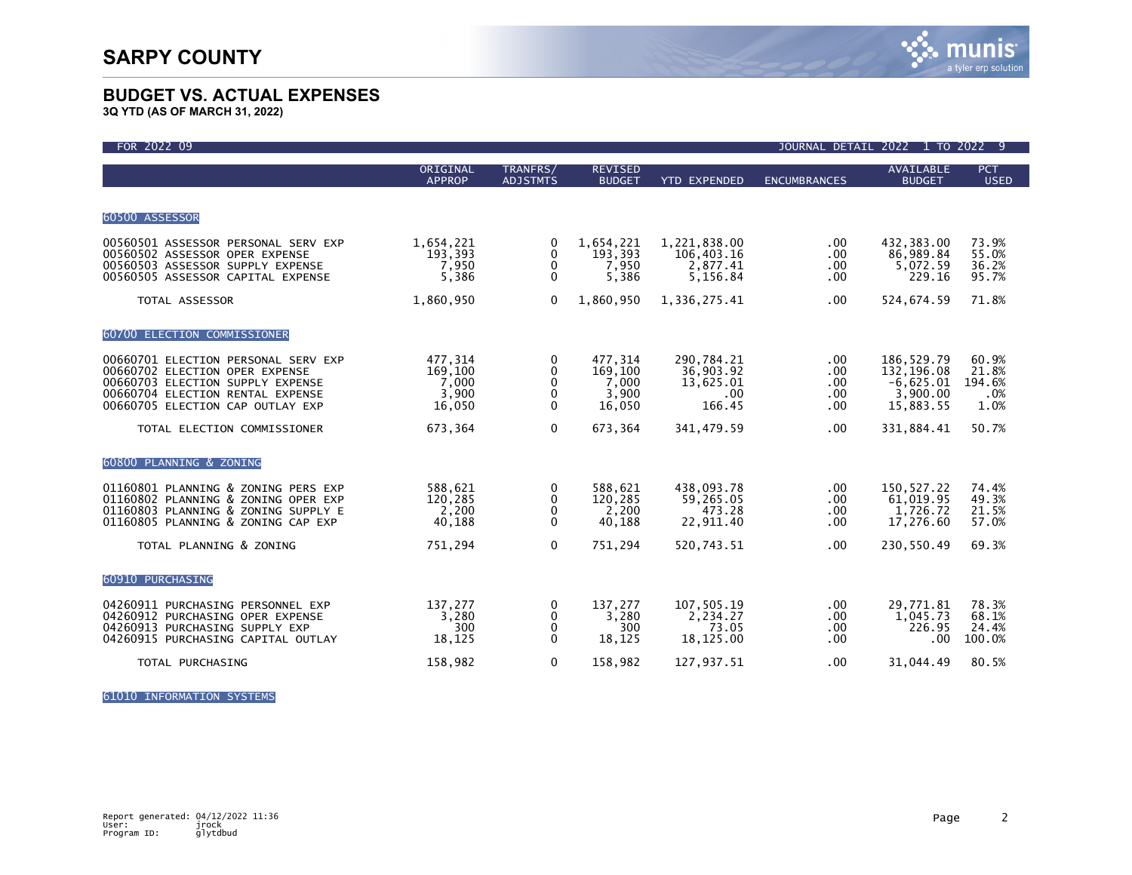

**3Q YTD (AS OF MARCH 31, 2022)**

| FOR 2022 09                                                                                                                                                                       |                                                |                                  |                                                |                                                                |                                 | JOURNAL DETAIL 2022 1 TO 2022                                    | -9                                      |
|-----------------------------------------------------------------------------------------------------------------------------------------------------------------------------------|------------------------------------------------|----------------------------------|------------------------------------------------|----------------------------------------------------------------|---------------------------------|------------------------------------------------------------------|-----------------------------------------|
|                                                                                                                                                                                   | ORIGINAL<br><b>APPROP</b>                      | TRANFRS/<br><b>ADJSTMTS</b>      | <b>REVISED</b><br><b>BUDGET</b>                | <b>YTD EXPENDED</b>                                            | <b>ENCUMBRANCES</b>             | <b>AVAILABLE</b><br><b>BUDGET</b>                                | <b>PCT</b><br><b>USED</b>               |
| 60500 ASSESSOR                                                                                                                                                                    |                                                |                                  |                                                |                                                                |                                 |                                                                  |                                         |
| 00560501 ASSESSOR PERSONAL SERV EXP<br>00560502 ASSESSOR OPER EXPENSE<br>00560503 ASSESSOR SUPPLY EXPENSE<br>00560505 ASSESSOR CAPITAL EXPENSE                                    | 1,654,221<br>193,393<br>7,950<br>5,386         | 0<br>0<br>0<br>$\mathbf{0}$      | 1,654,221<br>193,393<br>7,950<br>5,386         | 1,221,838.00<br>106,403.16<br>2,877.41<br>5,156.84             | .00<br>.00<br>.00<br>$.00 \,$   | 432.383.00<br>86,989.84<br>5,072.59<br>229.16                    | 73.9%<br>55.0%<br>36.2%<br>95.7%        |
| TOTAL ASSESSOR                                                                                                                                                                    | 1,860,950                                      | $\mathbf{0}$                     | 1,860,950                                      | 1,336,275.41                                                   | .00                             | 524,674.59                                                       | 71.8%                                   |
| 60700 ELECTION COMMISSIONER                                                                                                                                                       |                                                |                                  |                                                |                                                                |                                 |                                                                  |                                         |
| 00660701 ELECTION PERSONAL SERV EXP<br>00660702 ELECTION OPER EXPENSE<br>00660703 ELECTION SUPPLY EXPENSE<br>00660704 ELECTION RENTAL EXPENSE<br>00660705 ELECTION CAP OUTLAY EXP | 477,314<br>169,100<br>7,000<br>3,900<br>16,050 | 0<br>0<br>0<br>0<br>$\mathbf{0}$ | 477,314<br>169,100<br>7,000<br>3,900<br>16,050 | 290,784.21<br>36,903.92<br>13,625.01<br>$.00 \times$<br>166.45 | .00<br>.00<br>.00<br>.00<br>.00 | 186,529.79<br>132,196.08<br>$-6,625.01$<br>3,900.00<br>15,883.55 | 60.9%<br>21.8%<br>194.6%<br>.0%<br>1.0% |
| TOTAL ELECTION COMMISSIONER                                                                                                                                                       | 673,364                                        | $\mathbf{0}$                     | 673,364                                        | 341,479.59                                                     | .00                             | 331,884.41                                                       | 50.7%                                   |
| 60800 PLANNING & ZONING                                                                                                                                                           |                                                |                                  |                                                |                                                                |                                 |                                                                  |                                         |
| 01160801 PLANNING & ZONING PERS EXP<br>01160802 PLANNING & ZONING OPER EXP<br>01160803 PLANNING & ZONING SUPPLY E<br>01160805 PLANNING & ZONING CAP EXP                           | 588,621<br>120,285<br>2,200<br>40,188          | 0<br>0<br>0<br>0                 | 588,621<br>120,285<br>2,200<br>40,188          | 438.093.78<br>59,265.05<br>473.28<br>22,911.40                 | $.00 \,$<br>.00<br>.00.<br>.00  | 150,527.22<br>61,019.95<br>1,726.72<br>17,276.60                 | 74.4%<br>49.3%<br>21.5%<br>57.0%        |
| TOTAL PLANNING & ZONING                                                                                                                                                           | 751,294                                        | $\mathbf 0$                      | 751,294                                        | 520,743.51                                                     | .00                             | 230,550.49                                                       | 69.3%                                   |
| 60910 PURCHASING                                                                                                                                                                  |                                                |                                  |                                                |                                                                |                                 |                                                                  |                                         |
| 04260911 PURCHASING PERSONNEL EXP<br>04260912 PURCHASING OPER EXPENSE<br>04260913 PURCHASING SUPPLY EXP<br>04260915 PURCHASING CAPITAL OUTLAY                                     | 137,277<br>3,280<br>300<br>18,125              | 0<br>0<br>0<br>$\mathbf{0}$      | 137,277<br>3,280<br>300<br>18,125              | 107,505.19<br>2.234.27<br>73.05<br>18,125.00                   | .00.<br>$.00 \,$<br>.00.<br>.00 | 29,771.81<br>1.045.73<br>226.95<br>.00                           | 78.3%<br>68.1%<br>24.4%<br>100.0%       |
| TOTAL PURCHASING                                                                                                                                                                  | 158,982                                        | 0                                | 158,982                                        | 127,937.51                                                     | .00                             | 31,044.49                                                        | 80.5%                                   |

61010 INFORMATION SYSTEMS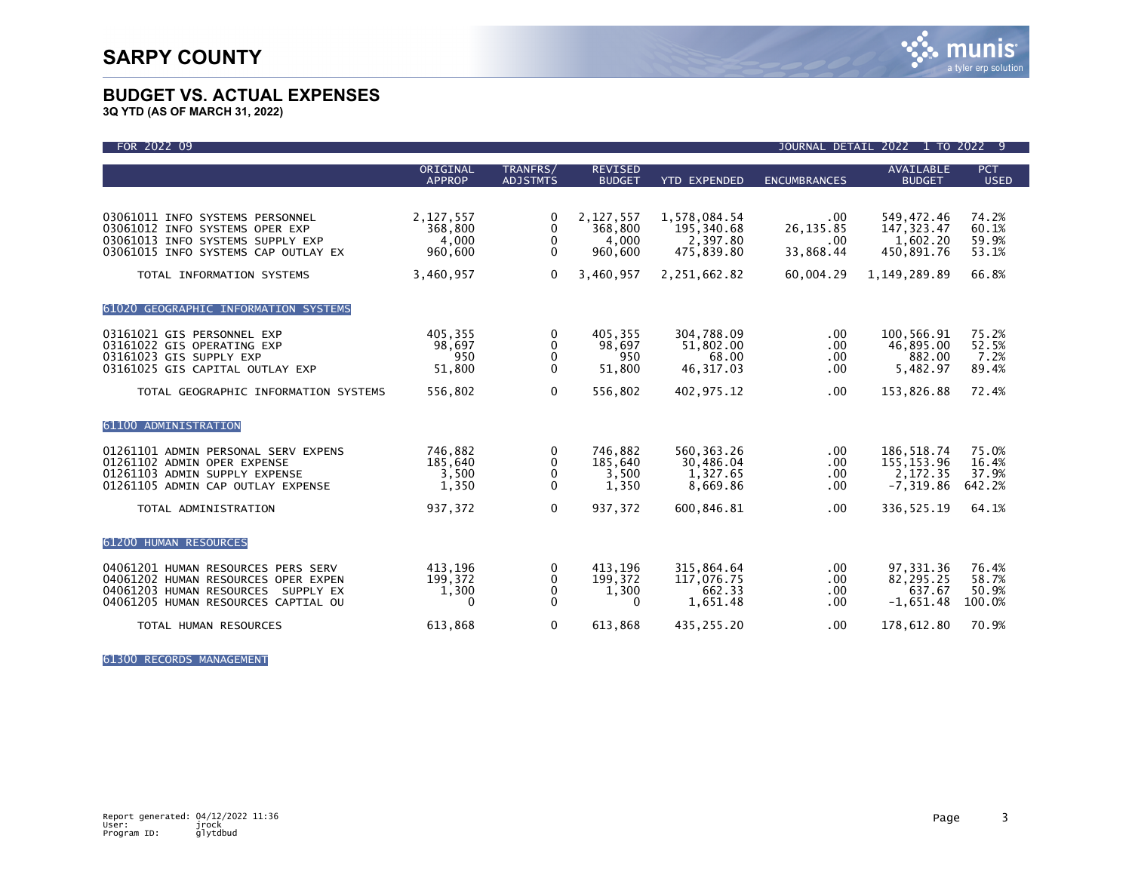

**3Q YTD (AS OF MARCH 31, 2022)**

| FOR 2022 09                                                                                                                                                               |                                                       |                                                               |                                                       |                                                                      | JOURNAL DETAIL 2022                                     |                                                                     | 1 TO 2022 9                               |
|---------------------------------------------------------------------------------------------------------------------------------------------------------------------------|-------------------------------------------------------|---------------------------------------------------------------|-------------------------------------------------------|----------------------------------------------------------------------|---------------------------------------------------------|---------------------------------------------------------------------|-------------------------------------------|
|                                                                                                                                                                           | ORIGINAL<br><b>APPROP</b>                             | TRANFRS/<br><b>ADJSTMTS</b>                                   | <b>REVISED</b><br><b>BUDGET</b>                       | <b>YTD EXPENDED</b>                                                  | <b>ENCUMBRANCES</b>                                     | <b>AVAILABLE</b><br><b>BUDGET</b>                                   | <b>PCT</b><br><b>USED</b>                 |
| 03061011 INFO SYSTEMS PERSONNEL<br>03061012 INFO SYSTEMS OPER EXP<br>03061013 INFO SYSTEMS SUPPLY EXP<br>03061015 INFO SYSTEMS CAP OUTLAY EX<br>TOTAL INFORMATION SYSTEMS | 2,127,557<br>368,800<br>4,000<br>960,600<br>3,460,957 | 0<br>$\mathbf{0}$<br>$\mathbf{0}$<br>$\mathbf{0}$<br>$\Omega$ | 2,127,557<br>368,800<br>4,000<br>960,600<br>3,460,957 | 1,578,084.54<br>195,340.68<br>2,397.80<br>475,839.80<br>2,251,662.82 | $.00 \,$<br>26, 135.85<br>.00<br>33,868.44<br>60,004.29 | 549.472.46<br>147, 323.47<br>1,602.20<br>450,891.76<br>1,149,289.89 | 74.2%<br>60.1%<br>59.9%<br>53.1%<br>66.8% |
| 61020 GEOGRAPHIC INFORMATION SYSTEMS                                                                                                                                      |                                                       |                                                               |                                                       |                                                                      |                                                         |                                                                     |                                           |
| 03161021 GIS PERSONNEL EXP<br>03161022 GIS OPERATING EXP<br>03161023 GIS SUPPLY EXP<br>03161025 GIS CAPITAL OUTLAY EXP<br>TOTAL GEOGRAPHIC INFORMATION SYSTEMS            | 405,355<br>98,697<br>950<br>51,800<br>556,802         | 0<br>0<br>0<br>$\Omega$<br>$\mathbf 0$                        | 405,355<br>98,697<br>950<br>51,800<br>556,802         | 304,788.09<br>51,802.00<br>68.00<br>46, 317.03<br>402,975.12         | .00<br>.00<br>.00<br>.00<br>.00                         | 100,566.91<br>46,895.00<br>882.00<br>5,482.97<br>153,826.88         | 75.2%<br>52.5%<br>7.2%<br>89.4%<br>72.4%  |
| 61100 ADMINISTRATION                                                                                                                                                      |                                                       |                                                               |                                                       |                                                                      |                                                         |                                                                     |                                           |
| 01261101 ADMIN PERSONAL SERV EXPENS<br>01261102 ADMIN OPER EXPENSE<br>01261103 ADMIN SUPPLY EXPENSE<br>01261105 ADMIN CAP OUTLAY EXPENSE                                  | 746.882<br>185,640<br>3,500<br>1,350                  | 0<br>0<br>$\mathbf{0}$<br>$\Omega$                            | 746.882<br>185,640<br>3,500<br>1,350                  | 560, 363. 26<br>30,486.04<br>1,327.65<br>8.669.86                    | .00<br>.00<br>.00<br>.00                                | 186.518.74<br>155, 153.96<br>2,172.35<br>$-7.319.86$                | 75.0%<br>16.4%<br>37.9%<br>642.2%         |
| TOTAL ADMINISTRATION                                                                                                                                                      | 937,372                                               | $\mathbf{0}$                                                  | 937,372                                               | 600,846.81                                                           | $.00 \,$                                                | 336, 525.19                                                         | 64.1%                                     |
| 61200 HUMAN RESOURCES                                                                                                                                                     |                                                       |                                                               |                                                       |                                                                      |                                                         |                                                                     |                                           |
| 04061201 HUMAN RESOURCES PERS SERV<br>04061202 HUMAN RESOURCES OPER EXPEN<br>04061203 HUMAN RESOURCES SUPPLY EX<br>04061205 HUMAN RESOURCES CAPTIAL OU                    | 413,196<br>199,372<br>1,300<br>$\mathbf{0}$           | 0<br>0<br>0<br>$\mathbf{0}$                                   | 413,196<br>199,372<br>1,300<br>0                      | 315,864.64<br>117,076.75<br>662.33<br>1,651.48                       | .00<br>.00<br>.00<br>.00                                | 97,331.36<br>82,295.25<br>637.67<br>$-1,651.48$                     | 76.4%<br>58.7%<br>50.9%<br>100.0%         |
| TOTAL HUMAN RESOURCES                                                                                                                                                     | 613,868                                               | 0                                                             | 613,868                                               | 435,255.20                                                           | .00                                                     | 178,612.80                                                          | 70.9%                                     |

61300 RECORDS MANAGEMENT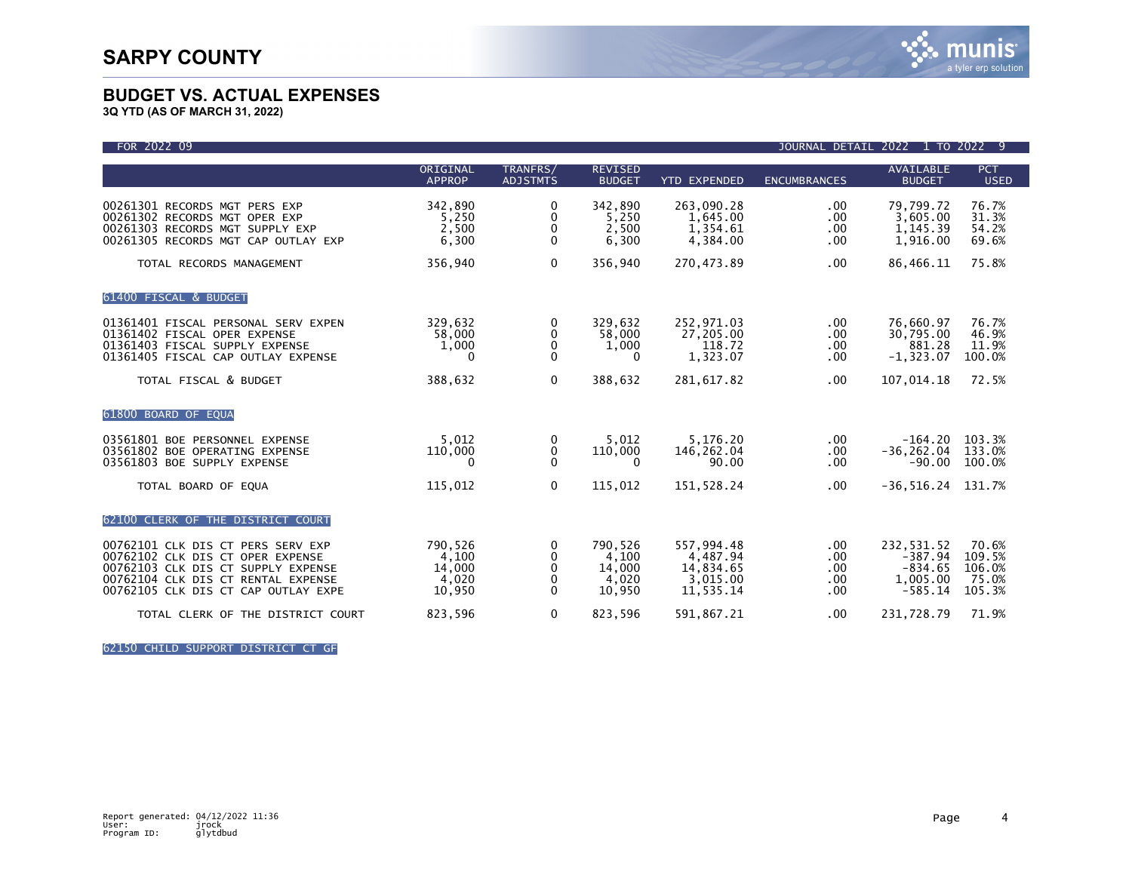**3Q YTD (AS OF MARCH 31, 2022)**

| FOR 2022 09                                                                                                                                                                              |                                               |                                  |                                               |                                                              | <b>JOURNAL DETAIL</b>                     | 2022<br>1                                                     | TO 2022 9                                    |
|------------------------------------------------------------------------------------------------------------------------------------------------------------------------------------------|-----------------------------------------------|----------------------------------|-----------------------------------------------|--------------------------------------------------------------|-------------------------------------------|---------------------------------------------------------------|----------------------------------------------|
|                                                                                                                                                                                          | ORIGINAL<br><b>APPROP</b>                     | TRANFRS/<br><b>ADJSTMTS</b>      | <b>REVISED</b><br><b>BUDGET</b>               | <b>YTD EXPENDED</b>                                          | <b>ENCUMBRANCES</b>                       | <b>AVAILABLE</b><br><b>BUDGET</b>                             | <b>PCT</b><br><b>USED</b>                    |
| 00261301 RECORDS MGT PERS EXP<br>00261302 RECORDS MGT OPER EXP<br>00261303 RECORDS MGT SUPPLY EXP<br>00261305 RECORDS MGT CAP OUTLAY EXP                                                 | 342,890<br>5,250<br>2,500<br>6,300            | 0<br>0<br>0<br>$\mathbf{0}$      | 342,890<br>5.250<br>2,500<br>6,300            | 263,090.28<br>1,645.00<br>1,354.61<br>4,384.00               | $.00 \,$<br>.00<br>.00<br>.00             | 79,799.72<br>3,605.00<br>1,145.39<br>1,916.00                 | 76.7%<br>31.3%<br>54.2%<br>69.6%             |
| TOTAL RECORDS MANAGEMENT                                                                                                                                                                 | 356,940                                       | $\Omega$                         | 356,940                                       | 270,473.89                                                   | .00                                       | 86,466.11                                                     | 75.8%                                        |
| 61400 FISCAL & BUDGET                                                                                                                                                                    |                                               |                                  |                                               |                                                              |                                           |                                                               |                                              |
| 01361401 FISCAL PERSONAL SERV EXPEN<br>01361402 FISCAL OPER EXPENSE<br>01361403 FISCAL SUPPLY EXPENSE<br>01361405 FISCAL CAP OUTLAY EXPENSE                                              | 329,632<br>58,000<br>1,000<br>0               | 0<br>0<br>0<br>$\mathbf{0}$      | 329,632<br>58,000<br>1,000<br>0               | 252,971.03<br>27,205.00<br>118.72<br>1,323.07                | $.00 \,$<br>.00.<br>.00.<br>.00           | 76,660.97<br>30,795.00<br>881.28<br>$-1,323.07$               | 76.7%<br>46.9%<br>11.9%<br>100.0%            |
| TOTAL FISCAL & BUDGET                                                                                                                                                                    | 388,632                                       | 0                                | 388,632                                       | 281,617.82                                                   | .00                                       | 107,014.18                                                    | 72.5%                                        |
| 61800 BOARD OF EQUA                                                                                                                                                                      |                                               |                                  |                                               |                                                              |                                           |                                                               |                                              |
| 03561801 BOE PERSONNEL EXPENSE<br>03561802 BOE OPERATING EXPENSE<br>03561803 BOE SUPPLY EXPENSE                                                                                          | 5.012<br>110,000<br>0                         | 0<br>0<br>$\mathbf{0}$           | 5.012<br>110,000<br>0                         | 5,176.20<br>146,262.04<br>90.00                              | .00<br>.00<br>.00                         | $-164.20$<br>$-36, 262.04$<br>$-90.00$                        | 103.3%<br>133.0%<br>100.0%                   |
| TOTAL BOARD OF EQUA                                                                                                                                                                      | 115,012                                       | $\Omega$                         | 115,012                                       | 151,528.24                                                   | .00.                                      | $-36, 516.24$                                                 | 131.7%                                       |
| 62100 CLERK OF THE DISTRICT COURT                                                                                                                                                        |                                               |                                  |                                               |                                                              |                                           |                                                               |                                              |
| 00762101 CLK DIS CT PERS SERV EXP<br>00762102 CLK DIS CT OPER EXPENSE<br>00762103 CLK DIS CT SUPPLY EXPENSE<br>00762104 CLK DIS CT RENTAL EXPENSE<br>00762105 CLK DIS CT CAP OUTLAY EXPE | 790,526<br>4,100<br>14,000<br>4,020<br>10,950 | 0<br>0<br>0<br>0<br>$\mathbf{0}$ | 790,526<br>4,100<br>14,000<br>4,020<br>10,950 | 557,994.48<br>4,487.94<br>14,834.65<br>3,015.00<br>11,535.14 | $.00 \,$<br>.00<br>.00<br>$.00 \,$<br>.00 | 232,531.52<br>$-387.94$<br>$-834.65$<br>1,005.00<br>$-585.14$ | 70.6%<br>109.5%<br>106.0%<br>75.0%<br>105.3% |
| TOTAL CLERK OF THE DISTRICT COURT                                                                                                                                                        | 823,596                                       | 0                                | 823,596                                       | 591,867.21                                                   | .00                                       | 231,728.79                                                    | 71.9%                                        |

62150 CHILD SUPPORT DISTRICT CT GF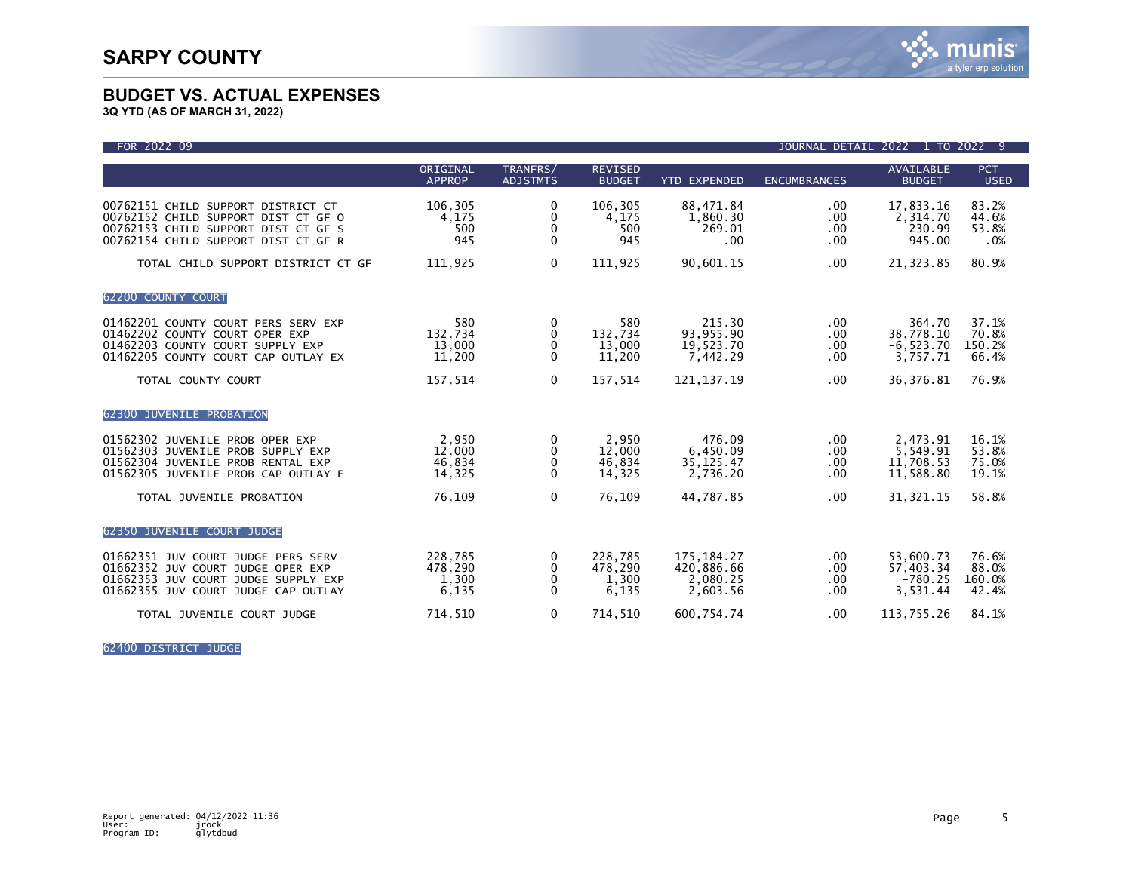

**3Q YTD (AS OF MARCH 31, 2022)**

| FOR 2022 09                                                                                                                                             |                                      |                                                  |                                      |                                                  | <b>JOURNAL DETAIL</b>              | 2022 1 TO 2022 9                                |                                   |
|---------------------------------------------------------------------------------------------------------------------------------------------------------|--------------------------------------|--------------------------------------------------|--------------------------------------|--------------------------------------------------|------------------------------------|-------------------------------------------------|-----------------------------------|
|                                                                                                                                                         | ORIGINAL<br><b>APPROP</b>            | TRANFRS/<br><b>ADJSTMTS</b>                      | <b>REVISED</b><br><b>BUDGET</b>      | <b>YTD EXPENDED</b>                              | <b>ENCUMBRANCES</b>                | <b>AVAILABLE</b><br><b>BUDGET</b>               | <b>PCT</b><br><b>USED</b>         |
| 00762151 CHILD SUPPORT DISTRICT CT<br>00762152 CHILD SUPPORT DIST CT GF O<br>00762153 CHILD SUPPORT DIST CT GF S<br>00762154 CHILD SUPPORT DIST CT GF R | 106,305<br>4,175<br>500<br>945       | 0<br>0<br>0<br>$\mathbf{0}$                      | 106,305<br>4,175<br>500<br>945       | 88,471.84<br>1,860.30<br>269.01<br>$.00 \,$      | .00<br>.00<br>.00<br>$.00 \,$      | 17,833.16<br>2,314.70<br>230.99<br>945.00       | 83.2%<br>44.6%<br>53.8%<br>.0%    |
| TOTAL CHILD SUPPORT DISTRICT CT GF                                                                                                                      | 111,925                              | $\mathbf 0$                                      | 111,925                              | 90,601.15                                        | .00                                | 21,323.85                                       | 80.9%                             |
| 62200 COUNTY COURT                                                                                                                                      |                                      |                                                  |                                      |                                                  |                                    |                                                 |                                   |
| 01462201 COUNTY COURT PERS SERV EXP<br>01462202 COUNTY COURT OPER EXP<br>01462203 COUNTY COURT SUPPLY EXP<br>01462205 COUNTY COURT CAP OUTLAY EX        | 580<br>132,734<br>13,000<br>11,200   | 0<br>0<br>0<br>0                                 | 580<br>132,734<br>13,000<br>11,200   | 215.30<br>93,955.90<br>19,523.70<br>7,442.29     | .00<br>.00<br>.00<br>.00           | 364.70<br>38,778.10<br>$-6, 523.70$<br>3,757.71 | 37.1%<br>70.8%<br>150.2%<br>66.4% |
| TOTAL COUNTY COURT                                                                                                                                      | 157,514                              | $\mathbf{0}$                                     | 157,514                              | 121, 137. 19                                     | .00.                               | 36,376.81                                       | 76.9%                             |
| 62300 JUVENILE PROBATION                                                                                                                                |                                      |                                                  |                                      |                                                  |                                    |                                                 |                                   |
| 01562302 JUVENILE PROB OPER EXP<br>01562303 JUVENILE PROB SUPPLY EXP<br>01562304 JUVENILE PROB RENTAL EXP<br>01562305 JUVENILE PROB CAP OUTLAY E        | 2,950<br>12,000<br>46,834<br>14,325  | 0<br>$\mathbf{0}$<br>$\mathbf 0$<br>$\mathbf{0}$ | 2,950<br>12,000<br>46,834<br>14,325  | 476.09<br>6,450.09<br>35, 125.47<br>2.736.20     | $.00 \,$<br>.00<br>$.00 \,$<br>.00 | 2,473.91<br>5,549.91<br>11,708.53<br>11,588.80  | 16.1%<br>53.8%<br>75.0%<br>19.1%  |
| TOTAL JUVENILE PROBATION                                                                                                                                | 76,109                               | $\mathbf{0}$                                     | 76,109                               | 44,787.85                                        | .00                                | 31, 321. 15                                     | 58.8%                             |
| 62350 JUVENILE COURT JUDGE                                                                                                                              |                                      |                                                  |                                      |                                                  |                                    |                                                 |                                   |
| 01662351 JUV COURT JUDGE PERS SERV<br>01662352 JUV COURT JUDGE OPER EXP<br>01662353 JUV COURT JUDGE SUPPLY EXP<br>01662355 JUV COURT JUDGE CAP OUTLAY   | 228.785<br>478,290<br>1,300<br>6,135 | 0<br>0<br>$\mathbf{0}$<br>$\mathbf 0$            | 228.785<br>478,290<br>1,300<br>6,135 | 175.184.27<br>420,886.66<br>2,080.25<br>2.603.56 | .00<br>.00<br>.00<br>.00           | 53,600.73<br>57.403.34<br>$-780.25$<br>3,531.44 | 76.6%<br>88.0%<br>160.0%<br>42.4% |
| TOTAL JUVENILE COURT JUDGE                                                                                                                              | 714,510                              | $\mathbf 0$                                      | 714,510                              | 600,754.74                                       | .00                                | 113,755.26                                      | 84.1%                             |

62400 DISTRICT JUDGE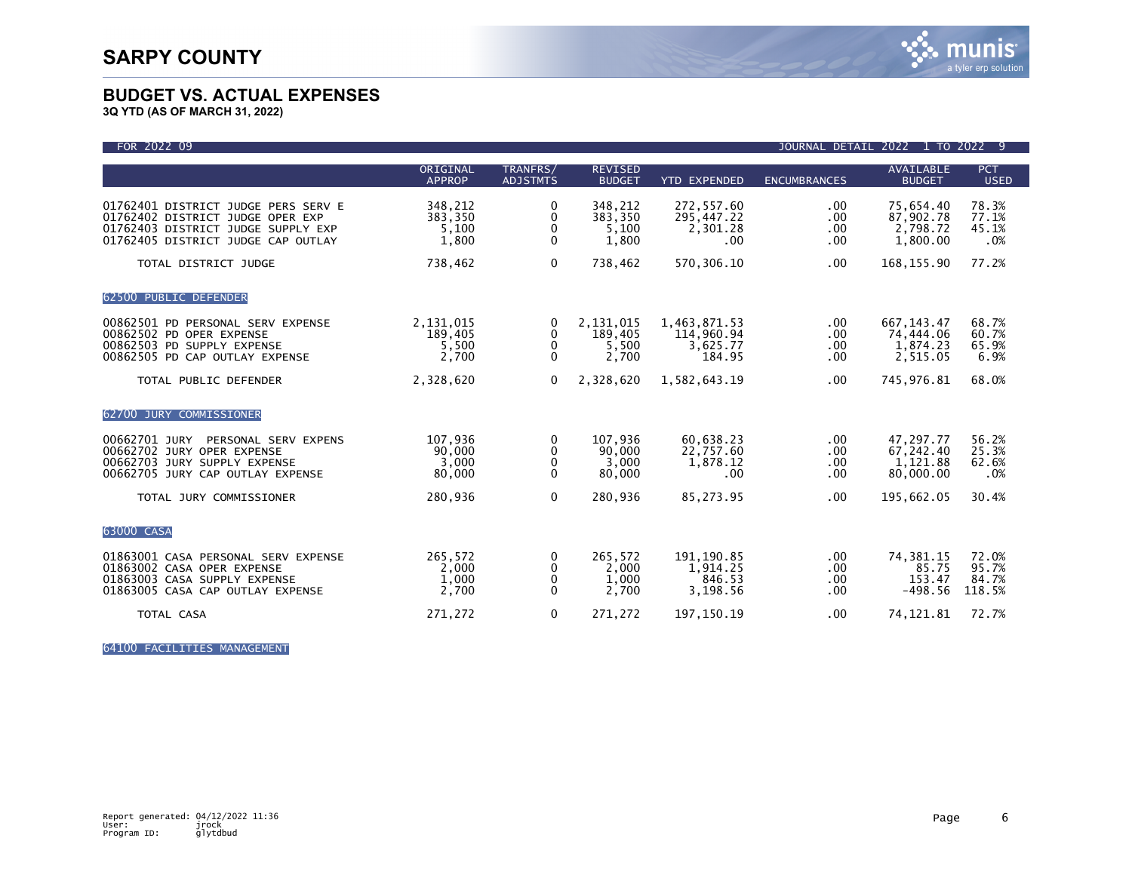

**3Q YTD (AS OF MARCH 31, 2022)**

| FOR 2022 09                                                                                                                                         |                                        |                                    |                                        |                                                  | <b>JOURNAL DETAIL</b>     | 2022                                             | 1 TO 2022 9                       |
|-----------------------------------------------------------------------------------------------------------------------------------------------------|----------------------------------------|------------------------------------|----------------------------------------|--------------------------------------------------|---------------------------|--------------------------------------------------|-----------------------------------|
|                                                                                                                                                     | ORIGINAL<br><b>APPROP</b>              | TRANFRS/<br><b>ADJSTMTS</b>        | <b>REVISED</b><br><b>BUDGET</b>        | <b>YTD EXPENDED</b>                              | <b>ENCUMBRANCES</b>       | <b>AVAILABLE</b><br><b>BUDGET</b>                | <b>PCT</b><br><b>USED</b>         |
| 01762401 DISTRICT JUDGE PERS SERV E<br>01762402 DISTRICT JUDGE OPER EXP<br>01762403 DISTRICT JUDGE SUPPLY EXP<br>01762405 DISTRICT JUDGE CAP OUTLAY | 348,212<br>383.350<br>5,100<br>1,800   | 0<br>0<br>0<br>$\Omega$            | 348,212<br>383,350<br>5,100<br>1,800   | 272,557.60<br>295,447.22<br>2,301.28<br>.00      | .00<br>.00<br>.00<br>.00  | 75,654.40<br>87,902.78<br>2,798.72<br>1,800.00   | 78.3%<br>77.1%<br>45.1%<br>.0%    |
| TOTAL DISTRICT JUDGE                                                                                                                                | 738,462                                | $\mathbf 0$                        | 738,462                                | 570, 306.10                                      | $.00 \,$                  | 168, 155.90                                      | 77.2%                             |
| 62500 PUBLIC DEFENDER                                                                                                                               |                                        |                                    |                                        |                                                  |                           |                                                  |                                   |
| 00862501 PD PERSONAL SERV EXPENSE<br>00862502 PD OPER EXPENSE<br>00862503 PD SUPPLY EXPENSE<br>00862505 PD CAP OUTLAY EXPENSE                       | 2,131,015<br>189,405<br>5,500<br>2,700 | 0<br>$\mathbf 0$<br>0<br>$\Omega$  | 2,131,015<br>189.405<br>5,500<br>2,700 | 1,463,871.53<br>114,960.94<br>3,625.77<br>184.95 | .00.<br>.00<br>.00<br>.00 | 667, 143.47<br>74,444.06<br>1,874.23<br>2,515.05 | 68.7%<br>60.7%<br>65.9%<br>6.9%   |
| TOTAL PUBLIC DEFENDER                                                                                                                               | 2,328,620                              | $\mathbf{0}$                       | 2,328,620                              | 1,582,643.19                                     | .00                       | 745,976.81                                       | 68.0%                             |
| 62700 JURY COMMISSIONER                                                                                                                             |                                        |                                    |                                        |                                                  |                           |                                                  |                                   |
| 00662701 JURY<br>PERSONAL SERV EXPENS<br>00662702 JURY OPER EXPENSE<br>00662703 JURY SUPPLY EXPENSE<br>00662705 JURY CAP OUTLAY EXPENSE             | 107,936<br>90,000<br>3,000<br>80,000   | 0<br>0<br>0<br>$\Omega$            | 107,936<br>90,000<br>3,000<br>80,000   | 60,638.23<br>22,757.60<br>1,878.12<br>.00        | .00<br>.00<br>.00<br>.00  | 47,297.77<br>67,242.40<br>1,121.88<br>80,000.00  | 56.2%<br>25.3%<br>62.6%<br>.0%    |
| TOTAL JURY COMMISSIONER                                                                                                                             | 280,936                                | $\Omega$                           | 280,936                                | 85,273.95                                        | .00.                      | 195,662.05                                       | 30.4%                             |
| 63000 CASA                                                                                                                                          |                                        |                                    |                                        |                                                  |                           |                                                  |                                   |
| 01863001 CASA PERSONAL SERV EXPENSE<br>01863002 CASA OPER EXPENSE<br>01863003 CASA SUPPLY EXPENSE<br>01863005 CASA CAP OUTLAY EXPENSE               | 265,572<br>2,000<br>1,000<br>2,700     | 0<br>$\mathbf{0}$<br>0<br>$\Omega$ | 265,572<br>2,000<br>1,000<br>2,700     | 191, 190.85<br>1,914.25<br>846.53<br>3,198.56    | .00<br>.00<br>.00<br>.00  | 74,381.15<br>85.75<br>153.47<br>$-498.56$        | 72.0%<br>95.7%<br>84.7%<br>118.5% |
| TOTAL CASA                                                                                                                                          | 271,272                                | $\mathbf 0$                        | 271,272                                | 197, 150. 19                                     | .00                       | 74, 121.81                                       | 72.7%                             |

64100 FACILITIES MANAGEMENT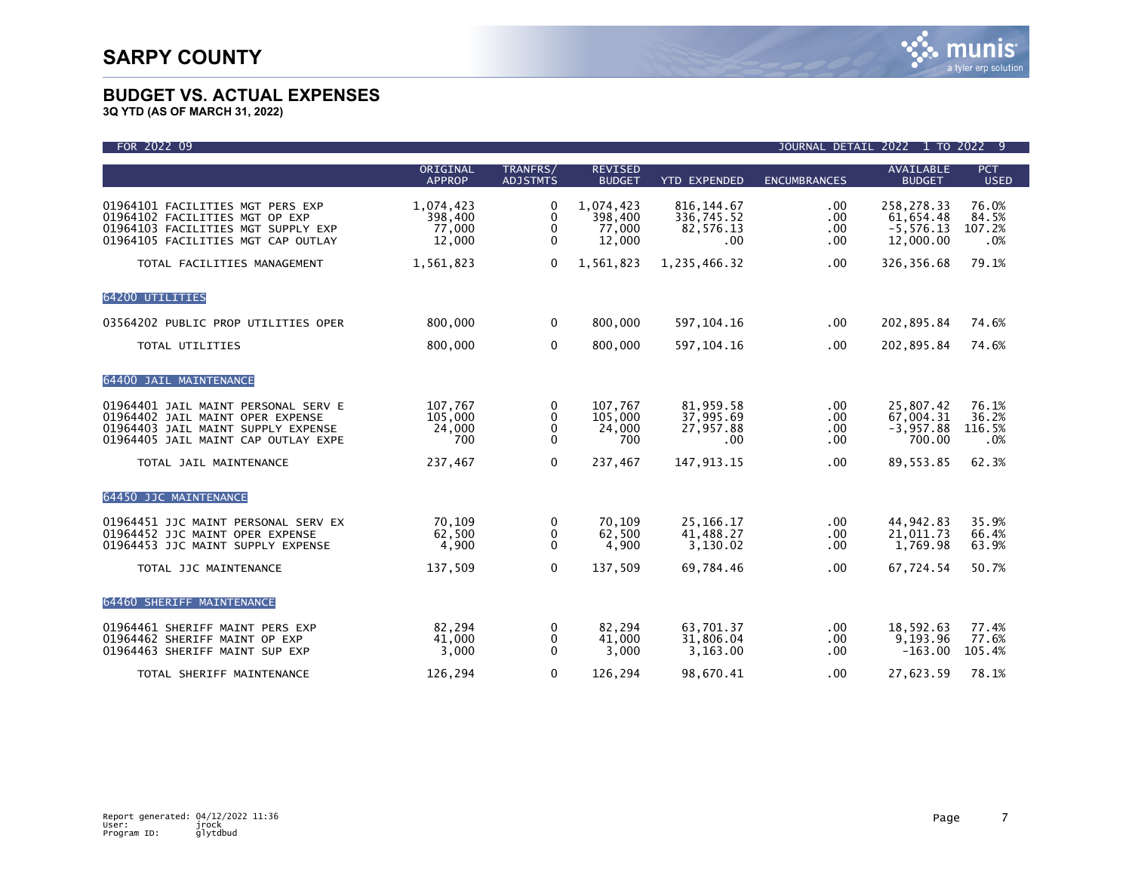| FOR 2022 09                                                                                                                                          |                                          |                                               |                                          |                                               |                                      | JOURNAL DETAIL 2022 1 TO 2022 9                      |                                 |
|------------------------------------------------------------------------------------------------------------------------------------------------------|------------------------------------------|-----------------------------------------------|------------------------------------------|-----------------------------------------------|--------------------------------------|------------------------------------------------------|---------------------------------|
|                                                                                                                                                      | ORIGINAL<br><b>APPROP</b>                | TRANFRS/<br><b>ADJSTMTS</b>                   | <b>REVISED</b><br><b>BUDGET</b>          | <b>YTD EXPENDED</b>                           | <b>ENCUMBRANCES</b>                  | <b>AVAILABLE</b><br><b>BUDGET</b>                    | <b>PCT</b><br><b>USED</b>       |
| 01964101 FACILITIES MGT PERS EXP<br>01964102 FACILITIES MGT OP EXP<br>01964103 FACILITIES MGT SUPPLY EXP<br>01964105 FACILITIES MGT CAP OUTLAY       | 1,074,423<br>398,400<br>77,000<br>12,000 | 0<br>$\Omega$<br>$\mathbf{0}$<br>$\mathbf{0}$ | 1,074,423<br>398,400<br>77,000<br>12,000 | 816, 144.67<br>336,745.52<br>82,576.13<br>.00 | $.00 \,$<br>.00<br>.00.<br>.00       | 258,278.33<br>61,654.48<br>$-5, 576.13$<br>12,000.00 | 76.0%<br>84.5%<br>107.2%<br>.0% |
| TOTAL FACILITIES MANAGEMENT                                                                                                                          | 1,561,823                                | $\mathbf{0}$                                  | 1,561,823                                | 1,235,466.32                                  | $.00 \,$                             | 326, 356.68                                          | 79.1%                           |
| 64200 UTILITIES                                                                                                                                      |                                          |                                               |                                          |                                               |                                      |                                                      |                                 |
| 03564202 PUBLIC PROP UTILITIES OPER                                                                                                                  | 800,000                                  | $\Omega$                                      | 800,000                                  | 597, 104. 16                                  | .00                                  | 202,895.84                                           | 74.6%                           |
| TOTAL UTILITIES                                                                                                                                      | 800,000                                  | $\mathbf 0$                                   | 800,000                                  | 597, 104. 16                                  | .00.                                 | 202,895.84                                           | 74.6%                           |
| 64400 JAIL MAINTENANCE                                                                                                                               |                                          |                                               |                                          |                                               |                                      |                                                      |                                 |
| 01964401 JAIL MAINT PERSONAL SERV E<br>01964402 JAIL MAINT OPER EXPENSE<br>01964403 JAIL MAINT SUPPLY EXPENSE<br>01964405 JAIL MAINT CAP OUTLAY EXPE | 107,767<br>105,000<br>24,000<br>700      | 0<br>$\mathbf{0}$<br>0<br>0                   | 107,767<br>105,000<br>24,000<br>700      | 81,959.58<br>37,995.69<br>27,957.88<br>.00    | $.00 \,$<br>.00.<br>$.00 \,$<br>.00. | 25,807.42<br>67,004.31<br>$-3,957.88$<br>700.00      | 76.1%<br>36.2%<br>116.5%<br>.0% |
| TOTAL JAIL MAINTENANCE                                                                                                                               | 237,467                                  | $\mathbf 0$                                   | 237,467                                  | 147, 913. 15                                  | .00.                                 | 89,553.85                                            | 62.3%                           |
| 64450 JJC MAINTENANCE                                                                                                                                |                                          |                                               |                                          |                                               |                                      |                                                      |                                 |
| 01964451 JJC MAINT PERSONAL SERV EX<br>01964452 JJC MAINT OPER EXPENSE<br>01964453 JJC MAINT SUPPLY EXPENSE                                          | 70.109<br>62,500<br>4,900                | 0<br>0<br>$\mathbf{0}$                        | 70,109<br>62,500<br>4,900                | 25, 166. 17<br>41.488.27<br>3,130.02          | $.00 \,$<br>$.00 \,$<br>.00          | 44,942.83<br>21.011.73<br>1,769.98                   | 35.9%<br>66.4%<br>63.9%         |
| TOTAL JJC MAINTENANCE                                                                                                                                | 137,509                                  | $\mathbf 0$                                   | 137,509                                  | 69,784.46                                     | .00.                                 | 67,724.54                                            | 50.7%                           |
| 64460 SHERIFF MAINTENANCE                                                                                                                            |                                          |                                               |                                          |                                               |                                      |                                                      |                                 |
| 01964461 SHERIFF MAINT PERS EXP<br>01964462 SHERIFF MAINT OP EXP<br>01964463 SHERIFF MAINT SUP EXP                                                   | 82,294<br>41,000<br>3,000                | 0<br>0<br>$\mathbf{0}$                        | 82,294<br>41,000<br>3,000                | 63.701.37<br>31,806.04<br>3,163.00            | $.00 \,$<br>.00.<br>.00              | 18,592.63<br>9,193.96<br>$-163.00$                   | 77.4%<br>77.6%<br>105.4%        |
| TOTAL SHERIFF MAINTENANCE                                                                                                                            | 126,294                                  | $\Omega$                                      | 126,294                                  | 98.670.41                                     | .00                                  | 27,623.59                                            | 78.1%                           |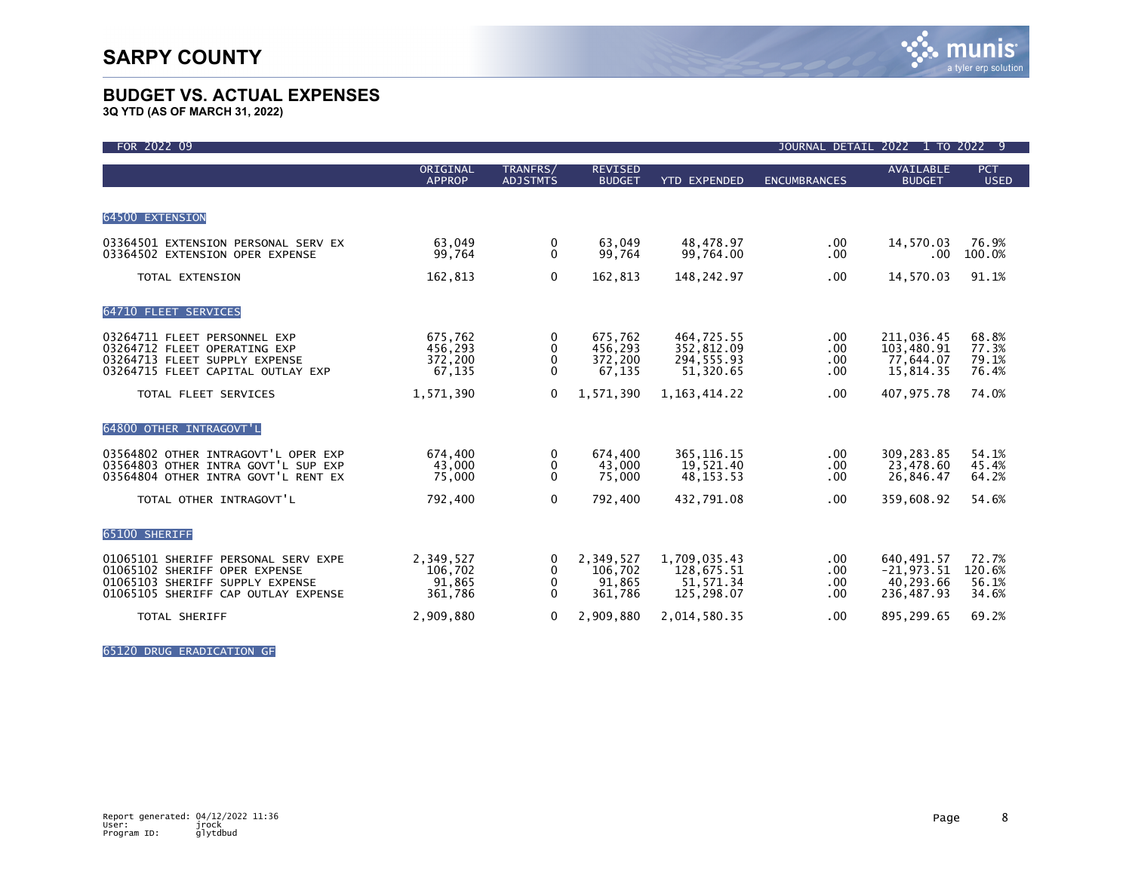**3Q YTD (AS OF MARCH 31, 2022)**

| FOR 2022 09                                                                                                                                    |                                           |                             |                                           |                                                       | JOURNAL DETAIL            | 2022 1 TO 2022 9                                      |                                   |
|------------------------------------------------------------------------------------------------------------------------------------------------|-------------------------------------------|-----------------------------|-------------------------------------------|-------------------------------------------------------|---------------------------|-------------------------------------------------------|-----------------------------------|
|                                                                                                                                                | ORIGINAL<br><b>APPROP</b>                 | TRANFRS/<br><b>ADJSTMTS</b> | <b>REVISED</b><br><b>BUDGET</b>           | <b>YTD EXPENDED</b>                                   | <b>ENCUMBRANCES</b>       | <b>AVAILABLE</b><br><b>BUDGET</b>                     | <b>PCT</b><br><b>USED</b>         |
| 64500 EXTENSION                                                                                                                                |                                           |                             |                                           |                                                       |                           |                                                       |                                   |
| 03364501 EXTENSION PERSONAL SERV EX<br>03364502 EXTENSION OPER EXPENSE                                                                         | 63.049<br>99,764                          | 0<br>$\mathbf{0}$           | 63.049<br>99,764                          | 48.478.97<br>99,764.00                                | $.00 \,$<br>$.00 \,$      | 14,570.03<br>$.00 \,$                                 | 76.9%<br>100.0%                   |
| TOTAL EXTENSION                                                                                                                                | 162,813                                   | $\mathbf 0$                 | 162,813                                   | 148,242.97                                            | $.00 \,$                  | 14,570.03                                             | 91.1%                             |
| 64710 FLEET SERVICES                                                                                                                           |                                           |                             |                                           |                                                       |                           |                                                       |                                   |
| 03264711 FLEET PERSONNEL EXP<br>03264712 FLEET OPERATING EXP<br>03264713 FLEET SUPPLY EXPENSE<br>03264715 FLEET CAPITAL OUTLAY EXP             | 675,762<br>456,293<br>372,200<br>67,135   | 0<br>0<br>0<br>0            | 675,762<br>456,293<br>372,200<br>67,135   | 464,725.55<br>352,812.09<br>294,555.93<br>51,320.65   | .00<br>.00<br>.00<br>.00  | 211,036.45<br>103,480.91<br>77,644.07<br>15,814.35    | 68.8%<br>77.3%<br>79.1%<br>76.4%  |
| TOTAL FLEET SERVICES                                                                                                                           | 1,571,390                                 | $\mathbf{0}$                | 1,571,390                                 | 1, 163, 414. 22                                       | $.00 \,$                  | 407,975.78                                            | 74.0%                             |
| 64800 OTHER INTRAGOVT'L                                                                                                                        |                                           |                             |                                           |                                                       |                           |                                                       |                                   |
| 03564802 OTHER INTRAGOVT'L OPER EXP<br>03564803 OTHER INTRA GOVT'L SUP EXP<br>03564804 OTHER INTRA GOVT'L RENT EX                              | 674,400<br>43,000<br>75,000               | 0<br>0<br>$\mathbf{0}$      | 674,400<br>43,000<br>75,000               | 365, 116. 15<br>19,521.40<br>48, 153. 53              | .00.<br>.00<br>.00        | 309,283.85<br>23,478.60<br>26,846.47                  | 54.1%<br>45.4%<br>64.2%           |
| TOTAL OTHER INTRAGOVT'L                                                                                                                        | 792,400                                   | $\mathbf{0}$                | 792.400                                   | 432.791.08                                            | .00                       | 359.608.92                                            | 54.6%                             |
| 65100 SHERIFF                                                                                                                                  |                                           |                             |                                           |                                                       |                           |                                                       |                                   |
| 01065101 SHERIFF PERSONAL SERV EXPE<br>01065102 SHERIFF OPER EXPENSE<br>01065103 SHERIFF SUPPLY EXPENSE<br>01065105 SHERIFF CAP OUTLAY EXPENSE | 2,349,527<br>106,702<br>91,865<br>361,786 | 0<br>0<br>0<br>0            | 2,349,527<br>106,702<br>91.865<br>361,786 | 1,709,035.43<br>128,675.51<br>51,571.34<br>125,298.07 | .00.<br>.00<br>.00<br>.00 | 640,491.57<br>$-21,973.51$<br>40,293.66<br>236,487.93 | 72.7%<br>120.6%<br>56.1%<br>34.6% |
| <b>TOTAL SHERIFF</b>                                                                                                                           | 2,909,880                                 | 0                           | 2,909,880                                 | 2,014,580.35                                          | $.00 \,$                  | 895,299.65                                            | 69.2%                             |

65120 DRUG ERADICATION GF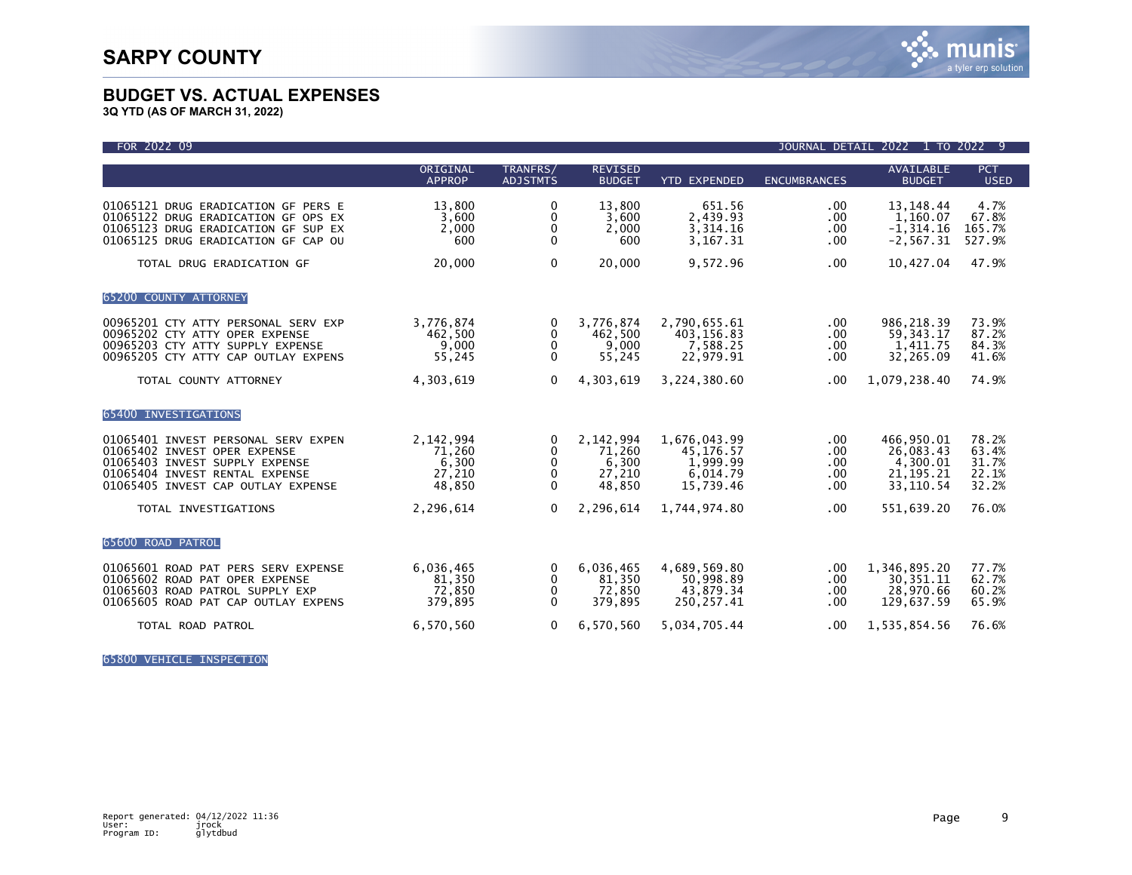

**3Q YTD (AS OF MARCH 31, 2022)**

| FOR 2022 09                                                                                                                                                                   |                                                  |                                                  |                                                  |                                                                |                                 | JOURNAL DETAIL 2022 1 TO 2022 9                                 |                                           |
|-------------------------------------------------------------------------------------------------------------------------------------------------------------------------------|--------------------------------------------------|--------------------------------------------------|--------------------------------------------------|----------------------------------------------------------------|---------------------------------|-----------------------------------------------------------------|-------------------------------------------|
|                                                                                                                                                                               | ORIGINAL<br><b>APPROP</b>                        | TRANFRS/<br><b>ADJSTMTS</b>                      | <b>REVISED</b><br><b>BUDGET</b>                  | <b>YTD EXPENDED</b>                                            | <b>ENCUMBRANCES</b>             | AVAILABLE<br><b>BUDGET</b>                                      | <b>PCT</b><br><b>USED</b>                 |
| 01065121 DRUG ERADICATION GF PERS E<br>01065122 DRUG ERADICATION GF OPS EX<br>01065123 DRUG ERADICATION GF SUP EX<br>01065125 DRUG ERADICATION GF CAP OU                      | 13,800<br>3,600<br>2,000<br>600                  | 0<br>0<br>0<br>$\mathbf{0}$                      | 13.800<br>3,600<br>2,000<br>600                  | 651.56<br>2,439.93<br>3,314.16<br>3,167.31                     | .00<br>.00<br>.00<br>.00        | 13, 148. 44<br>1,160.07<br>$-1, 314.16$<br>$-2, 567.31$         | 4.7%<br>67.8%<br>165.7%<br>527.9%         |
| TOTAL DRUG ERADICATION GF                                                                                                                                                     | 20,000                                           | $\mathbf{0}$                                     | 20,000                                           | 9,572.96                                                       | .00                             | 10,427.04                                                       | 47.9%                                     |
| 65200 COUNTY ATTORNEY                                                                                                                                                         |                                                  |                                                  |                                                  |                                                                |                                 |                                                                 |                                           |
| 00965201 CTY ATTY PERSONAL SERV EXP<br>00965202 CTY ATTY OPER EXPENSE<br>00965203 CTY ATTY SUPPLY EXPENSE<br>00965205 CTY ATTY CAP OUTLAY EXPENS                              | 3,776,874<br>462,500<br>9,000<br>55,245          | 0<br>$\mathbf{0}$<br>$\mathbf 0$<br>$\mathbf{0}$ | 3,776,874<br>462,500<br>9,000<br>55,245          | 2,790,655.61<br>403,156.83<br>7,588.25<br>22,979.91            | .00<br>.00<br>.00<br>.00        | 986,218.39<br>59, 343. 17<br>1,411.75<br>32,265.09              | 73.9%<br>87.2%<br>84.3%<br>41.6%          |
| TOTAL COUNTY ATTORNEY                                                                                                                                                         | 4,303,619                                        | $\Omega$                                         | 4,303,619                                        | 3,224,380.60                                                   | .00                             | 1,079,238.40                                                    | 74.9%                                     |
| 65400 INVESTIGATIONS                                                                                                                                                          |                                                  |                                                  |                                                  |                                                                |                                 |                                                                 |                                           |
| 01065401 INVEST PERSONAL SERV EXPEN<br>01065402 INVEST OPER EXPENSE<br>01065403 INVEST SUPPLY EXPENSE<br>01065404 INVEST RENTAL EXPENSE<br>01065405 INVEST CAP OUTLAY EXPENSE | 2,142,994<br>71.260<br>6,300<br>27,210<br>48,850 | 0<br>0<br>0<br>$\mathbf{0}$<br>$\Omega$          | 2,142,994<br>71,260<br>6,300<br>27,210<br>48,850 | 1,676,043.99<br>45,176.57<br>1,999.99<br>6,014.79<br>15,739.46 | .00<br>.00<br>.00<br>.00<br>.00 | 466,950.01<br>26,083.43<br>4,300.01<br>21, 195. 21<br>33,110.54 | 78.2%<br>63.4%<br>31.7%<br>22.1%<br>32.2% |
| TOTAL INVESTIGATIONS                                                                                                                                                          | 2,296,614                                        | $\mathbf{0}$                                     | 2,296,614                                        | 1,744,974.80                                                   | .00                             | 551,639.20                                                      | 76.0%                                     |
| 65600 ROAD PATROL                                                                                                                                                             |                                                  |                                                  |                                                  |                                                                |                                 |                                                                 |                                           |
| 01065601 ROAD PAT PERS SERV EXPENSE<br>01065602 ROAD PAT OPER EXPENSE<br>01065603 ROAD PATROL SUPPLY EXP<br>01065605 ROAD PAT CAP OUTLAY EXPENS                               | 6,036,465<br>81,350<br>72,850<br>379,895         | 0<br>$\bf{0}$<br>0<br>$\mathbf{0}$               | 6,036,465<br>81,350<br>72,850<br>379.895         | 4,689,569.80<br>50,998.89<br>43,879.34<br>250.257.41           | .00<br>.00<br>.00<br>.00        | 1,346,895.20<br>30, 351. 11<br>28,970.66<br>129,637.59          | 77.7%<br>62.7%<br>60.2%<br>65.9%          |
| TOTAL ROAD PATROL                                                                                                                                                             | 6,570,560                                        | $\mathbf{0}$                                     | 6,570,560                                        | 5,034,705.44                                                   | .00                             | 1,535,854.56                                                    | 76.6%                                     |

65800 VEHICLE INSPECTION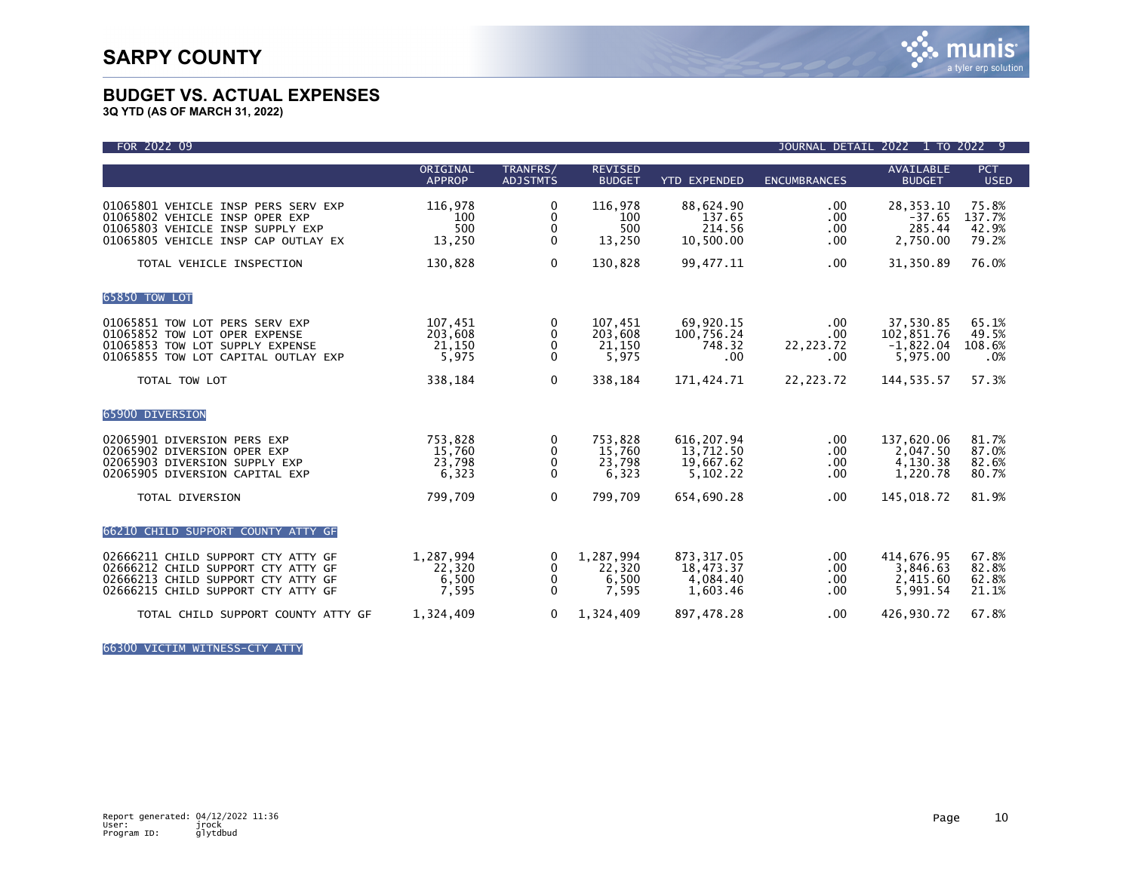

**3Q YTD (AS OF MARCH 31, 2022)**

| FOR 2022 09                                                                                                                                          |                                       |                                           |                                       |                                                   | JOURNAL DETAIL 2022              |                                                    | 1 TO 2022 9                       |
|------------------------------------------------------------------------------------------------------------------------------------------------------|---------------------------------------|-------------------------------------------|---------------------------------------|---------------------------------------------------|----------------------------------|----------------------------------------------------|-----------------------------------|
|                                                                                                                                                      | ORIGINAL<br><b>APPROP</b>             | TRANFRS/<br><b>ADJSTMTS</b>               | <b>REVISED</b><br><b>BUDGET</b>       | <b>YTD EXPENDED</b>                               | <b>ENCUMBRANCES</b>              | <b>AVAILABLE</b><br><b>BUDGET</b>                  | PCT<br><b>USED</b>                |
| 01065801 VEHICLE INSP PERS SERV EXP<br>01065802 VEHICLE INSP OPER EXP<br>01065803 VEHICLE INSP SUPPLY EXP<br>01065805 VEHICLE INSP CAP OUTLAY EX     | 116,978<br>100<br>500<br>13,250       | 0<br>$\mathbf 0$<br>0<br>$\Omega$         | 116,978<br>100<br>500<br>13,250       | 88,624.90<br>137.65<br>214.56<br>10,500.00        | .00<br>.00<br>.00<br>.00         | 28, 353. 10<br>$-37.65$<br>285.44<br>2,750.00      | 75.8%<br>137.7%<br>42.9%<br>79.2% |
| TOTAL VEHICLE INSPECTION                                                                                                                             | 130,828                               | $\Omega$                                  | 130,828                               | 99,477.11                                         | .00                              | 31,350.89                                          | 76.0%                             |
| 65850 TOW LOT                                                                                                                                        |                                       |                                           |                                       |                                                   |                                  |                                                    |                                   |
| 01065851 TOW LOT PERS SERV EXP<br>01065852 TOW LOT OPER EXPENSE<br>01065853 TOW LOT SUPPLY EXPENSE<br>01065855 TOW LOT CAPITAL OUTLAY EXP            | 107,451<br>203,608<br>21,150<br>5,975 | 0<br>0<br>0<br>$\Omega$                   | 107,451<br>203,608<br>21,150<br>5,975 | 69,920.15<br>100,756.24<br>748.32<br>.00          | .00<br>.00<br>22, 223. 72<br>.00 | 37,530.85<br>102,851.76<br>$-1,822.04$<br>5,975.00 | 65.1%<br>49.5%<br>108.6%<br>.0%   |
| TOTAL TOW LOT                                                                                                                                        | 338,184                               | $\mathbf{0}$                              | 338,184                               | 171,424.71                                        | 22, 223. 72                      | 144, 535. 57                                       | 57.3%                             |
| 65900 DIVERSION                                                                                                                                      |                                       |                                           |                                       |                                                   |                                  |                                                    |                                   |
| 02065901 DIVERSION PERS EXP<br>02065902 DIVERSION OPER EXP<br>02065903 DIVERSION SUPPLY EXP<br>02065905 DIVERSION CAPITAL EXP                        | 753,828<br>15,760<br>23,798<br>6,323  | 0<br>0<br>0<br>$\Omega$                   | 753.828<br>15,760<br>23,798<br>6,323  | 616, 207.94<br>13,712.50<br>19,667.62<br>5,102.22 | .00<br>.00<br>.00<br>.00         | 137,620.06<br>2,047.50<br>4,130.38<br>1,220.78     | 81.7%<br>87.0%<br>82.6%<br>80.7%  |
| TOTAL DIVERSION                                                                                                                                      | 799,709                               | $\Omega$                                  | 799.709                               | 654,690.28                                        | .00                              | 145,018.72                                         | 81.9%                             |
| 66210 CHILD SUPPORT COUNTY ATTY GF                                                                                                                   |                                       |                                           |                                       |                                                   |                                  |                                                    |                                   |
| 02666211 CHILD SUPPORT CTY ATTY GF<br>02666212 CHILD SUPPORT CTY ATTY GF<br>02666213 CHILD SUPPORT CTY ATTY GF<br>02666215 CHILD SUPPORT CTY ATTY GF | 1,287,994<br>22.320<br>6,500<br>7,595 | $\Omega$<br>$\mathbf{0}$<br>0<br>$\Omega$ | 1,287,994<br>22,320<br>6,500<br>7,595 | 873, 317.05<br>18,473.37<br>4,084.40<br>1.603.46  | .00<br>.00<br>.00<br>.00         | 414,676.95<br>3.846.63<br>2,415.60<br>5,991.54     | 67.8%<br>82.8%<br>62.8%<br>21.1%  |
| TOTAL CHILD SUPPORT COUNTY ATTY GF                                                                                                                   | 1,324,409                             | $\mathbf{0}$                              | 1,324,409                             | 897,478.28                                        | .00                              | 426,930.72                                         | 67.8%                             |

66300 VICTIM WITNESS-CTY ATTY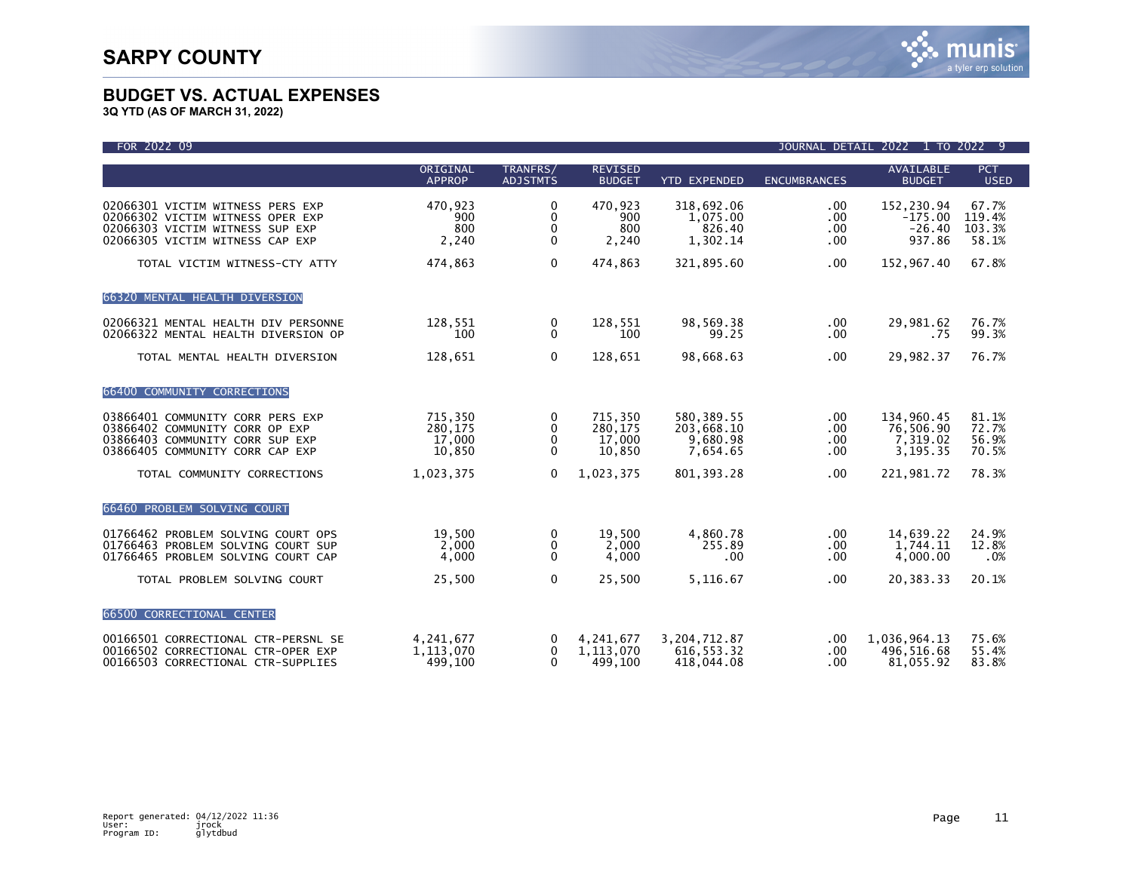| FOR 2022 09                                                                                                                                |                                        |                                   |                                        |                                                   |                                              | JOURNAL DETAIL 2022 1 TO 2022 9                 |                                    |
|--------------------------------------------------------------------------------------------------------------------------------------------|----------------------------------------|-----------------------------------|----------------------------------------|---------------------------------------------------|----------------------------------------------|-------------------------------------------------|------------------------------------|
|                                                                                                                                            | ORIGINAL<br><b>APPROP</b>              | TRANFRS/<br><b>ADJSTMTS</b>       | <b>REVISED</b><br><b>BUDGET</b>        | <b>YTD EXPENDED</b>                               | <b>ENCUMBRANCES</b>                          | <b>AVAILABLE</b><br><b>BUDGET</b>               | <b>PCT</b><br><b>USED</b>          |
| 02066301 VICTIM WITNESS PERS EXP<br>02066302 VICTIM WITNESS OPER EXP<br>02066303 VICTIM WITNESS SUP EXP<br>02066305 VICTIM WITNESS CAP EXP | 470,923<br>900<br>800<br>2,240         | 0<br>0<br>0<br>$\mathbf{0}$       | 470,923<br>900<br>800<br>2,240         | 318,692.06<br>1,075.00<br>826.40<br>1,302.14      | $.00 \,$<br>$.00 \,$<br>$.00 \,$<br>$.00 \,$ | 152,230.94<br>$-175.00$<br>$-26.40$<br>937.86   | 67.7%<br>119.4%<br>103.3%<br>58.1% |
| TOTAL VICTIM WITNESS-CTY ATTY                                                                                                              | 474,863                                | $\mathbf{0}$                      | 474,863                                | 321,895.60                                        | $.00 \,$                                     | 152,967.40                                      | 67.8%                              |
| 66320 MENTAL HEALTH DIVERSION                                                                                                              |                                        |                                   |                                        |                                                   |                                              |                                                 |                                    |
| 02066321 MENTAL HEALTH DIV PERSONNE<br>02066322 MENTAL HEALTH DIVERSION OP                                                                 | 128,551<br>100                         | 0<br>$\Omega$                     | 128,551<br>100                         | 98,569.38<br>99.25                                | $.00 \,$<br>.00                              | 29,981.62<br>.75                                | 76.7%<br>99.3%                     |
| TOTAL MENTAL HEALTH DIVERSION                                                                                                              | 128,651                                | $\mathbf 0$                       | 128,651                                | 98,668.63                                         | .00                                          | 29,982.37                                       | 76.7%                              |
| 66400 COMMUNITY CORRECTIONS                                                                                                                |                                        |                                   |                                        |                                                   |                                              |                                                 |                                    |
| 03866401 COMMUNITY CORR PERS EXP<br>03866402 COMMUNITY CORR OP EXP<br>03866403 COMMUNITY CORR SUP EXP<br>03866405 COMMUNITY CORR CAP EXP   | 715,350<br>280,175<br>17,000<br>10,850 | 0<br>0<br>0<br>$\mathbf{0}$       | 715,350<br>280,175<br>17,000<br>10,850 | 580, 389.55<br>203,668.10<br>9,680.98<br>7,654.65 | $.00 \cdot$<br>.00<br>.00<br>.00             | 134,960.45<br>76,506.90<br>7,319.02<br>3,195.35 | 81.1%<br>72.7%<br>56.9%<br>70.5%   |
| TOTAL COMMUNITY CORRECTIONS                                                                                                                | 1,023,375                              | $\mathbf{0}$                      | 1,023,375                              | 801, 393.28                                       | $.00 \,$                                     | 221,981.72                                      | 78.3%                              |
| 66460 PROBLEM SOLVING COURT                                                                                                                |                                        |                                   |                                        |                                                   |                                              |                                                 |                                    |
| 01766462 PROBLEM SOLVING COURT OPS<br>01766463 PROBLEM SOLVING COURT SUP<br>01766465 PROBLEM SOLVING COURT CAP                             | 19,500<br>2,000<br>4,000               | 0<br>0<br>0                       | 19,500<br>2,000<br>4,000               | 4,860.78<br>255.89<br>.00 <sub>1</sub>            | $.00 \,$<br>.00<br>$.00 \,$                  | 14,639.22<br>1,744.11<br>4,000.00               | 24.9%<br>12.8%<br>.0%              |
| TOTAL PROBLEM SOLVING COURT                                                                                                                | 25,500                                 | $\mathbf 0$                       | 25,500                                 | 5,116.67                                          | .00                                          | 20,383.33                                       | 20.1%                              |
| 66500 CORRECTIONAL CENTER                                                                                                                  |                                        |                                   |                                        |                                                   |                                              |                                                 |                                    |
| 00166501 CORRECTIONAL CTR-PERSNL SE<br>00166502 CORRECTIONAL CTR-OPER EXP<br>00166503 CORRECTIONAL CTR-SUPPLIES                            | 4,241,677<br>1,113,070<br>499,100      | 0<br>$\mathbf{0}$<br>$\mathbf{0}$ | 4,241,677<br>1,113,070<br>499,100      | 3,204,712.87<br>616, 553.32<br>418,044,08         | .00<br>.00<br>.00                            | 1,036,964.13<br>496,516.68<br>81,055.92         | 75.6%<br>55.4%<br>83.8%            |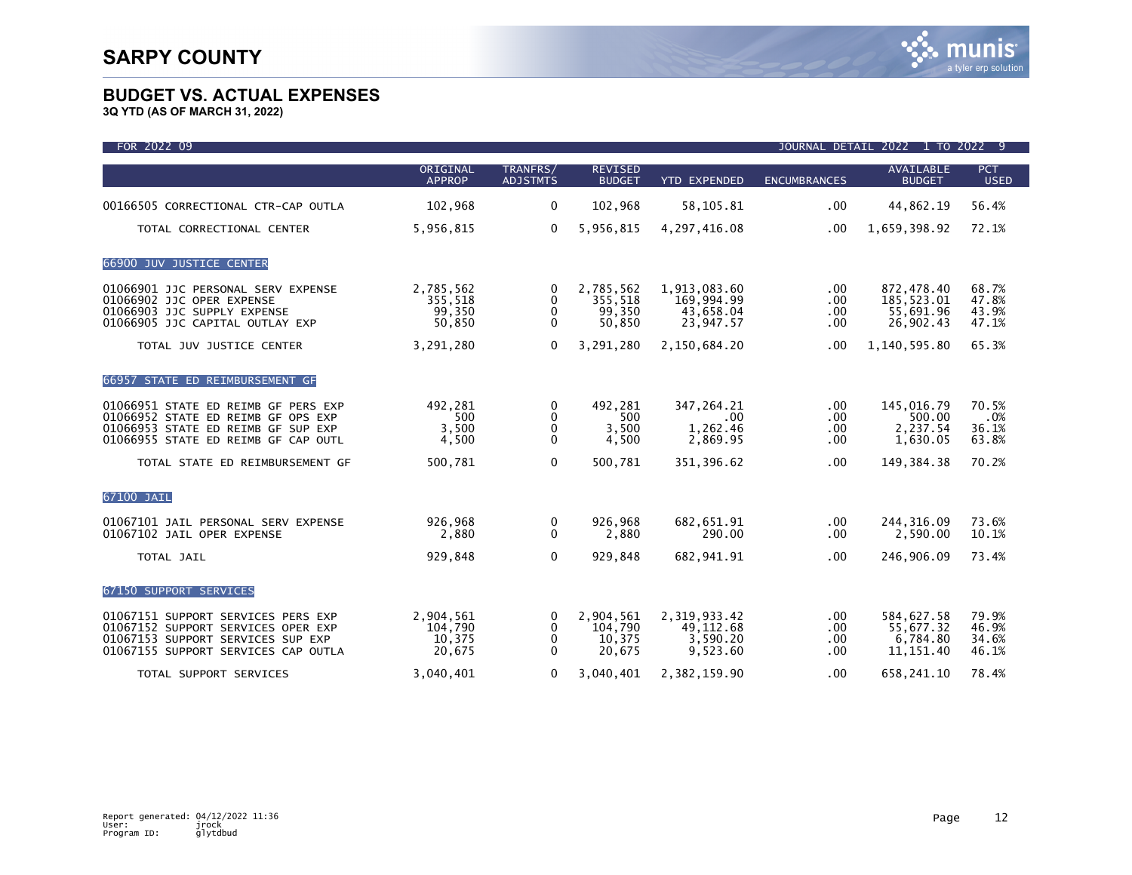| FOR 2022 09                                                                                                                                            |                                          |                                              |                                          |                                                      |                                    | JOURNAL DETAIL 2022 1 TO 2022 9                    |                                  |
|--------------------------------------------------------------------------------------------------------------------------------------------------------|------------------------------------------|----------------------------------------------|------------------------------------------|------------------------------------------------------|------------------------------------|----------------------------------------------------|----------------------------------|
|                                                                                                                                                        | ORIGINAL<br><b>APPROP</b>                | TRANFRS/<br><b>ADJSTMTS</b>                  | <b>REVISED</b><br><b>BUDGET</b>          | <b>YTD EXPENDED</b>                                  | <b>ENCUMBRANCES</b>                | <b>AVAILABLE</b><br><b>BUDGET</b>                  | <b>PCT</b><br><b>USED</b>        |
| 00166505 CORRECTIONAL CTR-CAP OUTLA                                                                                                                    | 102,968                                  | $\mathbf 0$                                  | 102,968                                  | 58,105.81                                            | $.00 \,$                           | 44,862.19                                          | 56.4%                            |
| TOTAL CORRECTIONAL CENTER                                                                                                                              | 5,956,815                                | $\mathbf{0}$                                 | 5,956,815                                | 4,297,416.08                                         | .00 <sub>1</sub>                   | 1,659,398.92                                       | 72.1%                            |
| 66900 JUV JUSTICE CENTER                                                                                                                               |                                          |                                              |                                          |                                                      |                                    |                                                    |                                  |
| 01066901 JJC PERSONAL SERV EXPENSE<br>01066902 JJC OPER EXPENSE<br>01066903 JJC SUPPLY EXPENSE<br>01066905 JJC CAPITAL OUTLAY EXP                      | 2,785,562<br>355,518<br>99,350<br>50,850 | 0<br>$\mathbf{0}$<br>$\mathbf 0$<br>$\Omega$ | 2,785,562<br>355,518<br>99,350<br>50,850 | 1,913,083.60<br>169,994.99<br>43,658.04<br>23,947.57 | .00.<br>.00<br>.00<br>.00          | 872,478.40<br>185,523.01<br>55,691.96<br>26,902.43 | 68.7%<br>47.8%<br>43.9%<br>47.1% |
| TOTAL JUV JUSTICE CENTER                                                                                                                               | 3,291,280                                | $\Omega$                                     | 3,291,280                                | 2,150,684.20                                         | .00                                | 1,140,595.80                                       | 65.3%                            |
| 66957 STATE ED REIMBURSEMENT GF                                                                                                                        |                                          |                                              |                                          |                                                      |                                    |                                                    |                                  |
| 01066951 STATE ED REIMB GF PERS EXP<br>01066952 STATE ED REIMB GF OPS EXP<br>01066953 STATE ED REIMB GF SUP EXP<br>01066955 STATE ED REIMB GF CAP OUTL | 492,281<br>500<br>3,500<br>4,500         | 0<br>$\Omega$<br>0<br>$\Omega$               | 492,281<br>500<br>3,500<br>4,500         | 347, 264. 21<br>$.00 \,$<br>1,262.46<br>2,869.95     | $.00 \,$<br>.00<br>$.00 \,$<br>.00 | 145,016.79<br>500.00<br>2,237.54<br>1,630.05       | 70.5%<br>.0%<br>36.1%<br>63.8%   |
| TOTAL STATE ED REIMBURSEMENT GF                                                                                                                        | 500,781                                  | $\Omega$                                     | 500,781                                  | 351,396.62                                           | .00                                | 149, 384, 38                                       | 70.2%                            |
| 67100 JAIL                                                                                                                                             |                                          |                                              |                                          |                                                      |                                    |                                                    |                                  |
| 01067101 JAIL PERSONAL SERV EXPENSE<br>01067102 JAIL OPER EXPENSE                                                                                      | 926,968<br>2,880                         | 0<br>$\mathbf{0}$                            | 926,968<br>2,880                         | 682,651.91<br>290.00                                 | $.00 \,$<br>$.00 \,$               | 244, 316.09<br>2,590.00                            | 73.6%<br>10.1%                   |
| TOTAL JAIL                                                                                                                                             | 929,848                                  | $\mathbf 0$                                  | 929.848                                  | 682, 941.91                                          | $.00 \,$                           | 246,906.09                                         | 73.4%                            |
| <b>67150 SUPPORT SERVICES</b>                                                                                                                          |                                          |                                              |                                          |                                                      |                                    |                                                    |                                  |
| 01067151 SUPPORT SERVICES PERS EXP<br>01067152 SUPPORT SERVICES OPER EXP<br>01067153 SUPPORT SERVICES SUP EXP<br>01067155 SUPPORT SERVICES CAP OUTLA   | 2,904,561<br>104,790<br>10,375<br>20,675 | 0<br>0<br>$\mathbf{0}$<br>$\mathbf{0}$       | 2,904,561<br>104,790<br>10,375<br>20,675 | 2,319,933.42<br>49, 112, 68<br>3,590.20<br>9,523.60  | $.00 \,$<br>.00<br>.00<br>.00      | 584,627.58<br>55,677.32<br>6,784.80<br>11, 151.40  | 79.9%<br>46.9%<br>34.6%<br>46.1% |
| TOTAL SUPPORT SERVICES                                                                                                                                 | 3.040.401                                | $\Omega$                                     | 3.040.401                                | 2,382,159.90                                         | .00                                | 658.241.10                                         | 78.4%                            |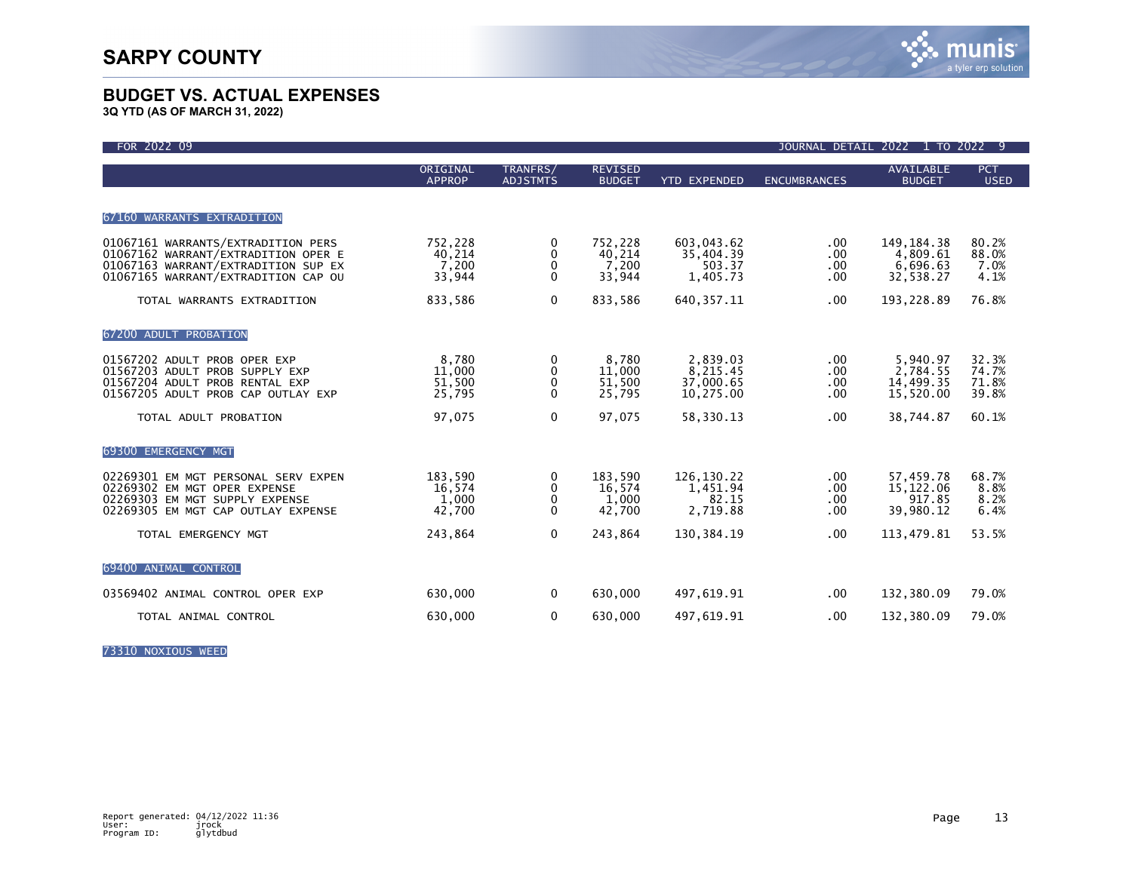**3Q YTD (AS OF MARCH 31, 2022)**

| FOR 2022 09                                                                                                                                             |                                      |                                               |                                      |                                                | JOURNAL DETAIL               | 2022<br>1 TO 2022 9                               |                                  |
|---------------------------------------------------------------------------------------------------------------------------------------------------------|--------------------------------------|-----------------------------------------------|--------------------------------------|------------------------------------------------|------------------------------|---------------------------------------------------|----------------------------------|
|                                                                                                                                                         | ORIGINAL<br><b>APPROP</b>            | TRANFRS/<br><b>ADJSTMTS</b>                   | <b>REVISED</b><br><b>BUDGET</b>      | <b>YTD EXPENDED</b>                            | <b>ENCUMBRANCES</b>          | <b>AVAILABLE</b><br><b>BUDGET</b>                 | <b>PCT</b><br><b>USED</b>        |
| 67160 WARRANTS EXTRADITION                                                                                                                              |                                      |                                               |                                      |                                                |                              |                                                   |                                  |
| 01067161 WARRANTS/EXTRADITION PERS<br>01067162 WARRANT/EXTRADITION OPER E<br>01067163 WARRANT/EXTRADITION SUP EX<br>01067165 WARRANT/EXTRADITION CAP OU | 752,228<br>40,214<br>7,200<br>33,944 | 0<br>$\Omega$<br>$\mathbf{0}$<br>$\mathbf{0}$ | 752,228<br>40,214<br>7,200<br>33,944 | 603,043.62<br>35,404.39<br>503.37<br>1,405.73  | .00.<br>.00.<br>.00<br>.00.  | 149, 184. 38<br>4,809.61<br>6,696.63<br>32,538.27 | 80.2%<br>88.0%<br>7.0%<br>4.1%   |
| TOTAL WARRANTS EXTRADITION                                                                                                                              | 833,586                              | $\mathbf{0}$                                  | 833,586                              | 640, 357. 11                                   | .00.                         | 193,228.89                                        | 76.8%                            |
| 67200 ADULT PROBATION                                                                                                                                   |                                      |                                               |                                      |                                                |                              |                                                   |                                  |
| 01567202 ADULT PROB OPER EXP<br>01567203 ADULT PROB SUPPLY EXP<br>01567204 ADULT PROB RENTAL EXP<br>01567205 ADULT PROB CAP OUTLAY EXP                  | 8.780<br>11,000<br>51,500<br>25,795  | 0<br>0<br>0<br>$\Omega$                       | 8.780<br>11,000<br>51,500<br>25,795  | 2,839.03<br>8,215.45<br>37,000.65<br>10,275.00 | .00.<br>.00.<br>.00.<br>.00. | 5,940.97<br>2,784.55<br>14,499.35<br>15,520.00    | 32.3%<br>74.7%<br>71.8%<br>39.8% |
| TOTAL ADULT PROBATION                                                                                                                                   | 97,075                               | $\mathbf{0}$                                  | 97,075                               | 58,330.13                                      | .00.                         | 38,744.87                                         | 60.1%                            |
| 69300 EMERGENCY MGT                                                                                                                                     |                                      |                                               |                                      |                                                |                              |                                                   |                                  |
| 02269301 EM MGT PERSONAL SERV EXPEN<br>02269302 EM MGT OPER EXPENSE<br>02269303 EM MGT SUPPLY EXPENSE<br>02269305 EM MGT CAP OUTLAY EXPENSE             | 183,590<br>16,574<br>1,000<br>42,700 | 0<br>0<br>0<br>$\Omega$                       | 183,590<br>16,574<br>1,000<br>42,700 | 126,130.22<br>1,451.94<br>82.15<br>2,719.88    | .00.<br>.00.<br>.00.<br>.00. | 57,459.78<br>15, 122.06<br>917.85<br>39,980.12    | 68.7%<br>8.8%<br>8.2%<br>6.4%    |
| TOTAL EMERGENCY MGT                                                                                                                                     | 243,864                              | $\mathbf{0}$                                  | 243,864                              | 130, 384. 19                                   | .00.                         | 113,479.81                                        | 53.5%                            |
| 69400 ANIMAL CONTROL                                                                                                                                    |                                      |                                               |                                      |                                                |                              |                                                   |                                  |
| 03569402 ANIMAL CONTROL OPER EXP                                                                                                                        | 630,000                              | $\mathbf 0$                                   | 630,000                              | 497,619.91                                     | .00.                         | 132,380.09                                        | 79.0%                            |
| TOTAL ANIMAL CONTROL                                                                                                                                    | 630,000                              | $\mathbf 0$                                   | 630,000                              | 497,619.91                                     | .00                          | 132,380.09                                        | 79.0%                            |

73310 NOXIOUS WEED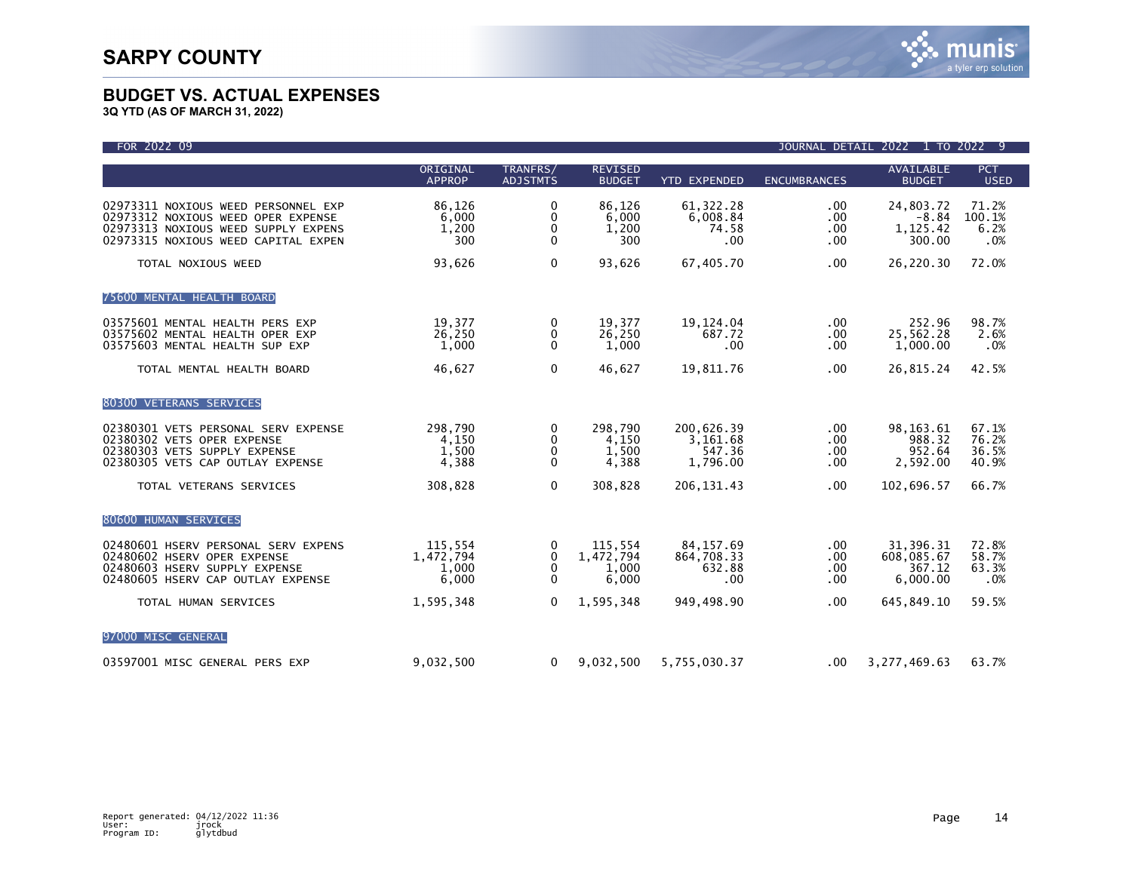| FOR 2022 09                                                                                                                                             |                                        |                                        |                                        |                                              |                                  | JOURNAL DETAIL 2022 1 TO 2022 9               |                                  |
|---------------------------------------------------------------------------------------------------------------------------------------------------------|----------------------------------------|----------------------------------------|----------------------------------------|----------------------------------------------|----------------------------------|-----------------------------------------------|----------------------------------|
|                                                                                                                                                         | ORIGINAL<br><b>APPROP</b>              | TRANFRS/<br><b>ADJSTMTS</b>            | <b>REVISED</b><br><b>BUDGET</b>        | <b>YTD EXPENDED</b>                          | <b>ENCUMBRANCES</b>              | <b>AVAILABLE</b><br><b>BUDGET</b>             | <b>PCT</b><br><b>USED</b>        |
| 02973311 NOXIOUS WEED PERSONNEL EXP<br>02973312 NOXIOUS WEED OPER EXPENSE<br>02973313 NOXIOUS WEED SUPPLY EXPENS<br>02973315 NOXIOUS WEED CAPITAL EXPEN | 86,126<br>6,000<br>1,200<br>300        | $\mathbf 0$<br>0<br>0<br>$\mathbf 0$   | 86,126<br>6.000<br>1,200<br>300        | 61, 322. 28<br>6,008.84<br>74.58<br>.00      | .00<br>.00<br>$.00 \,$<br>.00    | 24,803.72<br>$-8.84$<br>1,125.42<br>300.00    | 71.2%<br>100.1%<br>6.2%<br>.0%   |
| TOTAL NOXIOUS WEED                                                                                                                                      | 93,626                                 | $\mathbf 0$                            | 93,626                                 | 67.405.70                                    | .00                              | 26,220.30                                     | 72.0%                            |
| 75600 MENTAL HEALTH BOARD                                                                                                                               |                                        |                                        |                                        |                                              |                                  |                                               |                                  |
| 03575601 MENTAL HEALTH PERS EXP<br>03575602 MENTAL HEALTH OPER EXP<br>03575603 MENTAL HEALTH SUP EXP                                                    | 19,377<br>26,250<br>1,000              | 0<br>$\mathbf 0$<br>0                  | 19,377<br>26,250<br>1,000              | 19,124.04<br>687.72<br>$.00 \,$              | $.00 \,$<br>$.00 \,$<br>$.00 \,$ | 252.96<br>25,562.28<br>1,000.00               | 98.7%<br>2.6%<br>.0%             |
| TOTAL MENTAL HEALTH BOARD                                                                                                                               | 46,627                                 | 0                                      | 46,627                                 | 19,811.76                                    | .00                              | 26,815.24                                     | 42.5%                            |
| 80300 VETERANS SERVICES                                                                                                                                 |                                        |                                        |                                        |                                              |                                  |                                               |                                  |
| 02380301 VETS PERSONAL SERV EXPENSE<br>02380302 VETS OPER EXPENSE<br>02380303 VETS SUPPLY EXPENSE<br>02380305 VETS CAP OUTLAY EXPENSE                   | 298,790<br>4,150<br>1,500<br>4,388     | 0<br>$\mathbf{0}$<br>0<br>$\mathbf{0}$ | 298,790<br>4,150<br>1,500<br>4,388     | 200,626.39<br>3,161.68<br>547.36<br>1,796.00 | $.00 \,$<br>.00<br>.00.<br>.00   | 98, 163. 61<br>988.32<br>952.64<br>2,592.00   | 67.1%<br>76.2%<br>36.5%<br>40.9% |
| TOTAL VETERANS SERVICES                                                                                                                                 | 308,828                                | $\Omega$                               | 308,828                                | 206, 131.43                                  | .00                              | 102,696.57                                    | 66.7%                            |
| 80600 HUMAN SERVICES                                                                                                                                    |                                        |                                        |                                        |                                              |                                  |                                               |                                  |
| 02480601 HSERV PERSONAL SERV EXPENS<br>02480602 HSERV OPER EXPENSE<br>02480603 HSERV SUPPLY EXPENSE<br>02480605 HSERV CAP OUTLAY EXPENSE                | 115,554<br>1,472,794<br>1,000<br>6,000 | 0<br>0<br>$\Omega$<br>$\mathbf 0$      | 115,554<br>1,472,794<br>1,000<br>6,000 | 84, 157.69<br>864,708.33<br>632.88<br>.00    | $.00 \,$<br>.00<br>.00<br>.00    | 31,396.31<br>608,085.67<br>367.12<br>6.000.00 | 72.8%<br>58.7%<br>63.3%<br>.0%   |
| TOTAL HUMAN SERVICES                                                                                                                                    | 1,595,348                              | $\mathbf{0}$                           | 1,595,348                              | 949,498.90                                   | .00 <sub>1</sub>                 | 645,849.10                                    | 59.5%                            |
| 97000 MISC GENERAL                                                                                                                                      |                                        |                                        |                                        |                                              |                                  |                                               |                                  |
| 03597001 MISC GENERAL PERS EXP                                                                                                                          | 9,032,500                              | 0                                      | 9,032,500                              | 5,755,030.37                                 | $.00 \,$                         | 3,277,469.63                                  | 63.7%                            |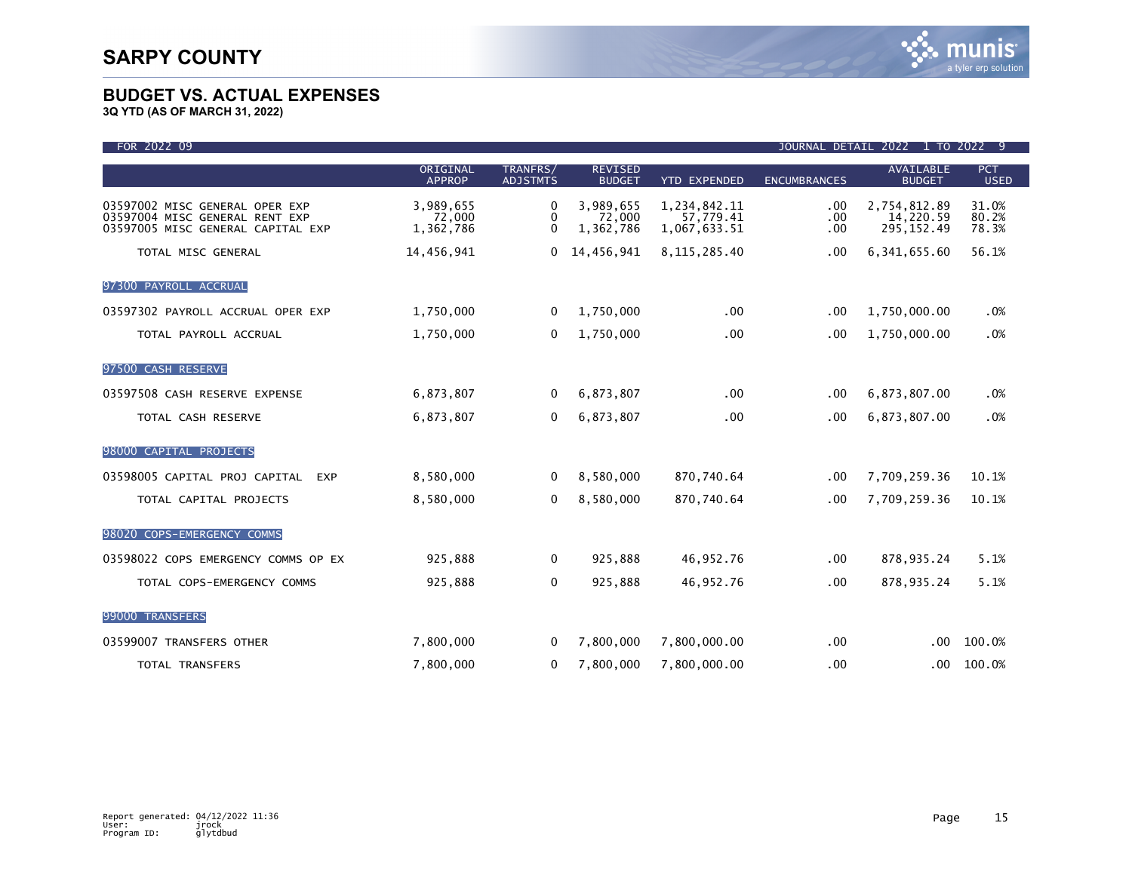| FOR 2022 09                                                                                           | JOURNAL DETAIL 2022 1 TO 2022 9  |                             |                                  |                                           |                     |                                          |                           |
|-------------------------------------------------------------------------------------------------------|----------------------------------|-----------------------------|----------------------------------|-------------------------------------------|---------------------|------------------------------------------|---------------------------|
|                                                                                                       | ORIGINAL<br><b>APPROP</b>        | TRANFRS/<br><b>ADJSTMTS</b> | <b>REVISED</b><br><b>BUDGET</b>  | <b>YTD EXPENDED</b>                       | <b>ENCUMBRANCES</b> | <b>AVAILABLE</b><br><b>BUDGET</b>        | <b>PCT</b><br><b>USED</b> |
| 03597002 MISC GENERAL OPER EXP<br>03597004 MISC GENERAL RENT EXP<br>03597005 MISC GENERAL CAPITAL EXP | 3,989,655<br>72,000<br>1,362,786 | 0<br>0<br>$\Omega$          | 3,989,655<br>72,000<br>1,362,786 | 1,234,842.11<br>57.779.41<br>1,067,633.51 | .00<br>.00<br>.00   | 2,754,812.89<br>14,220.59<br>295, 152.49 | 31.0%<br>80.2%<br>78.3%   |
| TOTAL MISC GENERAL                                                                                    | 14,456,941                       | 0                           | 14,456,941                       | 8, 115, 285, 40                           | $.00 \,$            | 6, 341, 655.60                           | 56.1%                     |
| 97300 PAYROLL ACCRUAL                                                                                 |                                  |                             |                                  |                                           |                     |                                          |                           |
| 03597302 PAYROLL ACCRUAL OPER EXP                                                                     | 1,750,000                        | 0                           | 1,750,000                        | $.00 \,$                                  | .00                 | 1,750,000.00                             | .0%                       |
| TOTAL PAYROLL ACCRUAL                                                                                 | 1,750,000                        | 0                           | 1,750,000                        | .00                                       | .00                 | 1,750,000.00                             | .0%                       |
| 97500 CASH RESERVE                                                                                    |                                  |                             |                                  |                                           |                     |                                          |                           |
| 03597508 CASH RESERVE EXPENSE                                                                         | 6,873,807                        | 0                           | 6,873,807                        | .00                                       | .00                 | 6,873,807.00                             | .0%                       |
| TOTAL CASH RESERVE                                                                                    | 6,873,807                        | $\mathbf{0}$                | 6,873,807                        | .00                                       | .00.                | 6,873,807.00                             | .0%                       |
| 98000 CAPITAL PROJECTS                                                                                |                                  |                             |                                  |                                           |                     |                                          |                           |
| 03598005 CAPITAL PROJ CAPITAL EXP                                                                     | 8,580,000                        | $\Omega$                    | 8,580,000                        | 870,740.64                                | .00                 | 7,709,259.36                             | 10.1%                     |
| TOTAL CAPITAL PROJECTS                                                                                | 8,580,000                        | 0                           | 8,580,000                        | 870,740.64                                | .00                 | 7,709,259.36                             | 10.1%                     |
| 98020 COPS-EMERGENCY COMMS                                                                            |                                  |                             |                                  |                                           |                     |                                          |                           |
| 03598022 COPS EMERGENCY COMMS OP EX                                                                   | 925,888                          | 0                           | 925,888                          | 46,952.76                                 | $.00 \,$            | 878,935.24                               | 5.1%                      |
| TOTAL COPS-EMERGENCY COMMS                                                                            | 925,888                          | 0                           | 925,888                          | 46,952.76                                 | .00                 | 878,935.24                               | 5.1%                      |
| 99000 TRANSFERS                                                                                       |                                  |                             |                                  |                                           |                     |                                          |                           |
| 03599007 TRANSFERS OTHER                                                                              | 7,800,000                        | $\Omega$                    | 7,800,000                        | 7,800,000.00                              | .00                 | .00 <sub>1</sub>                         | 100.0%                    |
| TOTAL TRANSFERS                                                                                       | 7,800,000                        | 0                           | 7,800,000                        | 7,800,000.00                              | .00                 | .00                                      | 100.0%                    |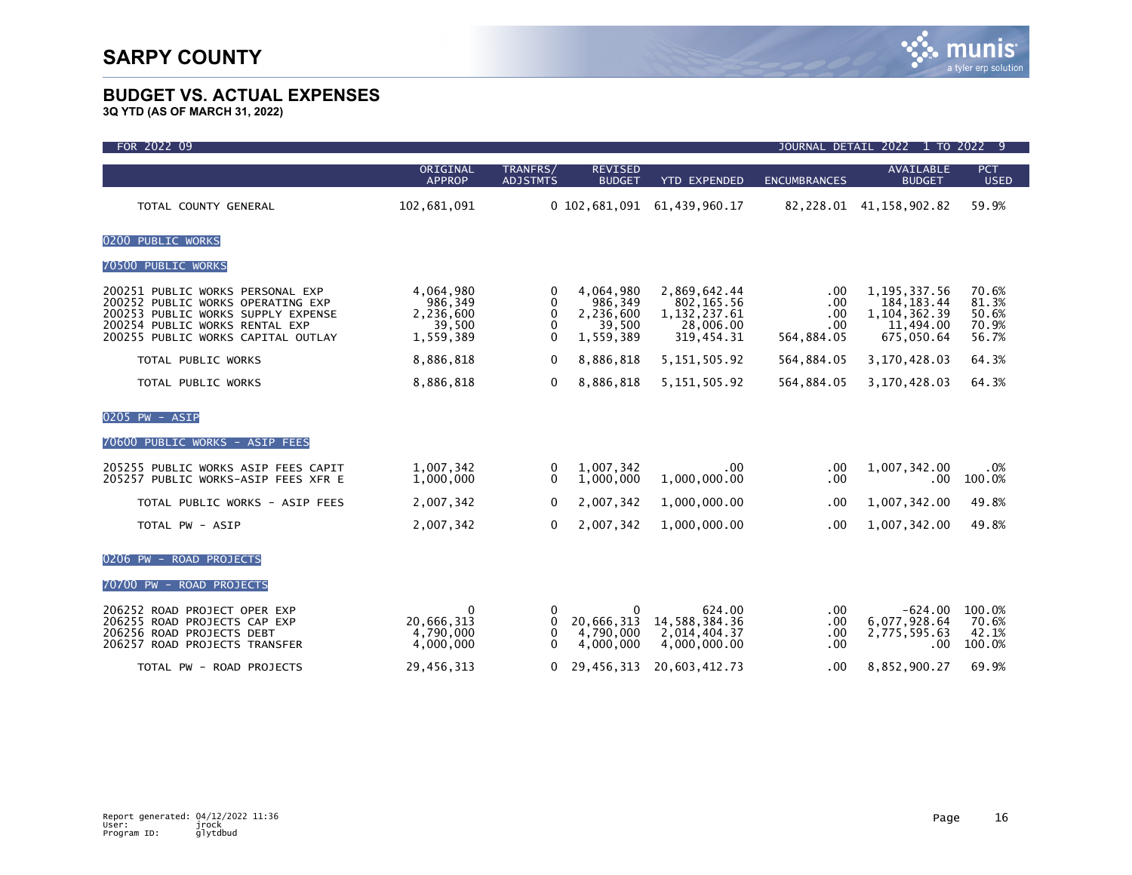| FOR 2022 09                                                                                                                                                                         | JOURNAL DETAIL 2022 1 TO 2022<br>-9                      |                                            |                                                          |                                                                          |                                        |                                                                             |                                           |
|-------------------------------------------------------------------------------------------------------------------------------------------------------------------------------------|----------------------------------------------------------|--------------------------------------------|----------------------------------------------------------|--------------------------------------------------------------------------|----------------------------------------|-----------------------------------------------------------------------------|-------------------------------------------|
|                                                                                                                                                                                     | ORIGINAL<br><b>APPROP</b>                                | TRANFRS/<br><b>ADJSTMTS</b>                | <b>REVISED</b><br><b>BUDGET</b>                          | <b>YTD EXPENDED</b>                                                      | <b>ENCUMBRANCES</b>                    | <b>AVAILABLE</b><br><b>BUDGET</b>                                           | PCT<br><b>USED</b>                        |
| TOTAL COUNTY GENERAL                                                                                                                                                                | 102,681,091                                              |                                            | $0\;102,681,091$                                         | 61,439,960.17                                                            |                                        | 82, 228.01 41, 158, 902.82                                                  | 59.9%                                     |
| 0200 PUBLIC WORKS                                                                                                                                                                   |                                                          |                                            |                                                          |                                                                          |                                        |                                                                             |                                           |
| 70500 PUBLIC WORKS                                                                                                                                                                  |                                                          |                                            |                                                          |                                                                          |                                        |                                                                             |                                           |
| 200251 PUBLIC WORKS PERSONAL EXP<br>200252 PUBLIC WORKS OPERATING EXP<br>200253 PUBLIC WORKS SUPPLY EXPENSE<br>200254 PUBLIC WORKS RENTAL EXP<br>200255 PUBLIC WORKS CAPITAL OUTLAY | 4,064,980<br>986,349<br>2,236,600<br>39,500<br>1,559,389 | 0<br>$\Omega$<br>$\Omega$<br>0<br>$\Omega$ | 4,064,980<br>986,349<br>2,236,600<br>39,500<br>1,559,389 | 2,869,642.44<br>802, 165.56<br>1, 132, 237.61<br>28,006.00<br>319,454.31 | .00<br>.00<br>.00<br>.00<br>564,884.05 | 1, 195, 337.56<br>184, 183. 44<br>1, 104, 362.39<br>11,494.00<br>675,050.64 | 70.6%<br>81.3%<br>50.6%<br>70.9%<br>56.7% |
| TOTAL PUBLIC WORKS                                                                                                                                                                  | 8,886,818                                                | $\mathbf{0}$                               | 8,886,818                                                | 5, 151, 505.92                                                           | 564,884.05                             | 3,170,428.03                                                                | 64.3%                                     |
| TOTAL PUBLIC WORKS                                                                                                                                                                  | 8,886,818                                                | $\mathbf{0}$                               | 8,886,818                                                | 5, 151, 505.92                                                           | 564,884.05                             | 3,170,428.03                                                                | 64.3%                                     |
| 0205 PW - ASIP<br>70600 PUBLIC WORKS - ASIP FEES                                                                                                                                    |                                                          |                                            |                                                          |                                                                          |                                        |                                                                             |                                           |
| 205255 PUBLIC WORKS ASIP FEES CAPIT<br>205257 PUBLIC WORKS-ASIP FEES XFR E                                                                                                          | 1,007,342<br>1,000,000                                   | 0<br>$\Omega$                              | 1,007,342<br>1,000,000                                   | .00.<br>1,000,000.00                                                     | .00<br>.00                             | 1,007,342.00<br>$.00 \,$                                                    | .0%<br>100.0%                             |
| TOTAL PUBLIC WORKS - ASIP FEES                                                                                                                                                      | 2,007,342                                                | $\mathbf{0}$                               | 2,007,342                                                | 1,000,000.00                                                             | .00                                    | 1,007,342.00                                                                | 49.8%                                     |
| TOTAL PW - ASIP                                                                                                                                                                     | 2,007,342                                                | 0                                          | 2,007,342                                                | 1,000,000.00                                                             | .00                                    | 1,007,342.00                                                                | 49.8%                                     |
| 0206 PW - ROAD PROJECTS                                                                                                                                                             |                                                          |                                            |                                                          |                                                                          |                                        |                                                                             |                                           |
| 70700 PW - ROAD PROJECTS                                                                                                                                                            |                                                          |                                            |                                                          |                                                                          |                                        |                                                                             |                                           |
| 206252 ROAD PROJECT OPER EXP<br>206255 ROAD PROJECTS CAP EXP<br>206256 ROAD PROJECTS DEBT<br>206257 ROAD PROJECTS TRANSFER                                                          | 0<br>20,666,313<br>4,790,000<br>4,000,000                | 0<br>0<br>0<br>$\mathbf{0}$                | 0<br>20,666,313<br>4,790,000<br>4,000,000                | 624.00<br>14,588,384.36<br>2,014,404.37<br>4,000,000.00                  | .00<br>.00<br>.00<br>.00               | $-624.00$<br>6,077,928.64<br>2,775,595.63<br>.00                            | 100.0%<br>70.6%<br>42.1%<br>100.0%        |
| TOTAL PW - ROAD PROJECTS                                                                                                                                                            | 29,456,313                                               | 0                                          | 29,456,313                                               | 20,603,412.73                                                            | .00                                    | 8,852,900.27                                                                | 69.9%                                     |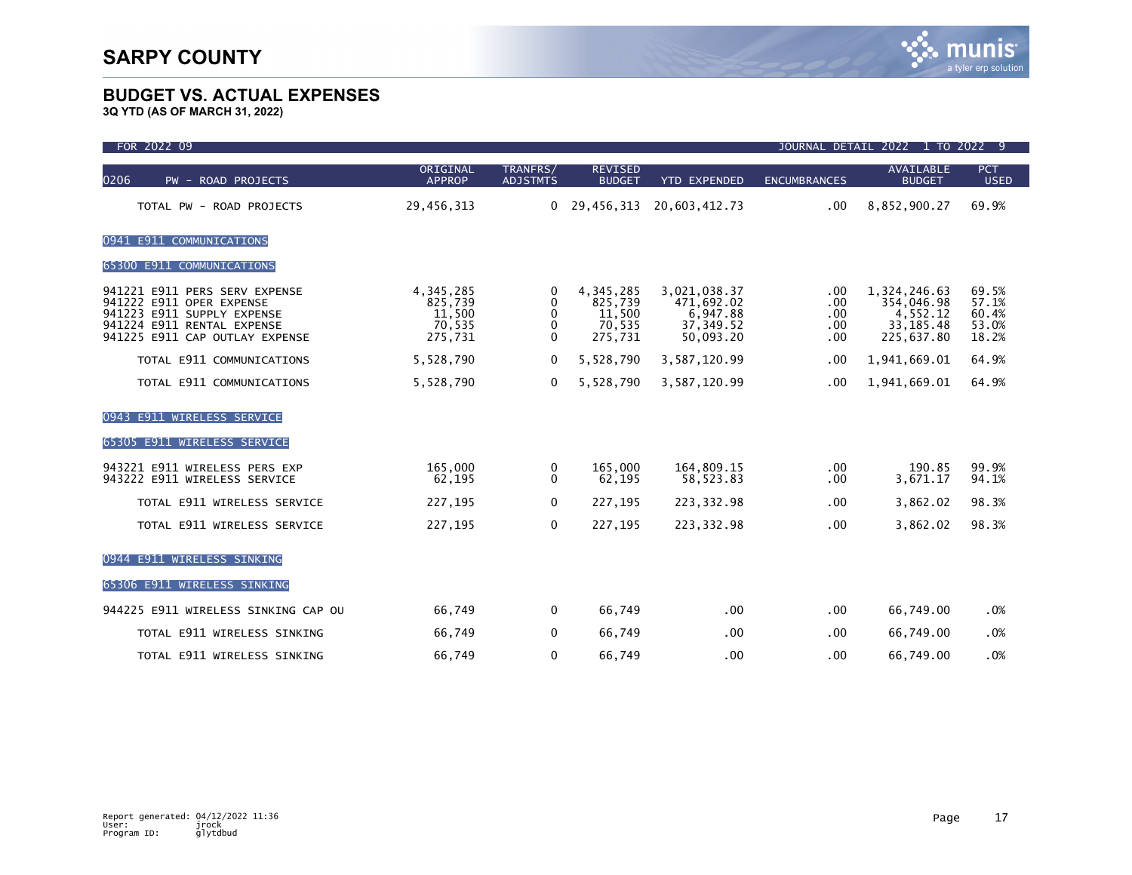# munis a tyler erp solution

### **BUDGET VS. ACTUAL EXPENSES**

| FOR 2022 09                                                                                                                                             |                                                     | JOURNAL DETAIL 2022 1 TO 2022 9 |                                                     |                                                                   |                                  |                                                                    |                                           |  |
|---------------------------------------------------------------------------------------------------------------------------------------------------------|-----------------------------------------------------|---------------------------------|-----------------------------------------------------|-------------------------------------------------------------------|----------------------------------|--------------------------------------------------------------------|-------------------------------------------|--|
| 0206<br><b>ROAD PROJECTS</b><br>$PW -$                                                                                                                  | ORIGINAL<br><b>APPROP</b>                           | TRANFRS/<br><b>ADJSTMTS</b>     | <b>REVISED</b><br><b>BUDGET</b>                     | <b>YTD EXPENDED</b>                                               | <b>ENCUMBRANCES</b>              | <b>AVAILABLE</b><br><b>BUDGET</b>                                  | <b>PCT</b><br><b>USED</b>                 |  |
| TOTAL PW - ROAD PROJECTS                                                                                                                                | 29,456,313                                          |                                 | 0, 29, 456, 313                                     | 20,603,412.73                                                     | .00.                             | 8,852,900.27                                                       | 69.9%                                     |  |
| 0941 E911 COMMUNICATIONS                                                                                                                                |                                                     |                                 |                                                     |                                                                   |                                  |                                                                    |                                           |  |
| 65300 E911 COMMUNICATIONS                                                                                                                               |                                                     |                                 |                                                     |                                                                   |                                  |                                                                    |                                           |  |
| 941221 E911 PERS SERV EXPENSE<br>941222 E911 OPER EXPENSE<br>941223 E911 SUPPLY EXPENSE<br>941224 E911 RENTAL EXPENSE<br>941225 E911 CAP OUTLAY EXPENSE | 4,345,285<br>825,739<br>11,500<br>70,535<br>275,731 | 0<br>0<br>0<br>0<br>$\Omega$    | 4,345,285<br>825,739<br>11,500<br>70,535<br>275,731 | 3,021,038.37<br>471,692.02<br>6,947.88<br>37, 349.52<br>50.093.20 | .00.<br>.00<br>.00<br>.00<br>.00 | 1,324,246.63<br>354,046.98<br>4,552.12<br>33, 185.48<br>225,637.80 | 69.5%<br>57.1%<br>60.4%<br>53.0%<br>18.2% |  |
| TOTAL E911 COMMUNICATIONS                                                                                                                               | 5,528,790                                           | $\Omega$                        | 5,528,790                                           | 3,587,120.99                                                      | .00                              | 1,941,669.01                                                       | 64.9%                                     |  |
| TOTAL E911 COMMUNICATIONS                                                                                                                               | 5,528,790                                           | $\Omega$                        | 5,528,790                                           | 3,587,120.99                                                      | .00                              | 1,941,669.01                                                       | 64.9%                                     |  |
| 0943 E911 WIRELESS SERVICE<br><b>E911 WIRELESS SERVICE</b><br>65305                                                                                     |                                                     |                                 |                                                     |                                                                   |                                  |                                                                    |                                           |  |
| 943221 E911 WIRELESS PERS EXP<br>943222 E911 WIRELESS SERVICE                                                                                           | 165,000<br>62,195                                   | 0<br>$\Omega$                   | 165,000<br>62,195                                   | 164,809.15<br>58,523.83                                           | .00<br>.00                       | 190.85<br>3,671.17                                                 | 99.9%<br>94.1%                            |  |
| TOTAL E911 WIRELESS SERVICE                                                                                                                             | 227,195                                             | 0                               | 227,195                                             | 223, 332.98                                                       | .00                              | 3,862.02                                                           | 98.3%                                     |  |
| TOTAL E911 WIRELESS SERVICE                                                                                                                             | 227,195                                             | $\mathbf 0$                     | 227,195                                             | 223, 332.98                                                       | .00                              | 3,862.02                                                           | 98.3%                                     |  |
| <b>E911 WIRELESS SINKING</b><br>0944                                                                                                                    |                                                     |                                 |                                                     |                                                                   |                                  |                                                                    |                                           |  |
| 65306 E911 WIRELESS SINKING                                                                                                                             |                                                     |                                 |                                                     |                                                                   |                                  |                                                                    |                                           |  |
| 944225 E911 WIRELESS SINKING CAP OU                                                                                                                     | 66,749                                              | 0                               | 66,749                                              | .00                                                               | .00.                             | 66,749.00                                                          | .0%                                       |  |
| TOTAL E911 WIRELESS SINKING                                                                                                                             | 66,749                                              | 0                               | 66,749                                              | .00                                                               | .00                              | 66,749.00                                                          | .0%                                       |  |
| TOTAL E911 WIRELESS SINKING                                                                                                                             | 66,749                                              | $\mathbf 0$                     | 66,749                                              | .00                                                               | .00                              | 66,749.00                                                          | .0%                                       |  |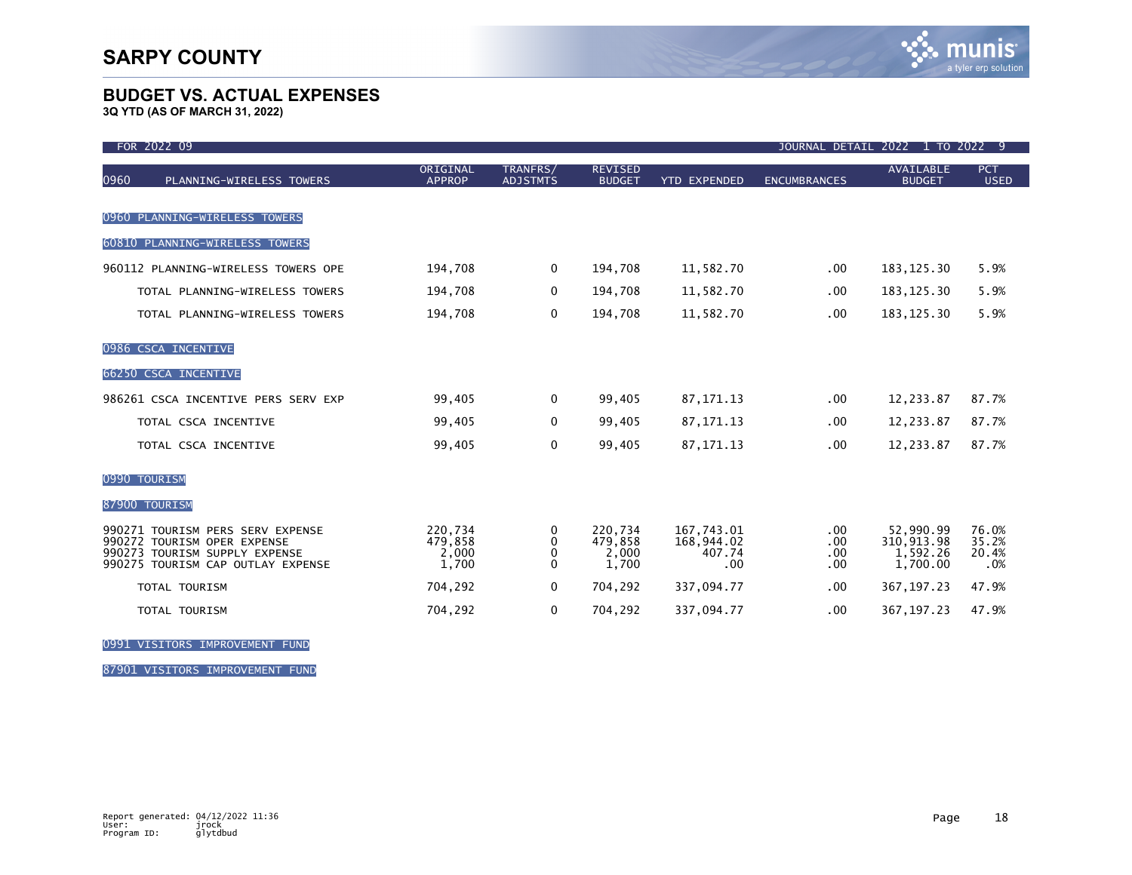**3Q YTD (AS OF MARCH 31, 2022)**

| FOR 2022 09                                                                                                                           |                                      |                                        |                                      |                                           | JOURNAL DETAIL 2022      |                                                 | 1 TO 2022 9                    |
|---------------------------------------------------------------------------------------------------------------------------------------|--------------------------------------|----------------------------------------|--------------------------------------|-------------------------------------------|--------------------------|-------------------------------------------------|--------------------------------|
| 0960<br>PLANNING-WIRELESS TOWERS                                                                                                      | ORIGINAL<br><b>APPROP</b>            | TRANFRS/<br><b>ADJSTMTS</b>            | <b>REVISED</b><br><b>BUDGET</b>      | <b>YTD EXPENDED</b>                       | <b>ENCUMBRANCES</b>      | <b>AVAILABLE</b><br><b>BUDGET</b>               | PCT<br><b>USED</b>             |
| PLANNING-WIRELESS TOWERS<br>0960                                                                                                      |                                      |                                        |                                      |                                           |                          |                                                 |                                |
| 60810 PLANNING-WIRELESS TOWERS                                                                                                        |                                      |                                        |                                      |                                           |                          |                                                 |                                |
| 960112 PLANNING-WIRELESS TOWERS OPE                                                                                                   | 194,708                              | $\mathbf 0$                            | 194,708                              | 11,582.70                                 | $.00 \,$                 | 183, 125.30                                     | 5.9%                           |
| TOTAL PLANNING-WIRELESS TOWERS                                                                                                        | 194,708                              | $\Omega$                               | 194,708                              | 11,582.70                                 | $.00 \,$                 | 183, 125.30                                     | 5.9%                           |
| TOTAL PLANNING-WIRELESS TOWERS                                                                                                        | 194,708                              | $\Omega$                               | 194,708                              | 11,582.70                                 | .00                      | 183, 125.30                                     | 5.9%                           |
| 0986 CSCA INCENTIVE                                                                                                                   |                                      |                                        |                                      |                                           |                          |                                                 |                                |
| 66250 CSCA INCENTIVE                                                                                                                  |                                      |                                        |                                      |                                           |                          |                                                 |                                |
| 986261 CSCA INCENTIVE PERS SERV EXP                                                                                                   | 99,405                               | 0                                      | 99,405                               | 87, 171. 13                               | $.00 \,$                 | 12,233.87                                       | 87.7%                          |
| TOTAL CSCA INCENTIVE                                                                                                                  | 99,405                               | 0                                      | 99,405                               | 87, 171. 13                               | .00 <sub>1</sub>         | 12,233.87                                       | 87.7%                          |
| TOTAL CSCA INCENTIVE                                                                                                                  | 99,405                               | 0                                      | 99,405                               | 87, 171. 13                               | .00 <sub>1</sub>         | 12,233.87                                       | 87.7%                          |
| 0990 TOURISM                                                                                                                          |                                      |                                        |                                      |                                           |                          |                                                 |                                |
| 87900 TOURISM                                                                                                                         |                                      |                                        |                                      |                                           |                          |                                                 |                                |
| 990271 TOURISM PERS SERV EXPENSE<br>990272 TOURISM OPER EXPENSE<br>990273 TOURISM SUPPLY EXPENSE<br>990275 TOURISM CAP OUTLAY EXPENSE | 220,734<br>479,858<br>2,000<br>1,700 | 0<br>$\mathbf{0}$<br>0<br>$\mathbf{0}$ | 220,734<br>479,858<br>2.000<br>1,700 | 167,743.01<br>168,944.02<br>407.74<br>.00 | .00<br>.00<br>.00<br>.00 | 52,990.99<br>310,913.98<br>1.592.26<br>1,700.00 | 76.0%<br>35.2%<br>20.4%<br>.0% |
| <b>TOTAL TOURISM</b>                                                                                                                  | 704,292                              | $\Omega$                               | 704,292                              | 337,094.77                                | $.00 \,$                 | 367, 197.23                                     | 47.9%                          |
| <b>TOTAL TOURISM</b>                                                                                                                  | 704,292                              | $\mathbf 0$                            | 704,292                              | 337,094.77                                | .00                      | 367, 197.23                                     | 47.9%                          |

0991 VISITORS IMPROVEMENT FUND

87901 VISITORS IMPROVEMENT FUND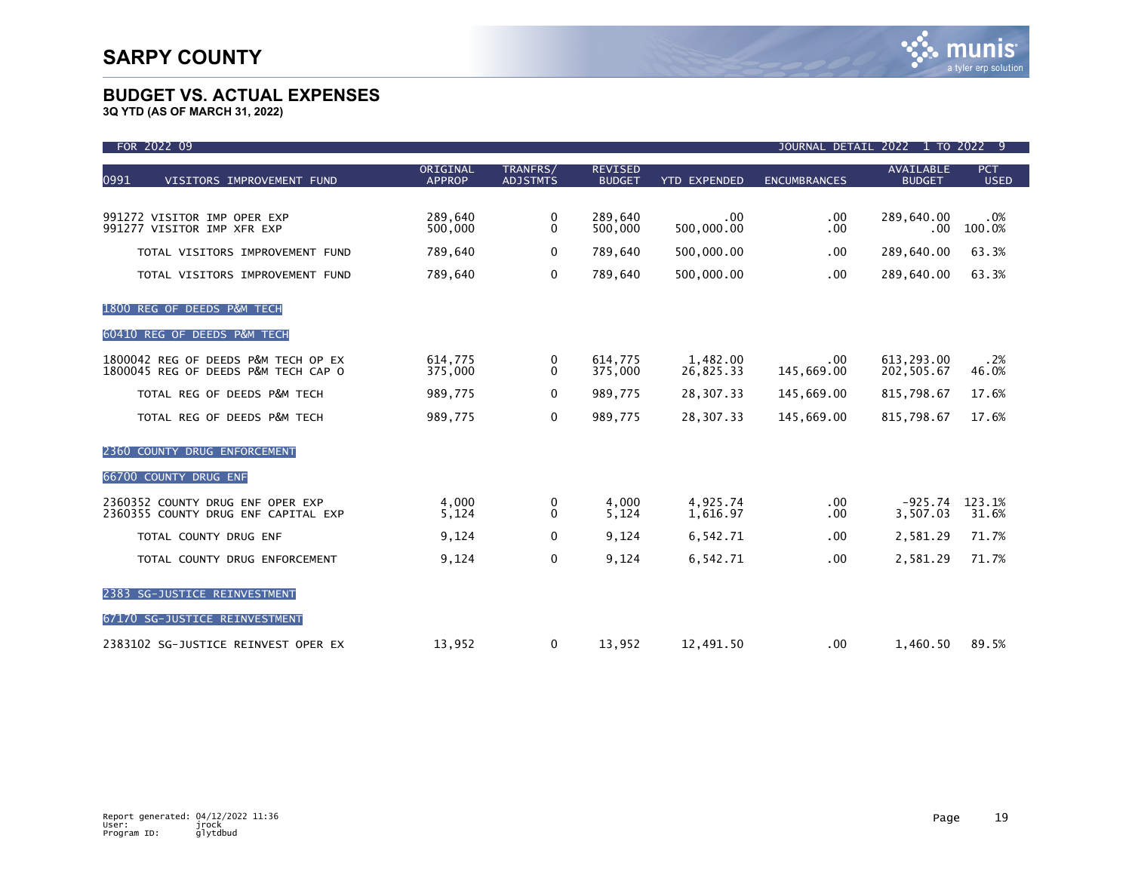| FOR 2022 09                                                                |                           |                             |                                 |                       | JOURNAL DETAIL      | 2022 1 TO 2022 9                  |                    |
|----------------------------------------------------------------------------|---------------------------|-----------------------------|---------------------------------|-----------------------|---------------------|-----------------------------------|--------------------|
| 0991<br>VISITORS IMPROVEMENT FUND                                          | ORIGINAL<br><b>APPROP</b> | TRANFRS/<br><b>ADJSTMTS</b> | <b>REVISED</b><br><b>BUDGET</b> | <b>YTD EXPENDED</b>   | <b>ENCUMBRANCES</b> | <b>AVAILABLE</b><br><b>BUDGET</b> | PCT<br><b>USED</b> |
| 991272 VISITOR IMP OPER EXP<br>991277 VISITOR IMP XFR EXP                  | 289,640<br>500,000        | 0<br>0                      | 289,640<br>500,000              | .00<br>500,000.00     | $.00 \,$<br>.00     | 289,640.00<br>$.00 \,$            | .0%<br>100.0%      |
| TOTAL VISITORS IMPROVEMENT FUND                                            | 789,640                   | $\mathbf{0}$                | 789,640                         | 500,000.00            | .00                 | 289,640.00                        | 63.3%              |
| TOTAL VISITORS IMPROVEMENT FUND                                            | 789,640                   | 0                           | 789,640                         | 500,000.00            | .00.                | 289,640.00                        | 63.3%              |
| 1800 REG OF DEEDS P&M TECH                                                 |                           |                             |                                 |                       |                     |                                   |                    |
| 60410 REG OF DEEDS P&M TECH                                                |                           |                             |                                 |                       |                     |                                   |                    |
| 1800042 REG OF DEEDS P&M TECH OP EX<br>1800045 REG OF DEEDS P&M TECH CAP O | 614,775<br>375,000        | 0<br>0                      | 614,775<br>375,000              | 1,482.00<br>26,825.33 | .00<br>145,669.00   | 613,293.00<br>202,505.67          | .2%<br>46.0%       |
| TOTAL REG OF DEEDS P&M TECH                                                | 989,775                   | 0                           | 989,775                         | 28,307.33             | 145,669.00          | 815,798.67                        | 17.6%              |
| TOTAL REG OF DEEDS P&M TECH                                                | 989,775                   | 0                           | 989,775                         | 28,307.33             | 145,669.00          | 815,798.67                        | 17.6%              |
| 2360 COUNTY DRUG ENFORCEMENT                                               |                           |                             |                                 |                       |                     |                                   |                    |
| 66700 COUNTY DRUG ENF                                                      |                           |                             |                                 |                       |                     |                                   |                    |
| 2360352 COUNTY DRUG ENF OPER EXP<br>2360355 COUNTY DRUG ENF CAPITAL EXP    | 4,000<br>5,124            | 0<br>$\mathbf{0}$           | 4.000<br>5,124                  | 4,925.74<br>1,616.97  | $.00 \,$<br>.00     | $-925.74$<br>3,507.03             | 123.1%<br>31.6%    |
| TOTAL COUNTY DRUG ENF                                                      | 9,124                     | $\mathbf 0$                 | 9,124                           | 6,542.71              | .00                 | 2,581.29                          | 71.7%              |
| TOTAL COUNTY DRUG ENFORCEMENT                                              | 9,124                     | 0                           | 9,124                           | 6,542.71              | .00                 | 2,581.29                          | 71.7%              |
| 2383 SG-JUSTICE REINVESTMENT                                               |                           |                             |                                 |                       |                     |                                   |                    |
| 67170 SG-JUSTICE REINVESTMENT                                              |                           |                             |                                 |                       |                     |                                   |                    |
| 2383102 SG-JUSTICE REINVEST OPER EX                                        | 13,952                    | 0                           | 13,952                          | 12,491.50             | $.00 \,$            | 1,460.50                          | 89.5%              |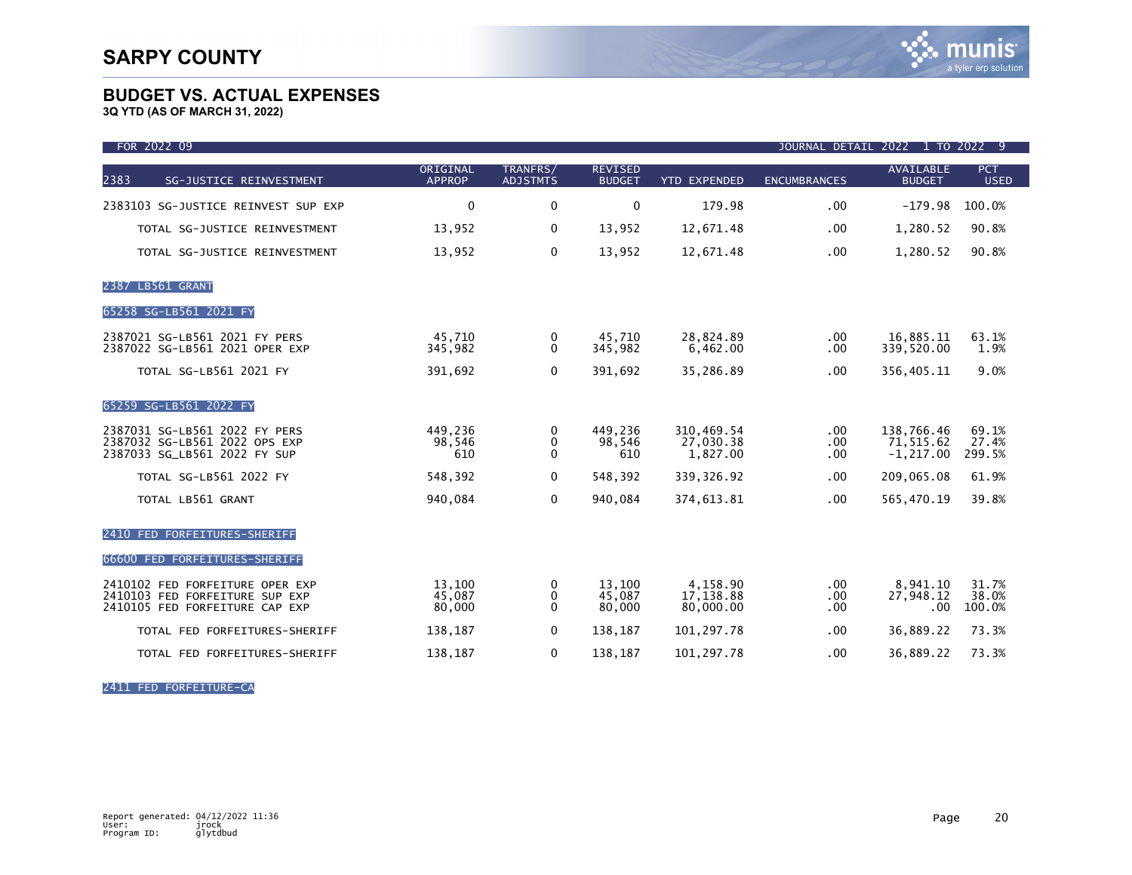**3Q YTD (AS OF MARCH 31, 2022)**

| FOR 2022 09                                                                                         |                            |                                   |                                 |                                     |                     | JOURNAL DETAIL 2022 1 TO 2022 9           |                           |
|-----------------------------------------------------------------------------------------------------|----------------------------|-----------------------------------|---------------------------------|-------------------------------------|---------------------|-------------------------------------------|---------------------------|
| 2383<br>SG-JUSTICE REINVESTMENT                                                                     | ORIGINAL<br><b>APPROP</b>  | TRANFRS/<br><b>ADJSTMTS</b>       | <b>REVISED</b><br><b>BUDGET</b> | <b>YTD EXPENDED</b>                 | <b>ENCUMBRANCES</b> | <b>AVAILABLE</b><br><b>BUDGET</b>         | <b>PCT</b><br><b>USED</b> |
| 2383103 SG-JUSTICE REINVEST SUP EXP                                                                 | $\mathbf{0}$               | $\mathbf 0$                       | $\mathbf 0$                     | 179.98                              | .00.                | $-179.98$                                 | 100.0%                    |
| TOTAL SG-JUSTICE REINVESTMENT                                                                       | 13,952                     | 0                                 | 13,952                          | 12,671.48                           | .00                 | 1,280.52                                  | 90.8%                     |
| TOTAL SG-JUSTICE REINVESTMENT                                                                       | 13,952                     | 0                                 | 13,952                          | 12,671.48                           | .00.                | 1,280.52                                  | 90.8%                     |
| 2387 LB561 GRANT                                                                                    |                            |                                   |                                 |                                     |                     |                                           |                           |
| 65258 SG-LB561 2021 FY                                                                              |                            |                                   |                                 |                                     |                     |                                           |                           |
| 2387021 SG-LB561 2021 FY PERS<br>2387022 SG-LB561 2021 OPER EXP                                     | 45,710<br>345,982          | 0<br>0                            | 45,710<br>345.982               | 28,824.89<br>6.462.00               | .00.<br>.00.        | 16,885.11<br>339.520.00                   | 63.1%<br>1.9%             |
| <b>TOTAL SG-LB561 2021 FY</b>                                                                       | 391,692                    | $\mathbf{0}$                      | 391,692                         | 35,286.89                           | .00.                | 356,405.11                                | 9.0%                      |
| 65259 SG-LB561 2022 FY                                                                              |                            |                                   |                                 |                                     |                     |                                           |                           |
| 2387031 SG-LB561 2022 FY PERS<br>2387032 SG-LB561 2022 OPS EXP<br>2387033 SG_LB561 2022 FY SUP      | 449,236<br>98,546<br>610   | 0<br>$\mathbf{0}$<br>$\mathbf{0}$ | 449,236<br>98,546<br>610        | 310,469.54<br>27,030.38<br>1,827.00 | .00<br>.00.<br>.00  | 138,766.46<br>71,515.62<br>$-1, 217.00$   | 69.1%<br>27.4%<br>299.5%  |
| <b>TOTAL SG-LB561 2022 FY</b>                                                                       | 548,392                    | 0                                 | 548,392                         | 339, 326.92                         | .00.                | 209,065.08                                | 61.9%                     |
| TOTAL LB561 GRANT                                                                                   | 940,084                    | $\mathbf 0$                       | 940,084                         | 374,613.81                          | .00.                | 565,470.19                                | 39.8%                     |
| 2410 FED FORFEITURES-SHERIFF                                                                        |                            |                                   |                                 |                                     |                     |                                           |                           |
| 66600 FED FORFEITURES-SHERIFF                                                                       |                            |                                   |                                 |                                     |                     |                                           |                           |
| 2410102 FED FORFEITURE OPER EXP<br>2410103 FED FORFEITURE SUP EXP<br>2410105 FED FORFEITURE CAP EXP | 13,100<br>45,087<br>80,000 | 0<br>0<br>$\mathbf{0}$            | 13,100<br>45,087<br>80,000      | 4.158.90<br>17,138.88<br>80,000.00  | .00<br>.00.<br>.00. | 8.941.10<br>27,948.12<br>.00 <sub>1</sub> | 31.7%<br>38.0%<br>100.0%  |
| TOTAL FED FORFEITURES-SHERIFF                                                                       | 138,187                    | 0                                 | 138,187                         | 101,297.78                          | .00.                | 36,889.22                                 | 73.3%                     |
| TOTAL FED FORFEITURES-SHERIFF                                                                       | 138,187                    | 0                                 | 138,187                         | 101,297.78                          | .00.                | 36,889.22                                 | 73.3%                     |

2411 FED FORFEITURE-CA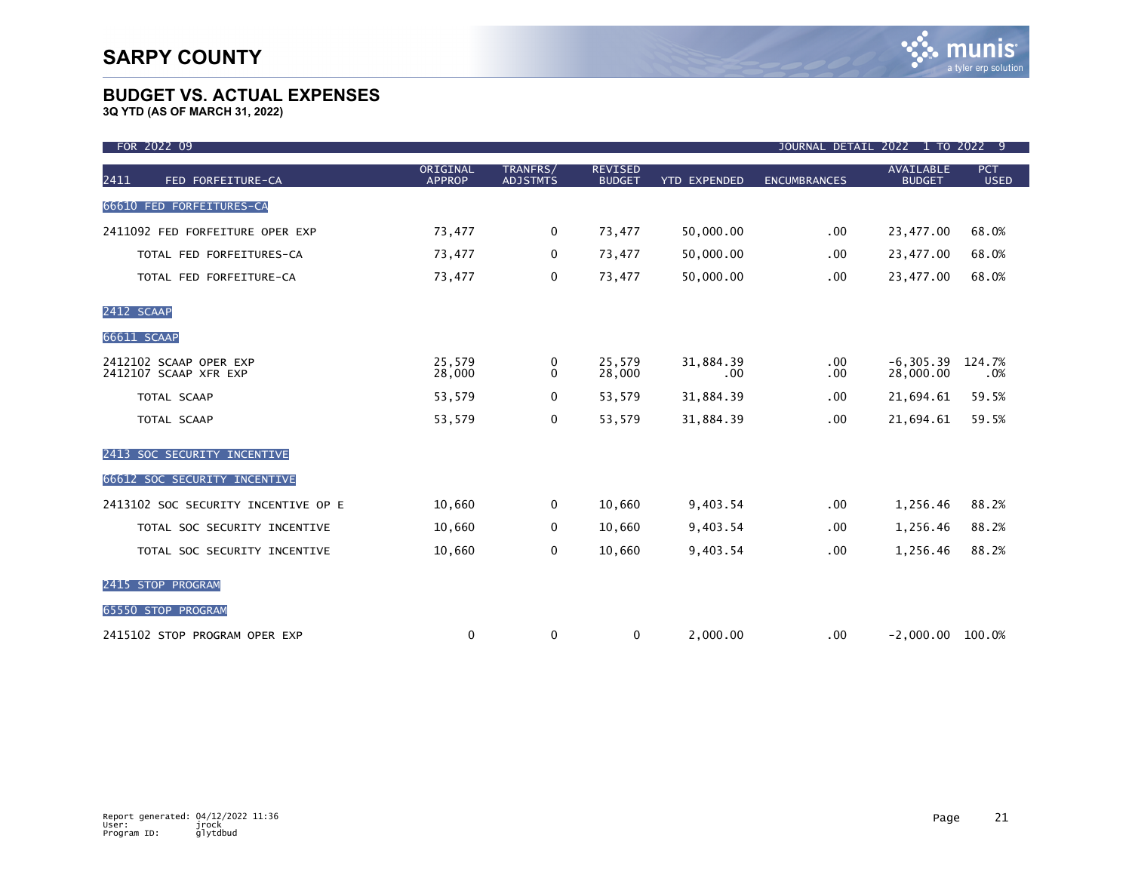| FOR 2022 09                                     |                           |                             |                                 |                     | JOURNAL DETAIL 2022 1 TO 2022 9 |                                   |                           |
|-------------------------------------------------|---------------------------|-----------------------------|---------------------------------|---------------------|---------------------------------|-----------------------------------|---------------------------|
| 2411<br>FED FORFEITURE-CA                       | ORIGINAL<br><b>APPROP</b> | TRANFRS/<br><b>ADJSTMTS</b> | <b>REVISED</b><br><b>BUDGET</b> | <b>YTD EXPENDED</b> | <b>ENCUMBRANCES</b>             | <b>AVAILABLE</b><br><b>BUDGET</b> | <b>PCT</b><br><b>USED</b> |
| 66610 FED FORFEITURES-CA                        |                           |                             |                                 |                     |                                 |                                   |                           |
| 2411092 FED FORFEITURE OPER EXP                 | 73,477                    | 0                           | 73,477                          | 50,000.00           | .00.                            | 23,477.00                         | 68.0%                     |
| TOTAL FED FORFEITURES-CA                        | 73,477                    | $\mathbf 0$                 | 73,477                          | 50,000.00           | .00.                            | 23,477.00                         | 68.0%                     |
| TOTAL FED FORFEITURE-CA                         | 73,477                    | $\mathbf 0$                 | 73,477                          | 50,000.00           | .00                             | 23,477.00                         | 68.0%                     |
| 2412 SCAAP                                      |                           |                             |                                 |                     |                                 |                                   |                           |
| 66611 SCAAP                                     |                           |                             |                                 |                     |                                 |                                   |                           |
| 2412102 SCAAP OPER EXP<br>2412107 SCAAP XFR EXP | 25,579<br>28,000          | 0<br>$\mathbf{0}$           | 25,579<br>28,000                | 31,884.39<br>.00    | $.00 \,$<br>.00.                | $-6, 305.39$<br>28,000.00         | 124.7%<br>.0%             |
| TOTAL SCAAP                                     | 53,579                    | 0                           | 53,579                          | 31,884.39           | .00.                            | 21,694.61                         | 59.5%                     |
| TOTAL SCAAP                                     | 53,579                    | $\mathbf 0$                 | 53,579                          | 31,884.39           | .00                             | 21,694.61                         | 59.5%                     |
| 2413 SOC SECURITY INCENTIVE                     |                           |                             |                                 |                     |                                 |                                   |                           |
| 66612 SOC SECURITY INCENTIVE                    |                           |                             |                                 |                     |                                 |                                   |                           |
| 2413102 SOC SECURITY INCENTIVE OP E             | 10,660                    | $\mathbf 0$                 | 10,660                          | 9,403.54            | .00 <sub>1</sub>                | 1,256.46                          | 88.2%                     |
| TOTAL SOC SECURITY INCENTIVE                    | 10,660                    | 0                           | 10,660                          | 9,403.54            | .00                             | 1,256.46                          | 88.2%                     |
| TOTAL SOC SECURITY INCENTIVE                    | 10,660                    | 0                           | 10,660                          | 9,403.54            | .00.                            | 1,256.46                          | 88.2%                     |
| 2415 STOP PROGRAM                               |                           |                             |                                 |                     |                                 |                                   |                           |
| 65550 STOP PROGRAM                              |                           |                             |                                 |                     |                                 |                                   |                           |
| 2415102 STOP PROGRAM OPER EXP                   | 0                         | 0                           | 0                               | 2,000.00            | .00.                            | $-2,000.00$ 100.0%                |                           |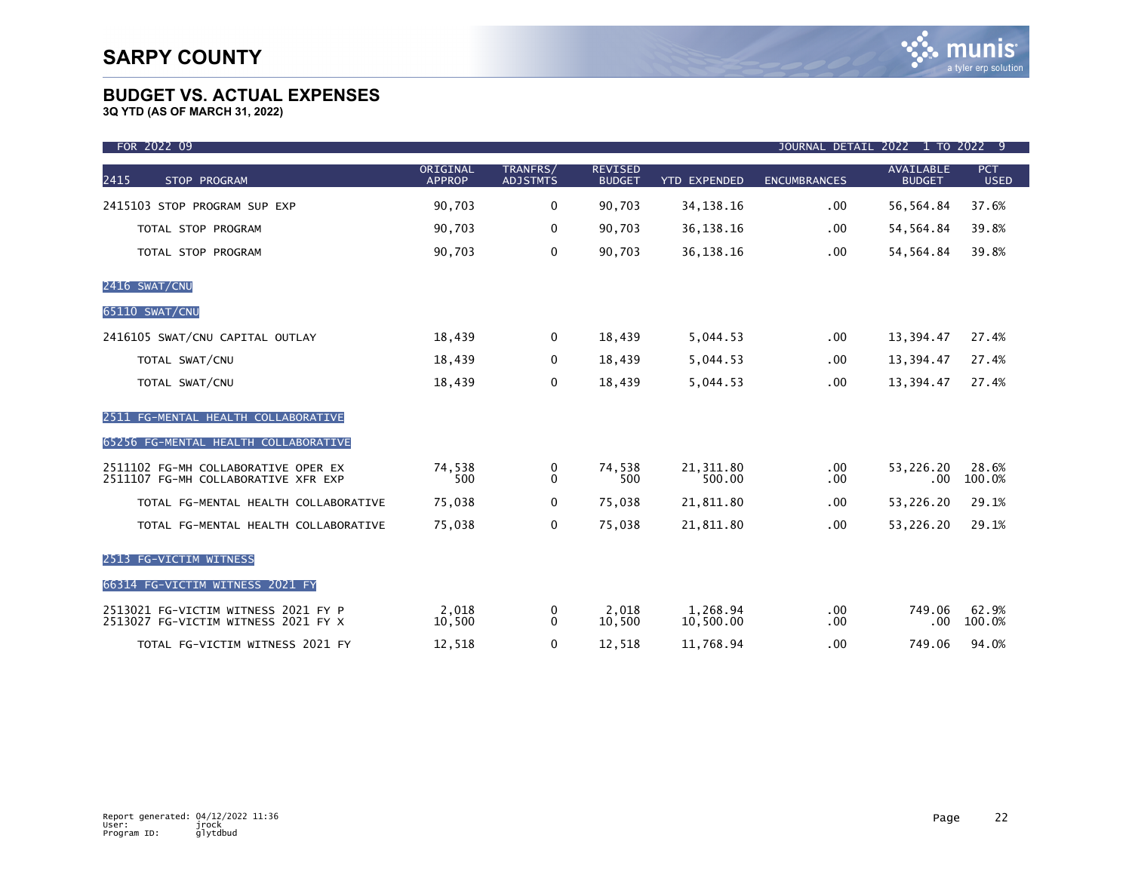| FOR 2022 09                                                                |                           |                             |                                 |                       | JOURNAL DETAIL 2022 1 TO 2022 9 |                                   |                           |
|----------------------------------------------------------------------------|---------------------------|-----------------------------|---------------------------------|-----------------------|---------------------------------|-----------------------------------|---------------------------|
| 2415<br>STOP PROGRAM                                                       | ORIGINAL<br><b>APPROP</b> | TRANFRS/<br><b>ADJSTMTS</b> | <b>REVISED</b><br><b>BUDGET</b> | <b>YTD EXPENDED</b>   | <b>ENCUMBRANCES</b>             | <b>AVAILABLE</b><br><b>BUDGET</b> | <b>PCT</b><br><b>USED</b> |
| 2415103 STOP PROGRAM SUP EXP                                               | 90,703                    | 0                           | 90,703                          | 34, 138. 16           | .00                             | 56,564.84                         | 37.6%                     |
| TOTAL STOP PROGRAM                                                         | 90,703                    | $\mathbf 0$                 | 90,703                          | 36, 138. 16           | $.00 \,$                        | 54, 564.84                        | 39.8%                     |
| TOTAL STOP PROGRAM                                                         | 90,703                    | $\mathbf 0$                 | 90,703                          | 36, 138. 16           | .00                             | 54, 564.84                        | 39.8%                     |
| 2416 SWAT/CNU                                                              |                           |                             |                                 |                       |                                 |                                   |                           |
| 65110 SWAT/CNU                                                             |                           |                             |                                 |                       |                                 |                                   |                           |
| 2416105 SWAT/CNU CAPITAL OUTLAY                                            | 18,439                    | 0                           | 18,439                          | 5,044.53              | $.00 \,$                        | 13,394.47                         | 27.4%                     |
| TOTAL SWAT/CNU                                                             | 18,439                    | 0                           | 18,439                          | 5,044.53              | .00                             | 13,394.47                         | 27.4%                     |
| TOTAL SWAT/CNU                                                             | 18,439                    | 0                           | 18,439                          | 5,044.53              | .00                             | 13,394.47                         | 27.4%                     |
| 2511 FG-MENTAL HEALTH COLLABORATIVE                                        |                           |                             |                                 |                       |                                 |                                   |                           |
| 65256 FG-MENTAL HEALTH COLLABORATIVE                                       |                           |                             |                                 |                       |                                 |                                   |                           |
| 2511102 FG-MH COLLABORATIVE OPER EX<br>2511107 FG-MH COLLABORATIVE XFR EXP | 74,538<br>500             | 0<br>$\Omega$               | 74,538<br>500                   | 21, 311.80<br>500.00  | $.00 \,$<br>.00                 | 53,226.20<br>.00                  | 28.6%<br>100.0%           |
| TOTAL FG-MENTAL HEALTH COLLABORATIVE                                       | 75,038                    | 0                           | 75,038                          | 21,811.80             | $.00 \,$                        | 53,226.20                         | 29.1%                     |
| TOTAL FG-MENTAL HEALTH COLLABORATIVE                                       | 75,038                    | 0                           | 75,038                          | 21,811.80             | .00                             | 53,226.20                         | 29.1%                     |
| 2513 FG-VICTIM WITNESS                                                     |                           |                             |                                 |                       |                                 |                                   |                           |
| 66314 FG-VICTIM WITNESS 2021 FY                                            |                           |                             |                                 |                       |                                 |                                   |                           |
| 2513021 FG-VICTIM WITNESS 2021 FY P<br>2513027 FG-VICTIM WITNESS 2021 FY X | 2.018<br>10,500           | 0<br>$\Omega$               | 2,018<br>10,500                 | 1,268.94<br>10,500.00 | $.00 \,$<br>.00                 | 749.06<br>.00                     | 62.9%<br>100.0%           |
| TOTAL FG-VICTIM WITNESS 2021 FY                                            | 12,518                    | 0                           | 12,518                          | 11,768.94             | .00                             | 749.06                            | 94.0%                     |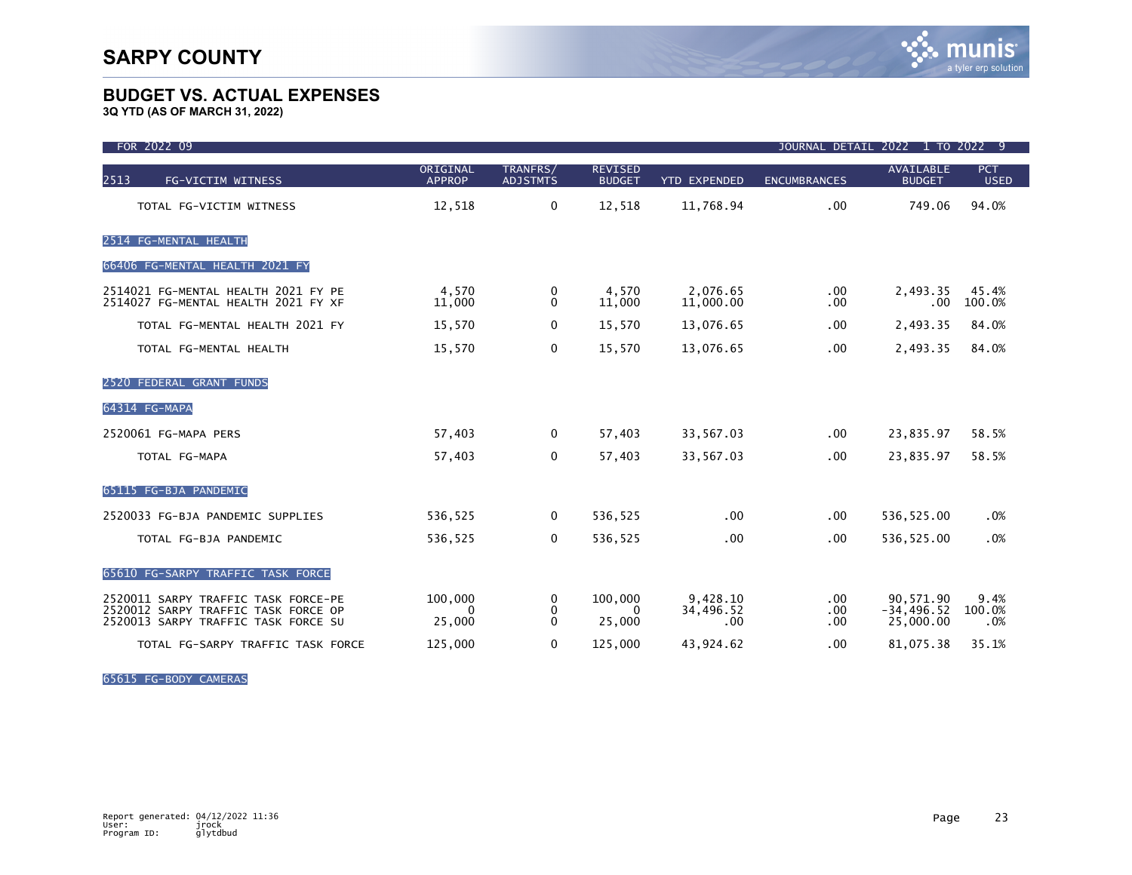**3Q YTD (AS OF MARCH 31, 2022)**

| FOR 2022 09                                                                                                       |                           |                             |                                 |                              | JOURNAL DETAIL 2022 1 TO 2022 9 |                                         |                           |
|-------------------------------------------------------------------------------------------------------------------|---------------------------|-----------------------------|---------------------------------|------------------------------|---------------------------------|-----------------------------------------|---------------------------|
| 2513<br>FG-VICTIM WITNESS                                                                                         | ORIGINAL<br><b>APPROP</b> | TRANFRS/<br><b>ADJSTMTS</b> | <b>REVISED</b><br><b>BUDGET</b> | <b>YTD EXPENDED</b>          | <b>ENCUMBRANCES</b>             | AVAILABLE<br><b>BUDGET</b>              | <b>PCT</b><br><b>USED</b> |
| TOTAL FG-VICTIM WITNESS                                                                                           | 12,518                    | $\mathbf 0$                 | 12,518                          | 11,768.94                    | .00                             | 749.06                                  | 94.0%                     |
| 2514 FG-MENTAL HEALTH                                                                                             |                           |                             |                                 |                              |                                 |                                         |                           |
| 66406 FG-MENTAL HEALTH 2021 FY                                                                                    |                           |                             |                                 |                              |                                 |                                         |                           |
| 2514021 FG-MENTAL HEALTH 2021 FY PE<br>2514027 FG-MENTAL HEALTH 2021 FY XF                                        | 4,570<br>11,000           | 0<br>$\mathbf{0}$           | 4,570<br>11,000                 | 2,076.65<br>11,000.00        | $.00 \,$<br>.00.                | 2,493.35<br>.00                         | 45.4%<br>100.0%           |
| TOTAL FG-MENTAL HEALTH 2021 FY                                                                                    | 15,570                    | 0                           | 15,570                          | 13,076.65                    | .00.                            | 2,493.35                                | 84.0%                     |
| TOTAL FG-MENTAL HEALTH                                                                                            | 15,570                    | $\mathbf 0$                 | 15,570                          | 13,076.65                    | .00                             | 2,493.35                                | 84.0%                     |
| 2520 FEDERAL GRANT FUNDS                                                                                          |                           |                             |                                 |                              |                                 |                                         |                           |
| 64314 FG-MAPA                                                                                                     |                           |                             |                                 |                              |                                 |                                         |                           |
| 2520061 FG-MAPA PERS                                                                                              | 57,403                    | 0                           | 57,403                          | 33,567.03                    | .00.                            | 23,835.97                               | 58.5%                     |
| TOTAL FG-MAPA                                                                                                     | 57,403                    | $\mathbf 0$                 | 57,403                          | 33,567.03                    | .00                             | 23,835.97                               | 58.5%                     |
| 65115 FG-BJA PANDEMIC                                                                                             |                           |                             |                                 |                              |                                 |                                         |                           |
| 2520033 FG-BJA PANDEMIC SUPPLIES                                                                                  | 536,525                   | 0                           | 536,525                         | .00                          | .00                             | 536,525.00                              | .0%                       |
| TOTAL FG-BJA PANDEMIC                                                                                             | 536,525                   | 0                           | 536,525                         | $.00 \,$                     | .00                             | 536,525.00                              | .0%                       |
| 65610 FG-SARPY TRAFFIC TASK FORCE                                                                                 |                           |                             |                                 |                              |                                 |                                         |                           |
| 2520011 SARPY TRAFFIC TASK FORCE-PE<br>2520012 SARPY TRAFFIC TASK FORCE OP<br>2520013 SARPY TRAFFIC TASK FORCE SU | 100,000<br>0<br>25,000    | 0<br>0<br>$\mathbf{0}$      | 100,000<br>$\Omega$<br>25,000   | 9,428.10<br>34,496.52<br>.00 | .00.<br>.00.<br>.00.            | 90,571.90<br>$-34, 496.52$<br>25,000.00 | 9.4%<br>100.0%<br>.0%     |
| TOTAL FG-SARPY TRAFFIC TASK FORCE                                                                                 | 125,000                   | $\mathbf 0$                 | 125,000                         | 43,924.62                    | .00                             | 81,075.38                               | 35.1%                     |

65615 FG-BODY CAMERAS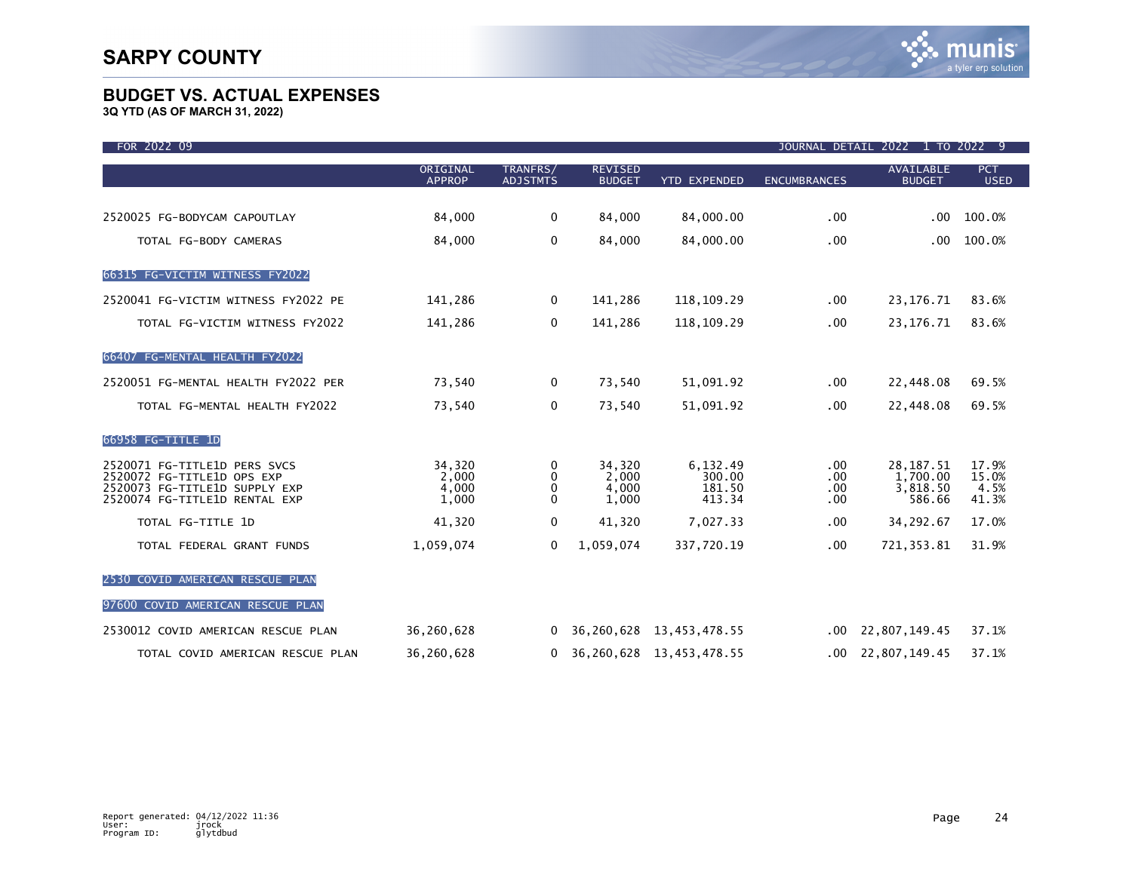| FOR 2022 09                                                                                                                  |                                   |                             |                                   |                                        |                                 | JOURNAL DETAIL 2022 1 TO 2022 9               |                                 |
|------------------------------------------------------------------------------------------------------------------------------|-----------------------------------|-----------------------------|-----------------------------------|----------------------------------------|---------------------------------|-----------------------------------------------|---------------------------------|
|                                                                                                                              | ORIGINAL<br><b>APPROP</b>         | TRANFRS/<br><b>ADJSTMTS</b> | <b>REVISED</b><br><b>BUDGET</b>   | <b>YTD EXPENDED</b>                    | <b>ENCUMBRANCES</b>             | <b>AVAILABLE</b><br><b>BUDGET</b>             | <b>PCT</b><br><b>USED</b>       |
| 2520025 FG-BODYCAM CAPOUTLAY                                                                                                 | 84,000                            | 0                           | 84,000                            | 84,000.00                              | $.00 \,$                        | $.00 \,$                                      | 100.0%                          |
| TOTAL FG-BODY CAMERAS                                                                                                        | 84,000                            | $\mathbf 0$                 | 84,000                            | 84,000.00                              | .00                             | .00.                                          | 100.0%                          |
| 66315 FG-VICTIM WITNESS FY2022                                                                                               |                                   |                             |                                   |                                        |                                 |                                               |                                 |
| 2520041 FG-VICTIM WITNESS FY2022 PE                                                                                          | 141,286                           | $\mathbf 0$                 | 141,286                           | 118,109.29                             | .00.                            | 23, 176. 71                                   | 83.6%                           |
| TOTAL FG-VICTIM WITNESS FY2022                                                                                               | 141,286                           | 0                           | 141,286                           | 118, 109. 29                           | .00.                            | 23, 176. 71                                   | 83.6%                           |
| 66407 FG-MENTAL HEALTH FY2022                                                                                                |                                   |                             |                                   |                                        |                                 |                                               |                                 |
| 2520051 FG-MENTAL HEALTH FY2022 PER                                                                                          | 73,540                            | $\mathbf 0$                 | 73,540                            | 51,091.92                              | .00.                            | 22,448.08                                     | 69.5%                           |
| TOTAL FG-MENTAL HEALTH FY2022                                                                                                | 73,540                            | 0                           | 73,540                            | 51,091.92                              | .00                             | 22,448.08                                     | 69.5%                           |
| 66958 FG-TITLE 1D                                                                                                            |                                   |                             |                                   |                                        |                                 |                                               |                                 |
| 2520071 FG-TITLE1D PERS SVCS<br>2520072 FG-TITLE1D OPS EXP<br>2520073 FG-TITLE1D SUPPLY EXP<br>2520074 FG-TITLE1D RENTAL EXP | 34,320<br>2,000<br>4,000<br>1,000 | 0<br>0<br>0<br>$\mathbf{0}$ | 34,320<br>2,000<br>4,000<br>1,000 | 6,132.49<br>300.00<br>181.50<br>413.34 | .00.<br>$.00 \,$<br>.00<br>.00. | 28, 187. 51<br>1,700.00<br>3,818.50<br>586.66 | 17.9%<br>15.0%<br>4.5%<br>41.3% |
| TOTAL FG-TITLE 1D                                                                                                            | 41,320                            | 0                           | 41,320                            | 7,027.33                               | .00.                            | 34,292.67                                     | 17.0%                           |
| TOTAL FEDERAL GRANT FUNDS                                                                                                    | 1,059,074                         | $\mathbf 0$                 | 1,059,074                         | 337,720.19                             | .00                             | 721, 353.81                                   | 31.9%                           |
| 2530 COVID AMERICAN RESCUE PLAN                                                                                              |                                   |                             |                                   |                                        |                                 |                                               |                                 |
| 97600 COVID AMERICAN RESCUE PLAN                                                                                             |                                   |                             |                                   |                                        |                                 |                                               |                                 |
| 2530012 COVID AMERICAN RESCUE PLAN                                                                                           | 36,260,628                        | 0                           | 36,260,628                        | 13,453,478.55                          | .00                             | 22,807,149.45                                 | 37.1%                           |
| TOTAL COVID AMERICAN RESCUE PLAN                                                                                             | 36,260,628                        | $\mathbf{0}$                |                                   | 36, 260, 628 13, 453, 478. 55          |                                 | $.00 \quad 22,807,149.45$                     | 37.1%                           |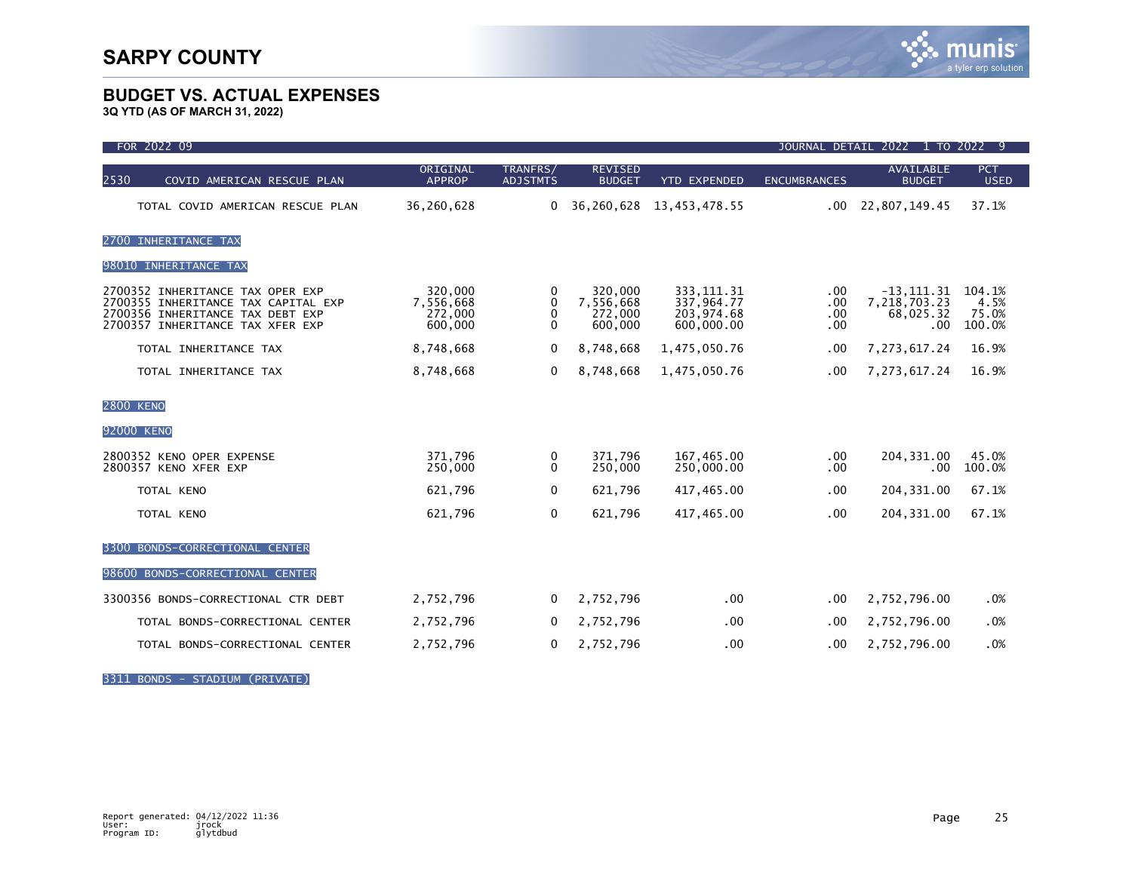**3Q YTD (AS OF MARCH 31, 2022)**

| FOR 2022 09                                                                                                                                     | JOURNAL DETAIL 2022 1 TO 2022 9            |                                               |                                            |                                                       |                          |                                                   |                                   |
|-------------------------------------------------------------------------------------------------------------------------------------------------|--------------------------------------------|-----------------------------------------------|--------------------------------------------|-------------------------------------------------------|--------------------------|---------------------------------------------------|-----------------------------------|
| 2530<br>COVID AMERICAN RESCUE PLAN                                                                                                              | ORIGINAL<br><b>APPROP</b>                  | TRANFRS/<br><b>ADJSTMTS</b>                   | <b>REVISED</b><br><b>BUDGET</b>            | <b>YTD EXPENDED</b>                                   | <b>ENCUMBRANCES</b>      | AVAILABLE<br><b>BUDGET</b>                        | <b>PCT</b><br><b>USED</b>         |
| TOTAL COVID AMERICAN RESCUE PLAN                                                                                                                | 36,260,628                                 | 0                                             | 36,260,628                                 | 13,453,478.55                                         | .00                      | 22,807,149.45                                     | 37.1%                             |
| 2700 INHERITANCE TAX                                                                                                                            |                                            |                                               |                                            |                                                       |                          |                                                   |                                   |
| 98010 INHERITANCE TAX                                                                                                                           |                                            |                                               |                                            |                                                       |                          |                                                   |                                   |
| 2700352 INHERITANCE TAX OPER EXP<br>2700355 INHERITANCE TAX CAPITAL EXP<br>2700356 INHERITANCE TAX DEBT EXP<br>2700357 INHERITANCE TAX XFER EXP | 320,000<br>7,556,668<br>272,000<br>600,000 | 0<br>$\mathbf{0}$<br>$\mathbf{0}$<br>$\Omega$ | 320,000<br>7,556,668<br>272,000<br>600,000 | 333, 111.31<br>337.964.77<br>203,974.68<br>600,000.00 | .00<br>.00<br>.00<br>.00 | $-13, 111.31$<br>7,218,703.23<br>68,025.32<br>.00 | 104.1%<br>4.5%<br>75.0%<br>100.0% |
| TOTAL INHERITANCE TAX                                                                                                                           | 8,748,668                                  | $\Omega$                                      | 8,748,668                                  | 1,475,050.76                                          | .00                      | 7, 273, 617.24                                    | 16.9%                             |
| TOTAL INHERITANCE TAX                                                                                                                           | 8,748,668                                  | 0                                             | 8,748,668                                  | 1,475,050.76                                          | .00                      | 7, 273, 617. 24                                   | 16.9%                             |
| <b>2800 KENO</b>                                                                                                                                |                                            |                                               |                                            |                                                       |                          |                                                   |                                   |
| 92000 KENO                                                                                                                                      |                                            |                                               |                                            |                                                       |                          |                                                   |                                   |
| 2800352 KENO OPER EXPENSE<br>2800357 KENO XFER EXP                                                                                              | 371,796<br>250,000                         | 0<br>0                                        | 371.796<br>250,000                         | 167,465.00<br>250,000.00                              | .00<br>.00               | 204, 331.00<br>.00                                | 45.0%<br>100.0%                   |
| TOTAL KENO                                                                                                                                      | 621,796                                    | $\mathbf{0}$                                  | 621,796                                    | 417,465.00                                            | .00                      | 204, 331.00                                       | 67.1%                             |
| TOTAL KENO                                                                                                                                      | 621,796                                    | 0                                             | 621,796                                    | 417,465.00                                            | .00                      | 204, 331.00                                       | 67.1%                             |
| BONDS-CORRECTIONAL CENTER<br>3300                                                                                                               |                                            |                                               |                                            |                                                       |                          |                                                   |                                   |
| 98600 BONDS-CORRECTIONAL CENTER                                                                                                                 |                                            |                                               |                                            |                                                       |                          |                                                   |                                   |
| 3300356 BONDS-CORRECTIONAL CTR DEBT                                                                                                             | 2,752,796                                  | 0                                             | 2,752,796                                  | $.00 \times$                                          | .00                      | 2,752,796.00                                      | .0%                               |
| TOTAL BONDS-CORRECTIONAL CENTER                                                                                                                 | 2,752,796                                  | 0                                             | 2,752,796                                  | .00                                                   | $.00 \,$                 | 2,752,796.00                                      | .0%                               |
| TOTAL BONDS-CORRECTIONAL CENTER                                                                                                                 | 2,752,796                                  | 0                                             | 2,752,796                                  | .00                                                   | .00                      | 2,752,796.00                                      | .0%                               |

3311 BONDS - STADIUM (PRIVATE)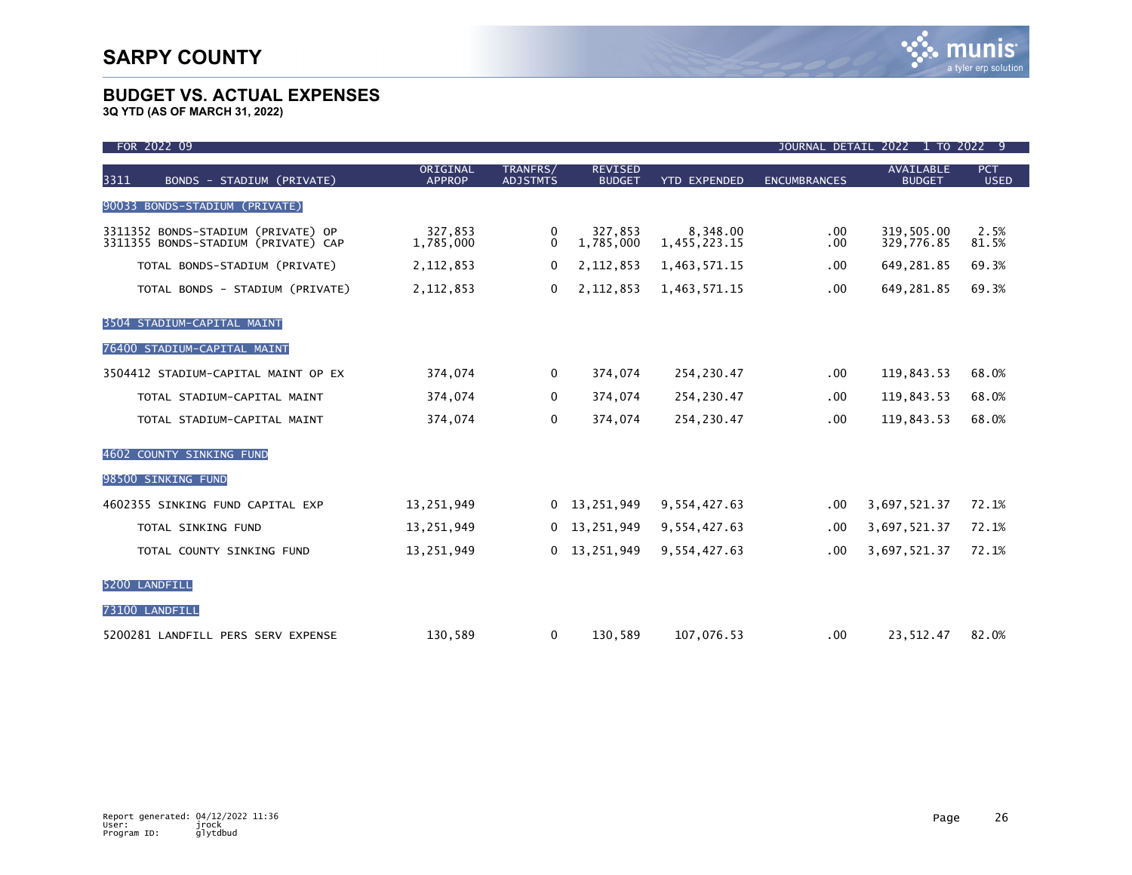| FOR 2022 09                                                               |                           |                             |                                 |                          |                     | JOURNAL DETAIL 2022 1 TO 2022 9   |                           |
|---------------------------------------------------------------------------|---------------------------|-----------------------------|---------------------------------|--------------------------|---------------------|-----------------------------------|---------------------------|
| <b>BONDS</b> - STADIUM (PRIVATE)<br>3311                                  | ORIGINAL<br><b>APPROP</b> | TRANFRS/<br><b>ADJSTMTS</b> | <b>REVISED</b><br><b>BUDGET</b> | <b>YTD EXPENDED</b>      | <b>ENCUMBRANCES</b> | <b>AVAILABLE</b><br><b>BUDGET</b> | <b>PCT</b><br><b>USED</b> |
| BONDS-STADIUM (PRIVATE)<br>90033                                          |                           |                             |                                 |                          |                     |                                   |                           |
| 3311352 BONDS-STADIUM (PRIVATE) OP<br>3311355 BONDS-STADIUM (PRIVATE) CAP | 327,853<br>1,785,000      | 0<br>$\Omega$               | 327,853<br>1,785,000            | 8,348.00<br>1,455,223.15 | $.00 \,$<br>.00.    | 319,505.00<br>329,776.85          | 2.5%<br>81.5%             |
| TOTAL BONDS-STADIUM (PRIVATE)                                             | 2, 112, 853               | 0                           | 2,112,853                       | 1,463,571.15             | .00                 | 649,281.85                        | 69.3%                     |
| TOTAL BONDS - STADIUM (PRIVATE)                                           | 2, 112, 853               | 0                           | 2,112,853                       | 1,463,571.15             | .00                 | 649,281.85                        | 69.3%                     |
| 3504 STADIUM-CAPITAL MAINT                                                |                           |                             |                                 |                          |                     |                                   |                           |
| 76400 STADIUM-CAPITAL MAINT                                               |                           |                             |                                 |                          |                     |                                   |                           |
| 3504412 STADIUM-CAPITAL MAINT OP EX                                       | 374,074                   | 0                           | 374,074                         | 254, 230.47              | .00                 | 119,843.53                        | 68.0%                     |
| TOTAL STADIUM-CAPITAL MAINT                                               | 374,074                   | 0                           | 374,074                         | 254, 230.47              | .00                 | 119,843.53                        | 68.0%                     |
| TOTAL STADIUM-CAPITAL MAINT                                               | 374,074                   | 0                           | 374,074                         | 254,230.47               | .00                 | 119,843.53                        | 68.0%                     |
| 4602 COUNTY SINKING FUND                                                  |                           |                             |                                 |                          |                     |                                   |                           |
| 98500 SINKING FUND                                                        |                           |                             |                                 |                          |                     |                                   |                           |
| 4602355 SINKING FUND CAPITAL EXP                                          | 13,251,949                | 0                           | 13,251,949                      | 9,554,427.63             | .00                 | 3,697,521.37                      | 72.1%                     |
| TOTAL SINKING FUND                                                        | 13,251,949                | 0                           | 13,251,949                      | 9,554,427.63             | $.00 \,$            | 3,697,521.37                      | 72.1%                     |
| TOTAL COUNTY SINKING FUND                                                 | 13,251,949                | 0                           | 13,251,949                      | 9,554,427.63             | .00                 | 3,697,521.37                      | 72.1%                     |
| 5200 LANDFILL                                                             |                           |                             |                                 |                          |                     |                                   |                           |
| 73100 LANDFILL                                                            |                           |                             |                                 |                          |                     |                                   |                           |
| 5200281 LANDFILL PERS SERV EXPENSE                                        | 130,589                   | 0                           | 130,589                         | 107,076.53               | .00                 | 23,512.47                         | 82.0%                     |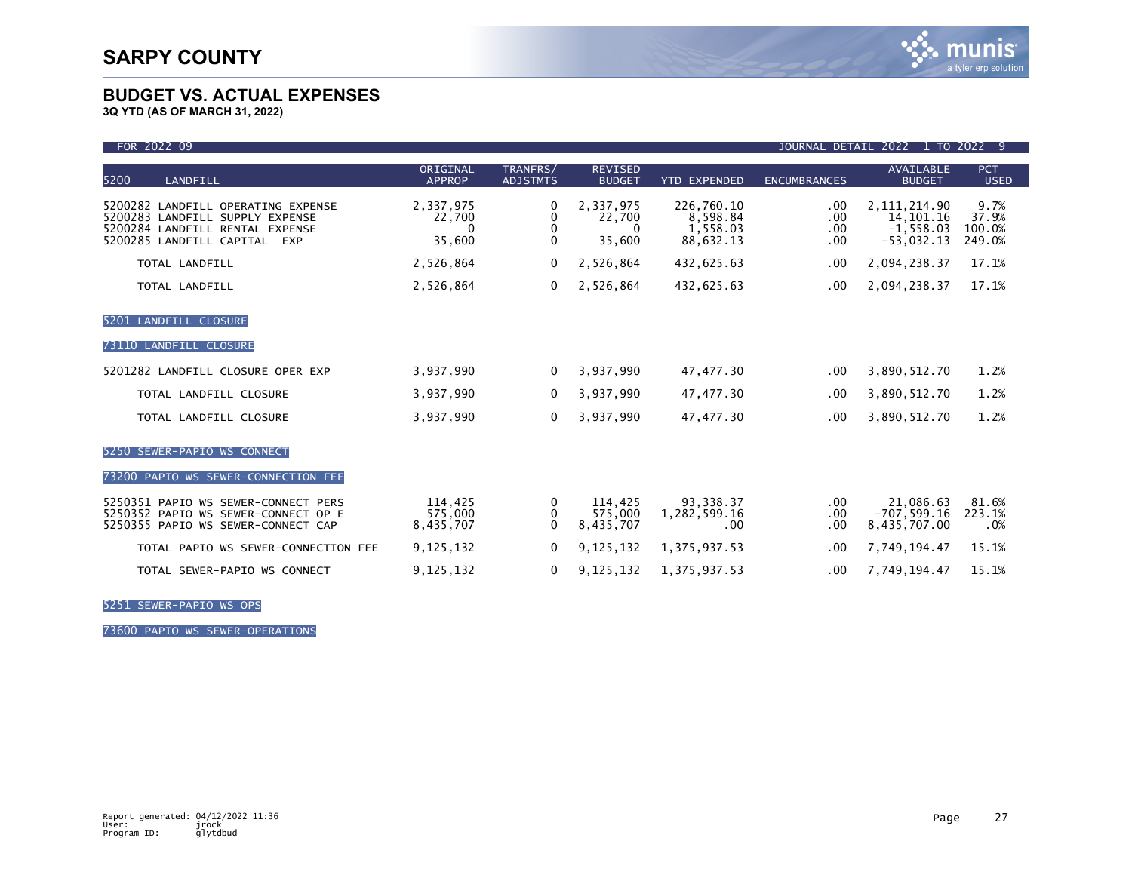**3Q YTD (AS OF MARCH 31, 2022)**

| FOR 2022 09<br>1 TO 2022<br><b>JOURNAL DETAIL</b><br>2022<br>- 9                                                                                   |                                           |                                        |                                           |                                                 |                          |                                                              |                                   |
|----------------------------------------------------------------------------------------------------------------------------------------------------|-------------------------------------------|----------------------------------------|-------------------------------------------|-------------------------------------------------|--------------------------|--------------------------------------------------------------|-----------------------------------|
| 5200<br>LANDFILL                                                                                                                                   | ORIGINAL<br><b>APPROP</b>                 | TRANFRS/<br><b>ADJSTMTS</b>            | <b>REVISED</b><br><b>BUDGET</b>           | <b>YTD EXPENDED</b>                             | <b>ENCUMBRANCES</b>      | <b>AVAILABLE</b><br><b>BUDGET</b>                            | <b>PCT</b><br><b>USED</b>         |
| 5200282 LANDFILL OPERATING EXPENSE<br>5200283 LANDFILL SUPPLY EXPENSE<br>5200284 LANDFILL RENTAL EXPENSE<br>5200285 LANDFILL CAPITAL<br><b>EXP</b> | 2,337,975<br>22,700<br>$\Omega$<br>35,600 | 0<br>0<br>$\mathbf{0}$<br>$\mathbf{0}$ | 2,337,975<br>22,700<br>$\Omega$<br>35,600 | 226,760.10<br>8,598.84<br>1,558.03<br>88,632.13 | .00<br>.00<br>.00<br>.00 | 2, 111, 214.90<br>14, 101. 16<br>$-1,558.03$<br>$-53,032.13$ | 9.7%<br>37.9%<br>100.0%<br>249.0% |
| TOTAL LANDFILL                                                                                                                                     | 2,526,864                                 | 0                                      | 2,526,864                                 | 432,625.63                                      | .00                      | 2,094,238.37                                                 | 17.1%                             |
| TOTAL LANDFILL                                                                                                                                     | 2,526,864                                 | 0                                      | 2,526,864                                 | 432,625.63                                      | .00                      | 2,094,238.37                                                 | 17.1%                             |
| 5201 LANDFILL CLOSURE                                                                                                                              |                                           |                                        |                                           |                                                 |                          |                                                              |                                   |
| 73110 LANDFILL CLOSURE                                                                                                                             |                                           |                                        |                                           |                                                 |                          |                                                              |                                   |
| 5201282 LANDFILL CLOSURE OPER EXP                                                                                                                  | 3,937,990                                 | $\Omega$                               | 3,937,990                                 | 47, 477.30                                      | .00                      | 3,890,512.70                                                 | 1.2%                              |
| TOTAL LANDFILL CLOSURE                                                                                                                             | 3,937,990                                 | $\Omega$                               | 3,937,990                                 | 47, 477.30                                      | .00                      | 3,890,512.70                                                 | 1.2%                              |
| TOTAL LANDFILL CLOSURE                                                                                                                             | 3,937,990                                 | $\Omega$                               | 3,937,990                                 | 47, 477.30                                      | .00                      | 3,890,512.70                                                 | 1.2%                              |
| 5250 SEWER-PAPIO WS CONNECT                                                                                                                        |                                           |                                        |                                           |                                                 |                          |                                                              |                                   |
| 73200 PAPIO WS SEWER-CONNECTION FEE                                                                                                                |                                           |                                        |                                           |                                                 |                          |                                                              |                                   |
| 5250351 PAPIO WS SEWER-CONNECT PERS<br>5250352 PAPIO WS SEWER-CONNECT OP E<br>5250355 PAPIO WS SEWER-CONNECT CAP                                   | 114,425<br>575,000<br>8,435,707           | 0<br>0<br>$\Omega$                     | 114,425<br>575,000<br>8,435,707           | 93, 338.37<br>1,282,599.16<br>.00               | .00<br>.00<br>.00        | 21,086.63<br>$-707,599.16$<br>8,435,707.00                   | 81.6%<br>223.1%<br>.0%            |
| TOTAL PAPIO WS SEWER-CONNECTION FEE                                                                                                                | 9,125,132                                 | 0                                      | 9,125,132                                 | 1,375,937.53                                    | .00                      | 7,749,194.47                                                 | 15.1%                             |
| TOTAL SEWER-PAPIO WS CONNECT                                                                                                                       | 9,125,132                                 | 0                                      | 9,125,132                                 | 1, 375, 937.53                                  | .00                      | 7,749,194.47                                                 | 15.1%                             |

5251 SEWER-PAPIO WS OPS

73600 PAPIO WS SEWER-OPERATIONS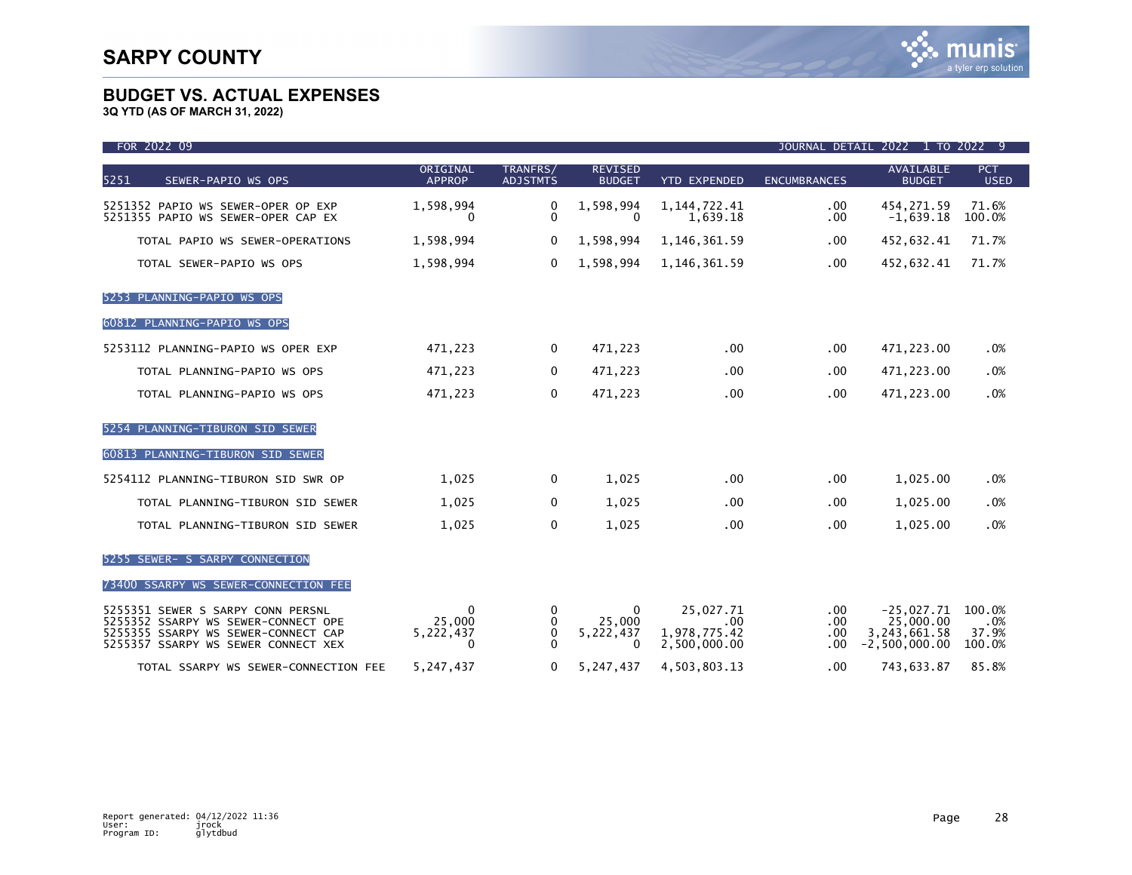| FOR 2022 09                                                                                                                                            | JOURNAL DETAIL 2022 1 TO 2022 9                 |                             |                                             |                                                       |                                          |                                                                |                                  |
|--------------------------------------------------------------------------------------------------------------------------------------------------------|-------------------------------------------------|-----------------------------|---------------------------------------------|-------------------------------------------------------|------------------------------------------|----------------------------------------------------------------|----------------------------------|
| 5251<br>SEWER-PAPIO WS OPS                                                                                                                             | ORIGINAL<br><b>APPROP</b>                       | TRANFRS/<br><b>ADJSTMTS</b> | <b>REVISED</b><br><b>BUDGET</b>             | <b>YTD EXPENDED</b>                                   | <b>ENCUMBRANCES</b>                      | <b>AVAILABLE</b><br><b>BUDGET</b>                              | <b>PCT</b><br><b>USED</b>        |
| 5251352 PAPIO WS SEWER-OPER OP EXP<br>5251355 PAPIO WS SEWER-OPER CAP EX                                                                               | 1,598,994<br>$\bf{0}$                           | 0<br>$\mathbf{0}$           | 1,598,994<br>$\mathbf{0}$                   | 1, 144, 722. 41<br>1,639.18                           | .00<br>.00.                              | 454,271.59<br>$-1,639.18$                                      | 71.6%<br>100.0%                  |
| TOTAL PAPIO WS SEWER-OPERATIONS                                                                                                                        | 1,598,994                                       | 0                           | 1,598,994                                   | 1,146,361.59                                          | $.00 \,$                                 | 452,632.41                                                     | 71.7%                            |
| TOTAL SEWER-PAPIO WS OPS                                                                                                                               | 1,598,994                                       | $\mathbf{0}$                | 1,598,994                                   | 1, 146, 361.59                                        | .00.                                     | 452,632.41                                                     | 71.7%                            |
| 5253 PLANNING-PAPIO WS OPS                                                                                                                             |                                                 |                             |                                             |                                                       |                                          |                                                                |                                  |
| 60812 PLANNING-PAPIO WS OPS                                                                                                                            |                                                 |                             |                                             |                                                       |                                          |                                                                |                                  |
| 5253112 PLANNING-PAPIO WS OPER EXP                                                                                                                     | 471,223                                         | $\Omega$                    | 471,223                                     | .00                                                   | .00.                                     | 471,223.00                                                     | .0%                              |
| TOTAL PLANNING-PAPIO WS OPS                                                                                                                            | 471,223                                         | 0                           | 471,223                                     | $.00 \times$                                          | .00                                      | 471,223.00                                                     | .0%                              |
| TOTAL PLANNING-PAPIO WS OPS                                                                                                                            | 471,223                                         | 0                           | 471,223                                     | .00 <sub>1</sub>                                      | .00                                      | 471,223.00                                                     | .0%                              |
| 5254 PLANNING-TIBURON SID SEWER                                                                                                                        |                                                 |                             |                                             |                                                       |                                          |                                                                |                                  |
| 60813 PLANNING-TIBURON SID SEWER                                                                                                                       |                                                 |                             |                                             |                                                       |                                          |                                                                |                                  |
| 5254112 PLANNING-TIBURON SID SWR OP                                                                                                                    | 1,025                                           | 0                           | 1,025                                       | .00                                                   | .00                                      | 1,025.00                                                       | .0%                              |
| TOTAL PLANNING-TIBURON SID SEWER                                                                                                                       | 1,025                                           | $\mathbf{0}$                | 1,025                                       | $.00 \times$                                          | .00                                      | 1,025.00                                                       | .0%                              |
| TOTAL PLANNING-TIBURON SID SEWER                                                                                                                       | 1,025                                           | $\mathbf 0$                 | 1,025                                       | .00                                                   | .00                                      | 1,025.00                                                       | .0%                              |
| 5255 SEWER- S SARPY CONNECTION                                                                                                                         |                                                 |                             |                                             |                                                       |                                          |                                                                |                                  |
| 73400 SSARPY WS SEWER-CONNECTION FEE                                                                                                                   |                                                 |                             |                                             |                                                       |                                          |                                                                |                                  |
| 5255351 SEWER S SARPY CONN PERSNL<br>5255352 SSARPY WS SEWER-CONNECT OPE<br>5255355 SSARPY WS SEWER-CONNECT CAP<br>5255357 SSARPY WS SEWER CONNECT XEX | $\mathbf{0}$<br>25,000<br>5,222,437<br>$\Omega$ | 0<br>0<br>0<br>$\Omega$     | $\Omega$<br>25,000<br>5,222,437<br>$\Omega$ | 25,027.71<br>$.00 \,$<br>1,978,775.42<br>2,500,000.00 | $.00 \,$<br>$.00 \,$<br>$.00 \,$<br>.00. | $-25,027.71$<br>25,000.00<br>3, 243, 661.58<br>$-2,500,000.00$ | 100.0%<br>.0%<br>37.9%<br>100.0% |
| TOTAL SSARPY WS SEWER-CONNECTION FEE                                                                                                                   | 5,247,437                                       | 0                           | 5,247,437                                   | 4,503,803.13                                          | .00                                      | 743,633.87                                                     | 85.8%                            |